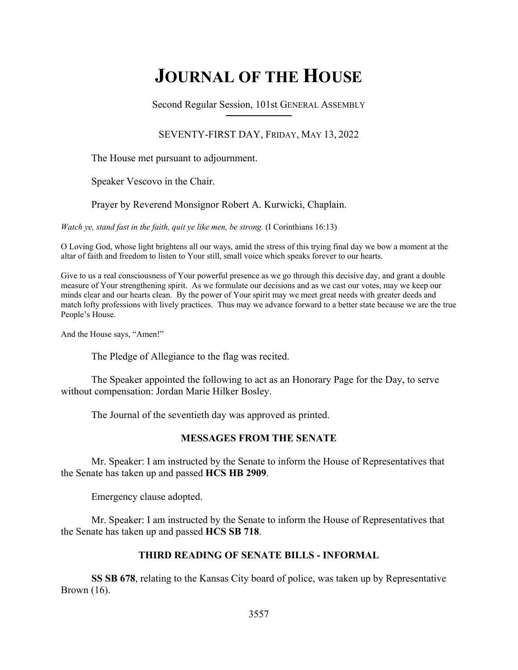# **JOURNAL OF THE HOUSE**

Second Regular Session, 101st GENERAL ASSEMBLY **\_\_\_\_\_\_\_\_\_\_\_\_\_\_\_\_\_\_\_\_\_\_\_\_\_\_**

## SEVENTY-FIRST DAY, FRIDAY, MAY 13, 2022

The House met pursuant to adjournment.

Speaker Vescovo in the Chair.

Prayer by Reverend Monsignor Robert A. Kurwicki, Chaplain.

*Watch ye, stand fast in the faith, quit ye like men, be strong.* (I Corinthians 16:13)

O Loving God, whose light brightens all our ways, amid the stress of this trying final day we bow a moment at the altar of faith and freedom to listen to Your still, small voice which speaks forever to our hearts.

Give to us a real consciousness of Your powerful presence as we go through this decisive day, and grant a double measure of Your strengthening spirit. As we formulate our decisions and as we cast our votes, may we keep our minds clear and our hearts clean. By the power of Your spirit may we meet great needs with greater deeds and match lofty professions with lively practices. Thus may we advance forward to a better state because we are the true People's House.

And the House says, "Amen!"

The Pledge of Allegiance to the flag was recited.

 The Speaker appointed the following to act as an Honorary Page for the Day, to serve without compensation: Jordan Marie Hilker Bosley.

The Journal of the seventieth day was approved as printed.

## **MESSAGES FROM THE SENATE**

 Mr. Speaker: I am instructed by the Senate to inform the House of Representatives that the Senate has taken up and passed **HCS HB 2909**.

Emergency clause adopted.

 Mr. Speaker: I am instructed by the Senate to inform the House of Representatives that the Senate has taken up and passed **HCS SB 718**.

## **THIRD READING OF SENATE BILLS - INFORMAL**

**SS SB 678**, relating to the Kansas City board of police, was taken up by Representative Brown (16).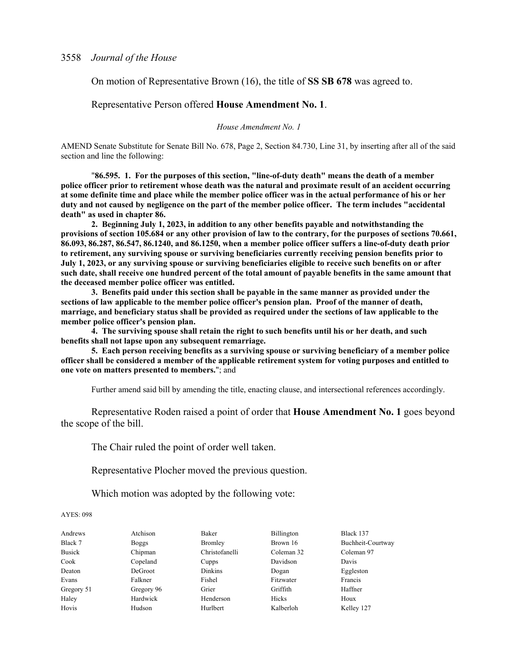On motion of Representative Brown (16), the title of **SS SB 678** was agreed to.

Representative Person offered **House Amendment No. 1**.

*House Amendment No. 1*

AMEND Senate Substitute for Senate Bill No. 678, Page 2, Section 84.730, Line 31, by inserting after all of the said section and line the following:

"**86.595. 1. For the purposes of this section, "line-of-duty death" means the death of a member police officer prior to retirement whose death was the natural and proximate result of an accident occurring at some definite time and place while the member police officer was in the actual performance of his or her duty and not caused by negligence on the part of the member police officer. The term includes "accidental death" as used in chapter 86.**

**2. Beginning July 1, 2023, in addition to any other benefits payable and notwithstanding the provisions of section 105.684 or any other provision of law to the contrary, for the purposes of sections 70.661, 86.093, 86.287, 86.547, 86.1240, and 86.1250, when a member police officer suffers a line-of-duty death prior to retirement, any surviving spouse or surviving beneficiaries currently receiving pension benefits prior to July 1, 2023, or any surviving spouse or surviving beneficiaries eligible to receive such benefits on or after such date, shall receive one hundred percent of the total amount of payable benefits in the same amount that the deceased member police officer was entitled.**

**3. Benefits paid under this section shall be payable in the same manner as provided under the sections of law applicable to the member police officer's pension plan. Proof of the manner of death, marriage, and beneficiary status shall be provided as required under the sections of law applicable to the member police officer's pension plan.**

**4. The surviving spouse shall retain the right to such benefits until his or her death, and such benefits shall not lapse upon any subsequent remarriage.**

**5. Each person receiving benefits as a surviving spouse or surviving beneficiary of a member police officer shall be considered a member of the applicable retirement system for voting purposes and entitled to one vote on matters presented to members.**"; and

Further amend said bill by amending the title, enacting clause, and intersectional references accordingly.

 Representative Roden raised a point of order that **House Amendment No. 1** goes beyond the scope of the bill.

The Chair ruled the point of order well taken.

Representative Plocher moved the previous question.

Which motion was adopted by the following vote:

| Andrews       | Atchison     | Baker          | <b>Billington</b> | Black 137         |
|---------------|--------------|----------------|-------------------|-------------------|
| Black 7       | <b>Boggs</b> | <b>Bromley</b> | Brown 16          | Buchheit-Courtway |
| <b>Busick</b> | Chipman      | Christofanelli | Coleman 32        | Coleman 97        |
| Cook          | Copeland     | Cupps          | Davidson          | Davis             |
| Deaton        | DeGroot      | Dinkins        | Dogan             | Eggleston         |
| Evans         | Falkner      | Fishel         | Fitzwater         | Francis           |
| Gregory 51    | Gregory 96   | Grier          | Griffith          | Haffner           |
| Haley         | Hardwick     | Henderson      | Hicks             | Houx              |
| Hovis         | Hudson       | Hurlbert       | Kalberloh         | Kelley 127        |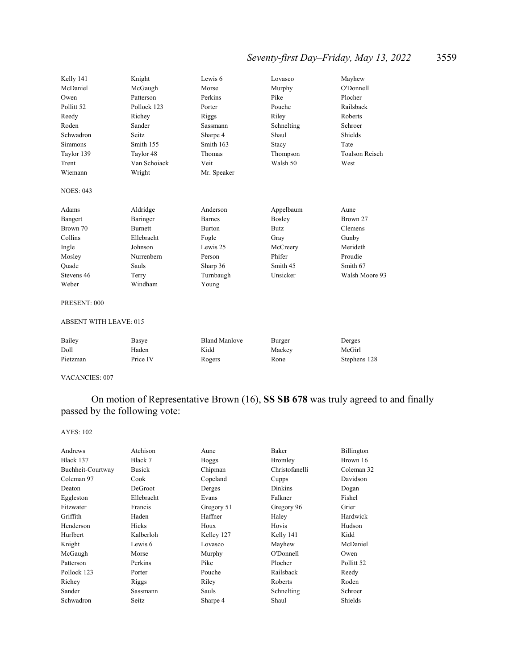## *Seventy-first Day–Friday, May 13, 2022* 3559

| Kelly 141                     | Knight         | Lewis 6       | Lovasco       | Mayhew                |
|-------------------------------|----------------|---------------|---------------|-----------------------|
| McDaniel                      | McGaugh        | Morse         | Murphy        | O'Donnell             |
| Owen                          | Patterson      | Perkins       | Pike          | Plocher               |
| Pollitt <sub>52</sub>         | Pollock 123    | Porter        | Pouche        | Railsback             |
| Reedy                         | Richey         | Riggs         | Riley         | <b>Roberts</b>        |
| Roden                         | Sander         | Sassmann      | Schnelting    | Schroer               |
| Schwadron                     | Seitz          | Sharpe 4      | Shaul         | Shields               |
| <b>Simmons</b>                | Smith 155      | Smith 163     | Stacy         | Tate                  |
| Taylor 139                    | Taylor 48      | Thomas        | Thompson      | <b>Toalson Reisch</b> |
| Trent                         | Van Schoiack   | Veit          | Walsh 50      | West                  |
| Wiemann                       | Wright         | Mr. Speaker   |               |                       |
| <b>NOES: 043</b>              |                |               |               |                       |
| Adams                         | Aldridge       | Anderson      | Appelbaum     | Aune                  |
| Bangert                       | Baringer       | <b>Barnes</b> | <b>Bosley</b> | Brown 27              |
| Brown 70                      | <b>Burnett</b> | <b>Burton</b> | <b>Butz</b>   | Clemens               |
| Collins                       | Ellebracht     | Fogle         | Gray          | Gunby                 |
| Ingle                         | Johnson        | Lewis 25      | McCreery      | Merideth              |
| Mosley                        | Nurrenbern     | Person        | Phifer        | Proudie               |
| Ouade                         | Sauls          | Sharp 36      | Smith 45      | Smith 67              |
| Stevens 46                    | Terry          | Turnbaugh     | Unsicker      | Walsh Moore 93        |
| Weber                         | Windham        | Young         |               |                       |
| PRESENT: 000                  |                |               |               |                       |
| <b>ABSENT WITH LEAVE: 015</b> |                |               |               |                       |

| Bailey   | Basye    | <b>Bland Manlove</b> | Burger | Derges       |
|----------|----------|----------------------|--------|--------------|
| Doll     | Haden    | Kidd                 | Mackey | McGirl       |
| Pietzman | Price IV | Rogers               | Rone   | Stephens 128 |

VACANCIES: 007

## On motion of Representative Brown (16), **SS SB 678** was truly agreed to and finally passed by the following vote:

| Andrews           | Atchison      | Aune         | Baker          | Billington |
|-------------------|---------------|--------------|----------------|------------|
| Black 137         | Black 7       | <b>Boggs</b> | Bromley        | Brown 16   |
| Buchheit-Courtway | <b>Busick</b> | Chipman      | Christofanelli | Coleman 32 |
| Coleman 97        | Cook          | Copeland     | Cupps          | Davidson   |
| Deaton            | DeGroot       | Derges       | Dinkins        | Dogan      |
| Eggleston         | Ellebracht    | Evans        | Falkner        | Fishel     |
| Fitzwater         | Francis       | Gregory 51   | Gregory 96     | Grier      |
| Griffith          | Haden         | Haffner      | Haley          | Hardwick   |
| Henderson         | <b>Hicks</b>  | Houx         | Hovis          | Hudson     |
| Hurlbert          | Kalberloh     | Kelley 127   | Kelly 141      | Kidd       |
| Knight            | Lewis 6       | Lovasco      | Mayhew         | McDaniel   |
| McGaugh           | Morse         | Murphy       | O'Donnell      | Owen       |
| Patterson         | Perkins       | Pike         | Plocher        | Pollitt 52 |
| Pollock 123       | Porter        | Pouche       | Railsback      | Reedy      |
| Richey            | Riggs         | Riley        | Roberts        | Roden      |
| Sander            | Sassmann      | Sauls        | Schnelting     | Schroer    |
| Schwadron         | Seitz         | Sharpe 4     | Shaul          | Shields    |
|                   |               |              |                |            |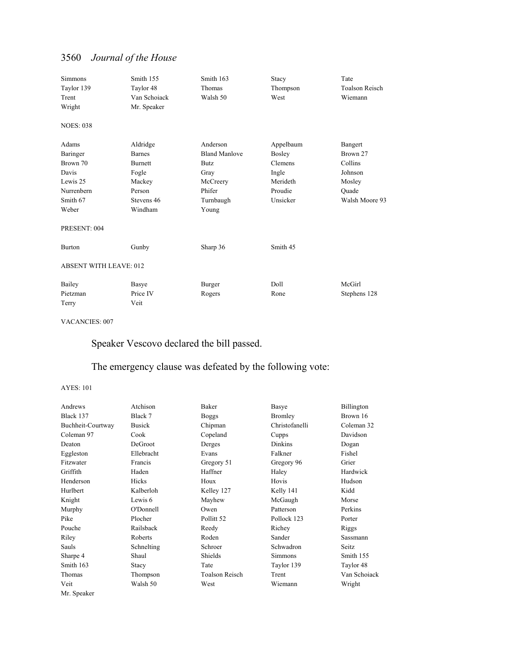| <b>Simmons</b><br>Taylor 139<br>Trent<br>Wright                                       | Smith 155<br>Taylor 48<br>Van Schoiack<br>Mr. Speaker                                             | Smith 163<br>Thomas<br>Walsh 50                                                                     | Stacy<br>Thompson<br>West                                                  | Tate<br><b>Toalson Reisch</b><br>Wiemann                                       |  |
|---------------------------------------------------------------------------------------|---------------------------------------------------------------------------------------------------|-----------------------------------------------------------------------------------------------------|----------------------------------------------------------------------------|--------------------------------------------------------------------------------|--|
| <b>NOES: 038</b>                                                                      |                                                                                                   |                                                                                                     |                                                                            |                                                                                |  |
| Adams<br>Baringer<br>Brown 70<br>Davis<br>Lewis 25<br>Nurrenbern<br>Smith 67<br>Weber | Aldridge<br><b>Barnes</b><br><b>Burnett</b><br>Fogle<br>Mackey<br>Person<br>Stevens 46<br>Windham | Anderson<br><b>Bland Manlove</b><br><b>Butz</b><br>Gray<br>McCreery<br>Phifer<br>Turnbaugh<br>Young | Appelbaum<br>Bosley<br>Clemens<br>Ingle<br>Merideth<br>Proudie<br>Unsicker | Bangert<br>Brown 27<br>Collins<br>Johnson<br>Mosley<br>Ouade<br>Walsh Moore 93 |  |
| PRESENT: 004                                                                          |                                                                                                   |                                                                                                     |                                                                            |                                                                                |  |
| <b>Burton</b>                                                                         | Gunby                                                                                             | Sharp 36                                                                                            | Smith 45                                                                   |                                                                                |  |
| <b>ABSENT WITH LEAVE: 012</b>                                                         |                                                                                                   |                                                                                                     |                                                                            |                                                                                |  |
| Bailey<br>Pietzman<br>Terry                                                           | Basye<br>Price IV<br>Veit                                                                         | Burger<br>Rogers                                                                                    | Doll<br>Rone                                                               | McGirl<br>Stephens 128                                                         |  |

### VACANCIES: 007

Speaker Vescovo declared the bill passed.

## The emergency clause was defeated by the following vote:

| Andrews           | Atchison      | Baker          | Basye          | Billington   |
|-------------------|---------------|----------------|----------------|--------------|
| Black 137         | Black 7       | <b>Boggs</b>   | Bromley        | Brown 16     |
| Buchheit-Courtway | <b>Busick</b> | Chipman        | Christofanelli | Coleman 32   |
| Coleman 97        | Cook          | Copeland       | Cupps          | Davidson     |
| Deaton            | DeGroot       | Derges         | <b>Dinkins</b> | Dogan        |
| Eggleston         | Ellebracht    | Evans          | Falkner        | Fishel       |
| Fitzwater         | Francis       | Gregory 51     | Gregory 96     | Grier        |
| Griffith          | Haden         | Haffner        | Haley          | Hardwick     |
| Henderson         | Hicks         | Houx           | Hovis          | Hudson       |
| Hurlbert          | Kalberloh     | Kelley 127     | Kelly 141      | Kidd         |
| Knight            | Lewis 6       | Mayhew         | McGaugh        | Morse        |
| Murphy            | O'Donnell     | Owen           | Patterson      | Perkins      |
| Pike              | Plocher       | Pollitt 52     | Pollock 123    | Porter       |
| Pouche            | Railsback     | Reedy          | Richey         | Riggs        |
| Riley             | Roberts       | Roden          | Sander         | Sassmann     |
| Sauls             | Schnelting    | Schroer        | Schwadron      | Seitz        |
| Sharpe 4          | Shaul         | Shields        | <b>Simmons</b> | Smith 155    |
| Smith 163         | Stacy         | Tate           | Taylor 139     | Taylor 48    |
| Thomas            | Thompson      | Toalson Reisch | Trent          | Van Schoiack |
| Veit              | Walsh 50      | West           | Wiemann        | Wright       |
| Mr. Speaker       |               |                |                |              |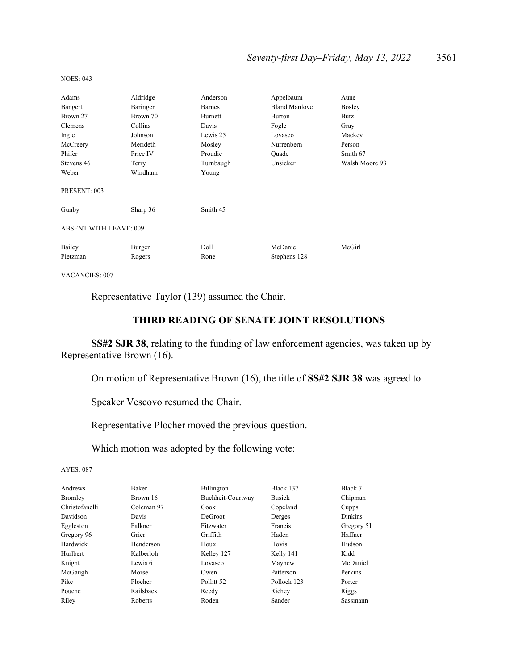## *Seventy-first Day–Friday, May 13, 2022* 3561

| Adams                         | Aldridge | Anderson      | Appelbaum            | Aune           |  |
|-------------------------------|----------|---------------|----------------------|----------------|--|
| Bangert                       | Baringer | <b>Barnes</b> | <b>Bland Manlove</b> | Bosley         |  |
| Brown 27                      | Brown 70 | Burnett       | <b>Burton</b>        | Butz           |  |
| Clemens                       | Collins  | Davis         | Fogle                | Gray           |  |
| Ingle                         | Johnson  | Lewis 25      | Lovasco              | Mackey         |  |
| McCreery                      | Merideth | Mosley        | Nurrenbern           | Person         |  |
| Phifer                        | Price IV | Proudie       | Ouade                | Smith 67       |  |
| Stevens 46                    | Terry    | Turnbaugh     | Unsicker             | Walsh Moore 93 |  |
| Weber                         | Windham  | Young         |                      |                |  |
| PRESENT: 003                  |          |               |                      |                |  |
| Gunby                         | Sharp 36 | Smith 45      |                      |                |  |
| <b>ABSENT WITH LEAVE: 009</b> |          |               |                      |                |  |
| Bailey                        | Burger   | Doll          | McDaniel             | McGirl         |  |
| Pietzman                      | Rogers   | Rone          | Stephens 128         |                |  |

NOES: 043

VACANCIES: 007

Representative Taylor (139) assumed the Chair.

## **THIRD READING OF SENATE JOINT RESOLUTIONS**

**SS#2 SJR 38**, relating to the funding of law enforcement agencies, was taken up by Representative Brown (16).

On motion of Representative Brown (16), the title of **SS#2 SJR 38** was agreed to.

Speaker Vescovo resumed the Chair.

Representative Plocher moved the previous question.

Which motion was adopted by the following vote:

| Andrews        | Baker          | Billington            | Black 137     | Black 7        |
|----------------|----------------|-----------------------|---------------|----------------|
| Bromley        | Brown 16       | Buchheit-Courtway     | <b>Busick</b> | Chipman        |
| Christofanelli | Coleman 97     | Cook                  | Copeland      | Cupps          |
| Davidson       | Davis          | DeGroot               | Derges        | <b>Dinkins</b> |
| Eggleston      | Falkner        | Fitzwater             | Francis       | Gregory 51     |
| Gregory 96     | Grier          | Griffith              | Haden         | Haffner        |
| Hardwick       | Henderson      | Houx                  | Hovis         | Hudson         |
| Hurlbert       | Kalberloh      | Kelley 127            | Kelly 141     | Kidd           |
| Knight         | Lewis 6        | Lovasco               | Mayhew        | McDaniel       |
| McGaugh        | Morse          | Owen                  | Patterson     | Perkins        |
| Pike           | Plocher        | Pollitt <sub>52</sub> | Pollock 123   | Porter         |
| Pouche         | Railsback      | Reedy                 | Richey        | Riggs          |
| Riley          | <b>Roberts</b> | Roden                 | Sander        | Sassmann       |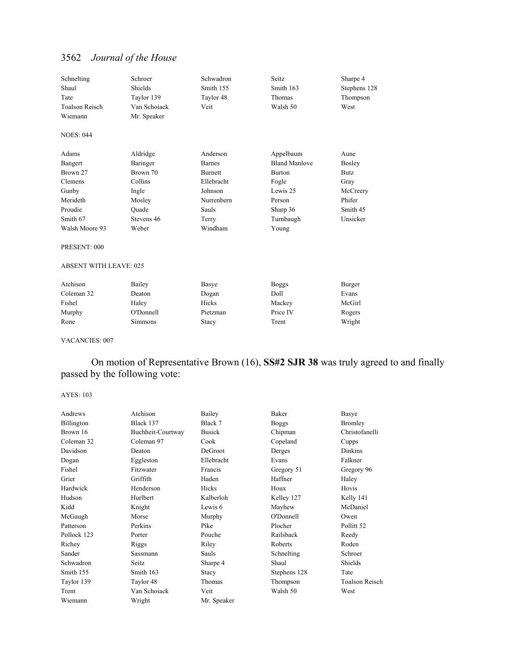| Schnelting                    | Schroer      | Schwadron      | Seitz                | Sharpe 4      |
|-------------------------------|--------------|----------------|----------------------|---------------|
| Shaul                         | Shields      | Smith 155      | Smith 163            | Stephens 128  |
| Tate                          | Taylor 139   | Taylor 48      | Thomas               | Thompson      |
| <b>Toalson Reisch</b>         | Van Schoiack | Veit           | Walsh 50             | West          |
| Wiemann                       | Mr. Speaker  |                |                      |               |
| <b>NOES: 044</b>              |              |                |                      |               |
| Adams                         | Aldridge     | Anderson       | Appelbaum            | Aune          |
| Bangert                       | Baringer     | <b>Barnes</b>  | <b>Bland Manlove</b> | <b>Bosley</b> |
| Brown 27                      | Brown 70     | <b>Burnett</b> | <b>Burton</b>        | <b>Butz</b>   |
| Clemens                       | Collins      | Ellebracht     | Fogle                | Gray          |
| Gunby                         | Ingle        | Johnson        | Lewis 25             | McCreery      |
| Merideth                      | Mosley       | Nurrenbern     | Person               | Phifer        |
| Proudie                       | Ouade        | Sauls          | Sharp 36             | Smith 45      |
| Smith 67                      | Stevens 46   | Terry          | Turnbaugh            | Unsicker      |
| Walsh Moore 93                | Weber        | Windham        | Young                |               |
| PRESENT: 000                  |              |                |                      |               |
| <b>ABSENT WITH LEAVE: 025</b> |              |                |                      |               |
| Atchison                      | Bailey       | Basye          | <b>Boggs</b>         | Burger        |
| Coleman 32                    | Deaton       | Dogan          | Doll                 | Evans         |
| Fishel                        | Haley        | Hicks          | Mackey               | McGirl        |
| Murphy                        | O'Donnell    | Pietzman       | Price IV             | Rogers        |
| Rone                          | Simmons      | Stacy          | Trent                | Wright        |

VACANCIES: 007

 On motion of Representative Brown (16), **SS#2 SJR 38** was truly agreed to and finally passed by the following vote:

| Andrews     | Atchison          | Bailey        | Baker        | Basye          |
|-------------|-------------------|---------------|--------------|----------------|
| Billington  | Black 137         | Black 7       | <b>Boggs</b> | <b>Bromley</b> |
| Brown 16    | Buchheit-Courtway | <b>Busick</b> | Chipman      | Christofanelli |
| Coleman 32  | Coleman 97        | Cook          | Copeland     | Cupps          |
| Davidson    | Deaton            | DeGroot       | Derges       | Dinkins        |
| Dogan       | Eggleston         | Ellebracht    | Evans        | Falkner        |
| Fishel      | Fitzwater         | Francis       | Gregory 51   | Gregory 96     |
| Grier       | Griffith          | Haden         | Haffner      | Haley          |
| Hardwick    | Henderson         | Hicks         | Houx         | Hovis          |
| Hudson      | Hurlbert          | Kalberloh     | Kelley 127   | Kelly 141      |
| Kidd        | Knight            | Lewis 6       | Mayhew       | McDaniel       |
| McGaugh     | Morse             | Murphy        | O'Donnell    | Owen           |
| Patterson   | Perkins           | Pike          | Plocher      | Pollitt 52     |
| Pollock 123 | Porter            | Pouche        | Railsback    | Reedy          |
| Richey      | Riggs             | Riley         | Roberts      | Roden          |
| Sander      | Sassmann          | Sauls         | Schnelting   | Schroer        |
| Schwadron   | Seitz             | Sharpe 4      | Shaul        | Shields        |
| Smith 155   | Smith 163         | Stacy         | Stephens 128 | Tate           |
| Taylor 139  | Taylor 48         | Thomas        | Thompson     | Toalson Reisch |
| Trent       | Van Schoiack      | Veit          | Walsh 50     | West           |
| Wiemann     | Wright            | Mr. Speaker   |              |                |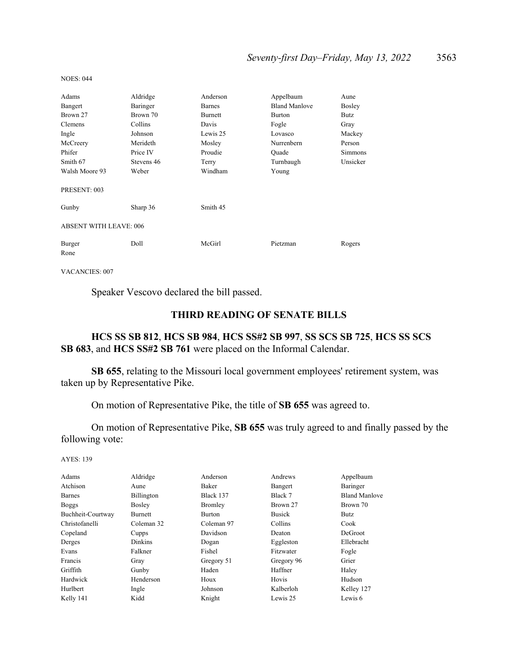| Adams                         | Aldridge   | Anderson      | Appelbaum            | Aune           |  |  |
|-------------------------------|------------|---------------|----------------------|----------------|--|--|
| Bangert                       | Baringer   | <b>Barnes</b> | <b>Bland Manlove</b> | Bosley         |  |  |
| Brown 27                      | Brown 70   | Burnett       | <b>Burton</b>        | Butz           |  |  |
| Clemens                       | Collins    | Davis         | Fogle                | Gray           |  |  |
| Ingle                         | Johnson    | Lewis 25      | Lovasco              | Mackey         |  |  |
| McCreery                      | Merideth   | Mosley        | Nurrenbern           | Person         |  |  |
| Phifer                        | Price IV   | Proudie       | Ouade                | <b>Simmons</b> |  |  |
| Smith 67                      | Stevens 46 | Terry         | Turnbaugh            | Unsicker       |  |  |
| Walsh Moore 93                | Weber      | Windham       | Young                |                |  |  |
| PRESENT: 003                  |            |               |                      |                |  |  |
| Gunby                         | Sharp 36   | Smith 45      |                      |                |  |  |
| <b>ABSENT WITH LEAVE: 006</b> |            |               |                      |                |  |  |
| Burger<br>Rone                | Doll       | McGirl        | Pietzman             | Rogers         |  |  |

VACANCIES: 007

NOES: 044

Speaker Vescovo declared the bill passed.

### **THIRD READING OF SENATE BILLS**

## **HCS SS SB 812**, **HCS SB 984**, **HCS SS#2 SB 997**, **SS SCS SB 725**, **HCS SS SCS SB 683**, and **HCS SS#2 SB 761** were placed on the Informal Calendar.

**SB 655**, relating to the Missouri local government employees' retirement system, was taken up by Representative Pike.

On motion of Representative Pike, the title of **SB 655** was agreed to.

 On motion of Representative Pike, **SB 655** was truly agreed to and finally passed by the following vote:

| Adams             | Aldridge       | Anderson   | Andrews       | Appelbaum            |
|-------------------|----------------|------------|---------------|----------------------|
| Atchison          | Aune           | Baker      | Bangert       | Baringer             |
| <b>Barnes</b>     | Billington     | Black 137  | Black 7       | <b>Bland Manlove</b> |
| Boggs             | Bosley         | Bromley    | Brown 27      | Brown 70             |
| Buchheit-Courtway | Burnett        | Burton     | <b>Busick</b> | Butz                 |
| Christofanelli    | Coleman 32     | Coleman 97 | Collins       | Cook                 |
| Copeland          | Cupps          | Davidson   | Deaton        | <b>DeGroot</b>       |
| Derges            | <b>Dinkins</b> | Dogan      | Eggleston     | Ellebracht           |
| Evans             | Falkner        | Fishel     | Fitzwater     | Fogle                |
| Francis           | Gray           | Gregory 51 | Gregory 96    | Grier                |
| Griffith          | Gunby          | Haden      | Haffner       | Haley                |
| Hardwick          | Henderson      | Houx       | Hovis         | Hudson               |
| Hurlbert          | Ingle          | Johnson    | Kalberloh     | Kelley 127           |
| Kelly 141         | Kidd           | Knight     | Lewis 25      | Lewis 6              |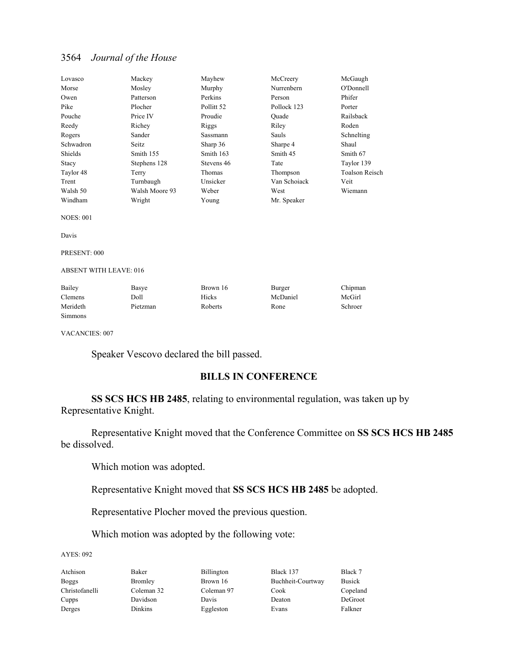| Lovasco                       | Mackey         | Mayhew     | McCreery     | McGaugh               |
|-------------------------------|----------------|------------|--------------|-----------------------|
| Morse                         | Mosley         | Murphy     | Nurrenbern   | O'Donnell             |
| Owen                          | Patterson      | Perkins    | Person       | Phifer                |
| Pike                          | Plocher        | Pollitt 52 | Pollock 123  | Porter                |
| Pouche                        | Price IV       | Proudie    | Ouade        | Railsback             |
| Reedy                         | Richey         | Riggs      | Riley        | Roden                 |
| Rogers                        | Sander         | Sassmann   | Sauls        | Schnelting            |
| Schwadron                     | Seitz          | Sharp 36   | Sharpe 4     | Shaul                 |
| Shields                       | Smith 155      | Smith 163  | Smith 45     | Smith 67              |
| Stacy                         | Stephens 128   | Stevens 46 | Tate         | Taylor 139            |
| Taylor 48                     | Terry          | Thomas     | Thompson     | <b>Toalson Reisch</b> |
| Trent                         | Turnbaugh      | Unsicker   | Van Schoiack | Veit                  |
| Walsh 50                      | Walsh Moore 93 | Weber      | West         | Wiemann               |
| Windham                       | Wright         | Young      | Mr. Speaker  |                       |
| <b>NOES: 001</b>              |                |            |              |                       |
| Davis                         |                |            |              |                       |
| PRESENT: 000                  |                |            |              |                       |
| <b>ABSENT WITH LEAVE: 016</b> |                |            |              |                       |
| Bailey                        | Basye          | Brown 16   | Burger       | Chipman               |
| Clemens                       | Doll           | Hicks      | McDaniel     | McGirl                |
| Merideth                      | Pietzman       | Roberts    | Rone         | Schroer               |
| <b>Simmons</b>                |                |            |              |                       |
|                               |                |            |              |                       |

VACANCIES: 007

Speaker Vescovo declared the bill passed.

## **BILLS IN CONFERENCE**

**SS SCS HCS HB 2485**, relating to environmental regulation, was taken up by Representative Knight.

 Representative Knight moved that the Conference Committee on **SS SCS HCS HB 2485** be dissolved.

Which motion was adopted.

Representative Knight moved that **SS SCS HCS HB 2485** be adopted.

Representative Plocher moved the previous question.

Which motion was adopted by the following vote:

AYES: 092

Atchison Baker Billington Black 137 Black 7 Boggs Bromley Brown 16 Buchheit-Courtway Busick Christofanelli Coleman 32 Coleman 97 Cook Copeland Cupps Davidson Davis Deaton DeGroot Derges Dinkins Eggleston Evans Falkner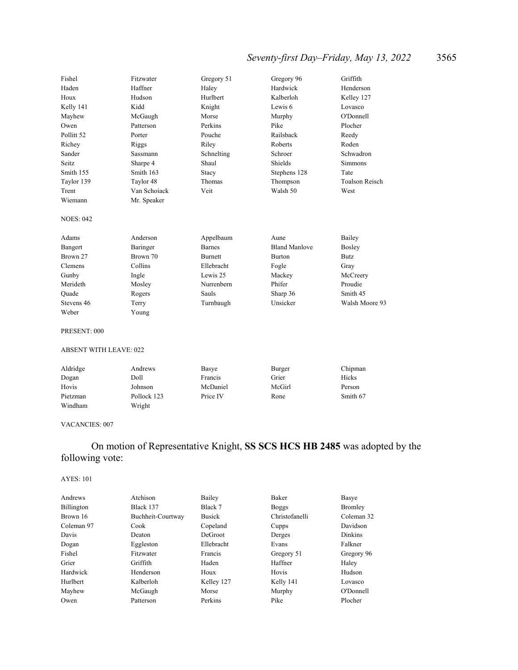## *Seventy-first Day–Friday, May 13, 2022* 3565

| Fishel                | Fitzwater       | Gregory 51     | Gregory 96           | Griffith              |
|-----------------------|-----------------|----------------|----------------------|-----------------------|
| Haden                 | Haffner         | Haley          | Hardwick             | Henderson             |
| Houx                  | Hudson          | Hurlbert       | Kalberloh            | Kelley 127            |
| Kelly 141             | Kidd            | Knight         | Lewis 6              | Lovasco               |
| Mayhew                | McGaugh         | Morse          | Murphy               | O'Donnell             |
| Owen                  | Patterson       | Perkins        | Pike                 | Plocher               |
| Pollitt <sub>52</sub> | Porter          | Pouche         | Railsback            | Reedy                 |
| Richey                | Riggs           | Riley          | Roberts              | Roden                 |
| Sander                | <b>Sassmann</b> | Schnelting     | Schroer              | Schwadron             |
| Seitz.                | Sharpe 4        | Shaul          | Shields              | <b>Simmons</b>        |
| Smith 155             | Smith 163       | Stacy          | Stephens 128         | Tate                  |
| Taylor 139            | Taylor 48       | Thomas         | Thompson             | <b>Toalson Reisch</b> |
| Trent                 | Van Schoiack    | Veit           | Walsh 50             | West                  |
| Wiemann               | Mr. Speaker     |                |                      |                       |
| <b>NOES: 042</b>      |                 |                |                      |                       |
| Adams                 | Anderson        | Appelbaum      | Aune                 | Bailey                |
| Bangert               | Baringer        | <b>Barnes</b>  | <b>Bland Manlove</b> | Bosley                |
| Brown 27              | Brown 70        | <b>Burnett</b> | <b>Burton</b>        | <b>Butz</b>           |
| Clemens               | Collins         | Ellebracht     | Fogle                | Gray                  |
| Gunby                 | Ingle           | Lewis 25       | Mackey               | McCreery              |
| Merideth              | Mosley          | Nurrenbern     | Phifer               | Proudie               |
| Ouade                 | Rogers          | Sauls          | Sharp 36             | Smith 45              |
| Stevens 46            | Terry           | Turnbaugh      | Unsicker             | Walsh Moore 93        |
| Weber                 | Young           |                |                      |                       |
|                       |                 |                |                      |                       |

#### PRESENT: 000

### ABSENT WITH LEAVE: 022

| Aldridge | Andrews     | Basye    | Burger | Chipman  |
|----------|-------------|----------|--------|----------|
| Dogan    | Doll        | Francis  | Grier  | Hicks    |
| Hovis    | Johnson     | McDaniel | McGirl | Person   |
| Pietzman | Pollock 123 | Price IV | Rone   | Smith 67 |
| Windham  | Wright      |          |        |          |

#### VACANCIES: 007

## On motion of Representative Knight, **SS SCS HCS HB 2485** was adopted by the following vote:

| Atchison          | Bailey     | Baker      | Basye                                                               |
|-------------------|------------|------------|---------------------------------------------------------------------|
| Black 137         | Black 7    |            | Bromley                                                             |
| Buchheit-Courtway | Busick     |            | Coleman 32                                                          |
| Cook              | Copeland   | Cupps      | Davidson                                                            |
| Deaton            | DeGroot    |            | <b>Dinkins</b>                                                      |
| Eggleston         | Ellebracht | Evans      | Falkner                                                             |
| Fitzwater         | Francis    | Gregory 51 | Gregory 96                                                          |
| Griffith          | Haden      |            | Haley                                                               |
| Henderson         | Houx       | Hovis      | Hudson                                                              |
| Kalberloh         | Kelley 127 |            | Lovasco                                                             |
| McGaugh           | Morse      |            | O'Donnell                                                           |
| Patterson         | Perkins    | Pike       | Plocher                                                             |
|                   |            |            | Boggs<br>Christofanelli<br>Derges<br>Haffner<br>Kelly 141<br>Murphy |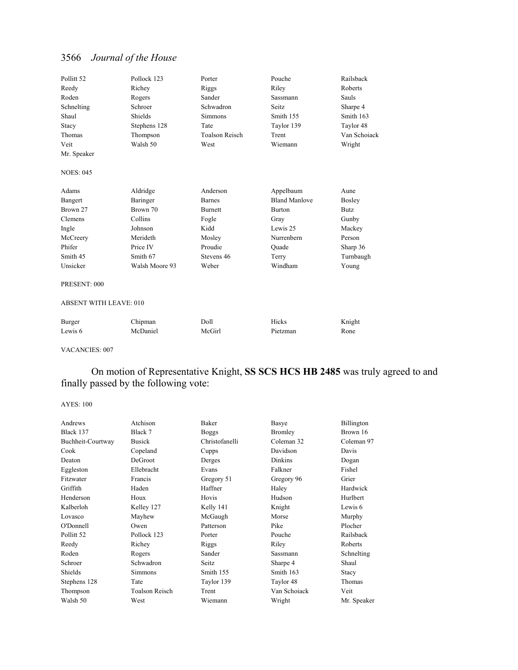| Pollitt <sub>52</sub>         | Pollock 123    | Porter                | Pouche               | Railsback    |
|-------------------------------|----------------|-----------------------|----------------------|--------------|
| Reedy                         | Richey         | Riggs                 | Riley                | Roberts      |
| Roden                         | Rogers         | Sander                | <b>Sassmann</b>      | Sauls        |
| Schnelting                    | Schroer        | Schwadron             | Seitz.               | Sharpe 4     |
| Shaul                         | Shields        | <b>Simmons</b>        | Smith 155            | Smith 163    |
| Stacy                         | Stephens 128   | Tate                  | Taylor 139           | Taylor 48    |
| Thomas                        | Thompson       | <b>Toalson Reisch</b> | Trent                | Van Schoiack |
| Veit                          | Walsh 50       | West                  | Wiemann              | Wright       |
| Mr. Speaker                   |                |                       |                      |              |
| <b>NOES: 045</b>              |                |                       |                      |              |
| Adams                         | Aldridge       | Anderson              | Appelbaum            | Aune         |
| Bangert                       | Baringer       | <b>Barnes</b>         | <b>Bland Manlove</b> | Bosley       |
| Brown 27                      | Brown 70       | <b>Burnett</b>        | Burton               | Butz         |
| Clemens                       | Collins        | Fogle                 | Gray                 | Gunby        |
| Ingle                         | Johnson        | Kidd                  | Lewis 25             | Mackey       |
| McCreery                      | Merideth       | Mosley                | Nurrenbern           | Person       |
| Phifer                        | Price IV       | Proudie               | Quade                | Sharp 36     |
| Smith 45                      | Smith 67       | Stevens 46            | Terry                | Turnbaugh    |
| Unsicker                      | Walsh Moore 93 | Weber                 | Windham              | Young        |
| PRESENT: 000                  |                |                       |                      |              |
| <b>ABSENT WITH LEAVE: 010</b> |                |                       |                      |              |
| Burger                        | Chipman        | Doll                  | Hicks                | Knight       |
| Lewis 6                       | McDaniel       | McGirl                | Pietzman             | Rone         |

VACANCIES: 007

 On motion of Representative Knight, **SS SCS HCS HB 2485** was truly agreed to and finally passed by the following vote:

| Atchison              | Baker          | Basye          | Billington  |
|-----------------------|----------------|----------------|-------------|
| Black 7               | <b>Boggs</b>   | Bromley        | Brown 16    |
| <b>Busick</b>         | Christofanelli | Coleman 32     | Coleman 97  |
| Copeland              | Cupps          | Davidson       | Davis       |
| DeGroot               | Derges         | <b>Dinkins</b> | Dogan       |
| Ellebracht            | Evans          | Falkner        | Fishel      |
| Francis               | Gregory 51     | Gregory 96     | Grier       |
| Haden                 | Haffner        | Haley          | Hardwick    |
| Houx                  | Hovis          | Hudson         | Hurlbert    |
| Kelley 127            | Kelly 141      | Knight         | Lewis 6     |
| Mayhew                | McGaugh        | Morse          | Murphy      |
| Owen                  | Patterson      | Pike           | Plocher     |
| Pollock 123           | Porter         | Pouche         | Railsback   |
| Richey                | Riggs          | Riley          | Roberts     |
| Rogers                | Sander         | Sassmann       | Schnelting  |
| Schwadron             | Seitz          | Sharpe 4       | Shaul       |
| <b>Simmons</b>        | Smith 155      | Smith 163      | Stacy       |
| Tate                  | Taylor 139     | Taylor 48      | Thomas      |
| <b>Toalson Reisch</b> | Trent          | Van Schoiack   | Veit        |
| West                  | Wiemann        | Wright         | Mr. Speaker |
|                       |                |                |             |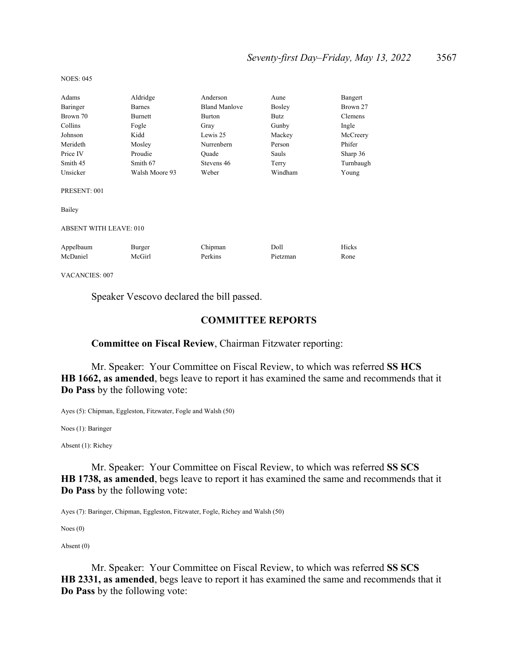| Adams                         | Aldridge       | Anderson             | Aune          | Bangert   |
|-------------------------------|----------------|----------------------|---------------|-----------|
| Baringer                      | <b>Barnes</b>  | <b>Bland Manlove</b> | <b>Bosley</b> | Brown 27  |
| Brown 70                      | Burnett        | Burton               | Butz          | Clemens   |
| Collins                       | Fogle          | Gray                 | Gunby         | Ingle     |
| Johnson                       | Kidd           | Lewis 25             | Mackey        | McCreery  |
| Merideth                      | Mosley         | Nurrenbern           | Person        | Phifer    |
| Price IV                      | Proudie        | Ouade                | Sauls         | Sharp 36  |
| Smith 45                      | Smith 67       | Stevens 46           | Terry         | Turnbaugh |
| Unsicker                      | Walsh Moore 93 | Weber                | Windham       | Young     |
| PRESENT: 001                  |                |                      |               |           |
| Bailey                        |                |                      |               |           |
| <b>ABSENT WITH LEAVE: 010</b> |                |                      |               |           |
| Appelbaum                     | Burger         | Chipman              | Doll          | Hicks     |
| McDaniel                      | McGirl         | Perkins              | Pietzman      | Rone      |
| <b>VACANCIES: 007</b>         |                |                      |               |           |

NOES: 045

Speaker Vescovo declared the bill passed.

### **COMMITTEE REPORTS**

### **Committee on Fiscal Review**, Chairman Fitzwater reporting:

 Mr. Speaker: Your Committee on Fiscal Review, to which was referred **SS HCS HB 1662, as amended**, begs leave to report it has examined the same and recommends that it **Do Pass** by the following vote:

Ayes (5): Chipman, Eggleston, Fitzwater, Fogle and Walsh (50)

Noes (1): Baringer

Absent (1): Richey

 Mr. Speaker: Your Committee on Fiscal Review, to which was referred **SS SCS HB 1738, as amended**, begs leave to report it has examined the same and recommends that it **Do Pass** by the following vote:

Ayes (7): Baringer, Chipman, Eggleston, Fitzwater, Fogle, Richey and Walsh (50)

Noes (0)

Absent (0)

 Mr. Speaker: Your Committee on Fiscal Review, to which was referred **SS SCS HB 2331, as amended**, begs leave to report it has examined the same and recommends that it **Do Pass** by the following vote: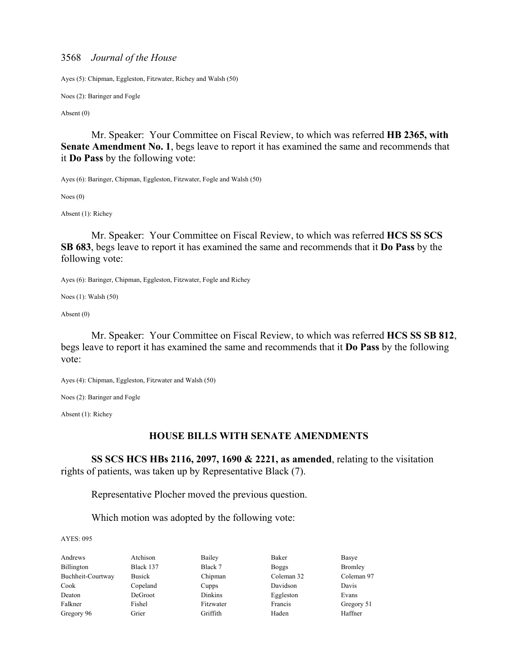Ayes (5): Chipman, Eggleston, Fitzwater, Richey and Walsh (50)

Noes (2): Baringer and Fogle

Absent (0)

 Mr. Speaker: Your Committee on Fiscal Review, to which was referred **HB 2365, with Senate Amendment No. 1**, begs leave to report it has examined the same and recommends that it **Do Pass** by the following vote:

Ayes (6): Baringer, Chipman, Eggleston, Fitzwater, Fogle and Walsh (50)

Noes (0)

Absent (1): Richey

 Mr. Speaker: Your Committee on Fiscal Review, to which was referred **HCS SS SCS SB 683**, begs leave to report it has examined the same and recommends that it **Do Pass** by the following vote:

Ayes (6): Baringer, Chipman, Eggleston, Fitzwater, Fogle and Richey

Noes (1): Walsh (50)

Absent (0)

 Mr. Speaker: Your Committee on Fiscal Review, to which was referred **HCS SS SB 812**, begs leave to report it has examined the same and recommends that it **Do Pass** by the following vote:

Ayes (4): Chipman, Eggleston, Fitzwater and Walsh (50)

Noes (2): Baringer and Fogle

Absent (1): Richey

### **HOUSE BILLS WITH SENATE AMENDMENTS**

**SS SCS HCS HBs 2116, 2097, 1690 & 2221, as amended**, relating to the visitation rights of patients, was taken up by Representative Black (7).

Representative Plocher moved the previous question.

Which motion was adopted by the following vote:

AYES: 095

Andrews Atchison Bailey Baker Basye Billington Black 137 Black 7 Boggs Bromley Buchheit-Courtway Busick Chipman Coleman 32 Coleman 97 Cook Copeland Cupps Davidson Davis Deaton DeGroot Dinkins Eggleston Evans Falkner Fishel Fitzwater Francis Gregory 51 Gregory 96 Grier Griffith Haden Haffner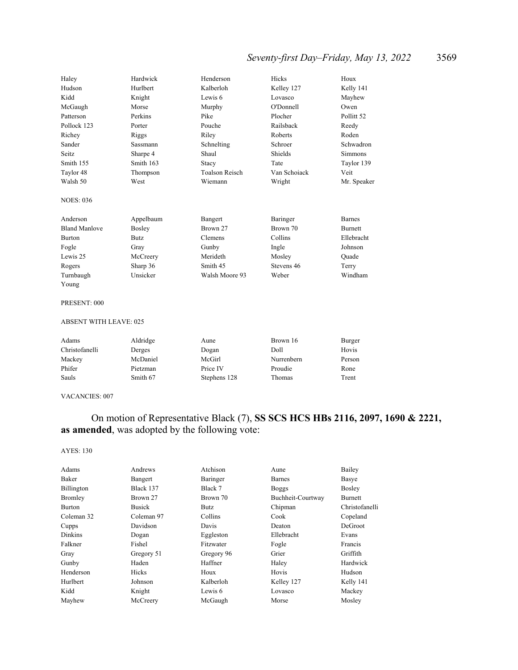## *Seventy-first Day–Friday, May 13, 2022* 3569

| Haley                | Hardwick  | Henderson             | Hicks        | Houx                  |
|----------------------|-----------|-----------------------|--------------|-----------------------|
| Hudson               | Hurlbert  | Kalberloh             | Kelley 127   | Kelly 141             |
| Kidd                 | Knight    | Lewis 6               | Lovasco      | Mayhew                |
| McGaugh              | Morse     | Murphy                | O'Donnell    | Owen                  |
| Patterson            | Perkins   | Pike                  | Plocher      | Pollitt <sub>52</sub> |
| Pollock 123          | Porter    | Pouche                | Railsback    | Reedy                 |
| Richey               | Riggs     | Riley                 | Roberts      | Roden                 |
| Sander               | Sassmann  | Schnelting            | Schroer      | Schwadron             |
| Seitz                | Sharpe 4  | Shaul                 | Shields      | Simmons               |
| Smith 155            | Smith 163 | Stacy                 | Tate         | Taylor 139            |
| Taylor 48            | Thompson  | <b>Toalson Reisch</b> | Van Schoiack | Veit                  |
| Walsh 50             | West      | Wiemann               | Wright       | Mr. Speaker           |
| <b>NOES: 036</b>     |           |                       |              |                       |
| Anderson             | Appelbaum | Bangert               | Baringer     | <b>Barnes</b>         |
| <b>Bland Manlove</b> | Bosley    | Brown 27              | Brown 70     | <b>Burnett</b>        |
| <b>Burton</b>        | Butz.     | Clemens               | Collins      | Ellebracht            |
| Fogle                | Gray      | Gunby                 | Ingle        | Johnson               |
| Lewis 25             | McCreery  | Merideth              | Mosley       | Quade                 |
| Rogers               | Sharp 36  | Smith 45              | Stevens 46   | Terry                 |
| Turnbaugh            | Unsicker  | Walsh Moore 93        | Weber        | Windham               |
| Young                |           |                       |              |                       |

#### PRESENT: 000

#### ABSENT WITH LEAVE: 025

| Adams          | Aldridge | Aune         | Brown 16   | Burger |
|----------------|----------|--------------|------------|--------|
| Christofanelli | Derges   | Dogan        | Doll       | Hovis  |
| Mackey         | McDaniel | McGirl       | Nurrenbern | Person |
| Phifer         | Pietzman | Price IV     | Proudie    | Rone   |
| Sauls          | Smith 67 | Stephens 128 | Thomas     | Trent  |

#### VACANCIES: 007

## On motion of Representative Black (7), **SS SCS HCS HBs 2116, 2097, 1690 & 2221, as amended**, was adopted by the following vote:

| Adams         | Andrews       | Atchison   | Aune              | Bailey         |
|---------------|---------------|------------|-------------------|----------------|
| Baker         | Bangert       | Baringer   | <b>Barnes</b>     | Basye          |
| Billington    | Black 137     | Black 7    | <b>Boggs</b>      | <b>Bosley</b>  |
| Bromley       | Brown 27      | Brown 70   | Buchheit-Courtway | <b>Burnett</b> |
| <b>Burton</b> | <b>Busick</b> | Butz       | Chipman           | Christofanelli |
| Coleman 32    | Coleman 97    | Collins    | Cook              | Copeland       |
| Cupps         | Davidson      | Davis      | Deaton            | DeGroot        |
| Dinkins       | Dogan         | Eggleston  | Ellebracht        | Evans          |
| Falkner       | Fishel        | Fitzwater  | Fogle             | Francis        |
| Gray          | Gregory 51    | Gregory 96 | Grier             | Griffith       |
| Gunby         | Haden         | Haffner    | Haley             | Hardwick       |
| Henderson     | Hicks         | Houx       | Hovis             | Hudson         |
| Hurlbert      | Johnson       | Kalberloh  | Kelley 127        | Kelly 141      |
| Kidd          | Knight        | Lewis 6    | Lovasco           | Mackey         |
| Mayhew        | McCreery      | McGaugh    | Morse             | Mosley         |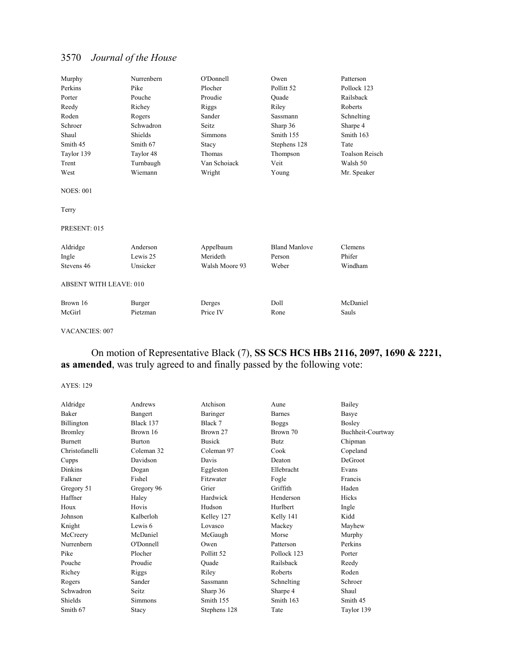| Murphy                        | Nurrenbern | O'Donnell      | Owen                 | Patterson             |
|-------------------------------|------------|----------------|----------------------|-----------------------|
| Perkins                       | Pike       | Plocher        | Pollitt 52           | Pollock 123           |
| Porter                        | Pouche     | Proudie        | Ouade                | Railsback             |
| Reedy                         | Richey     | Riggs          | Riley                | Roberts               |
| Roden                         | Rogers     | Sander         | Sassmann             | Schnelting            |
| Schroer                       | Schwadron  | Seitz          | Sharp 36             | Sharpe 4              |
| Shaul                         | Shields    | Simmons        | Smith 155            | Smith 163             |
| Smith 45                      | Smith 67   | Stacy          | Stephens 128         | Tate                  |
| Taylor 139                    | Taylor 48  | Thomas         | Thompson             | <b>Toalson Reisch</b> |
| Trent                         | Turnbaugh  | Van Schoiack   | Veit                 | Walsh 50              |
| West                          | Wiemann    | Wright         | Young                | Mr. Speaker           |
| <b>NOES: 001</b>              |            |                |                      |                       |
| Terry                         |            |                |                      |                       |
| PRESENT: 015                  |            |                |                      |                       |
| Aldridge                      | Anderson   | Appelbaum      | <b>Bland Manlove</b> | Clemens               |
| Ingle                         | Lewis 25   | Merideth       | Person               | Phifer                |
| Stevens 46                    | Unsicker   | Walsh Moore 93 | Weber                | Windham               |
| <b>ABSENT WITH LEAVE: 010</b> |            |                |                      |                       |
| Brown 16                      | Burger     | Derges         | Doll                 | McDaniel              |
| McGirl                        | Pietzman   | Price IV       | Rone                 | Sauls                 |

#### VACANCIES: 007

## On motion of Representative Black (7), **SS SCS HCS HBs 2116, 2097, 1690 & 2221, as amended**, was truly agreed to and finally passed by the following vote:

| Aldridge       | Andrews       | Atchison              | Aune          | Bailey            |
|----------------|---------------|-----------------------|---------------|-------------------|
| Baker          | Bangert       | Baringer              | <b>Barnes</b> | Basye             |
| Billington     | Black 137     | Black 7               | <b>Boggs</b>  | Bosley            |
| Bromley        | Brown 16      | Brown 27              | Brown 70      | Buchheit-Courtway |
| <b>Burnett</b> | <b>Burton</b> | <b>Busick</b>         | <b>Butz</b>   | Chipman           |
| Christofanelli | Coleman 32    | Coleman 97            | Cook          | Copeland          |
| Cupps          | Davidson      | Davis                 | Deaton        | DeGroot           |
| <b>Dinkins</b> | Dogan         | Eggleston             | Ellebracht    | Evans             |
| Falkner        | Fishel        | Fitzwater             | Fogle         | Francis           |
| Gregory 51     | Gregory 96    | Grier                 | Griffith      | Haden             |
| Haffner        | Haley         | Hardwick              | Henderson     | Hicks             |
| Houx           | Hovis         | Hudson                | Hurlbert      | Ingle             |
| Johnson        | Kalberloh     | Kelley 127            | Kelly 141     | Kidd              |
| Knight         | Lewis 6       | Lovasco               | Mackey        | Mayhew            |
| McCreery       | McDaniel      | McGaugh               | Morse         | Murphy            |
| Nurrenbern     | O'Donnell     | Owen                  | Patterson     | Perkins           |
| Pike           | Plocher       | Pollitt <sub>52</sub> | Pollock 123   | Porter            |
| Pouche         | Proudie       | Quade                 | Railsback     | Reedy             |
| Richey         | Riggs         | Riley                 | Roberts       | Roden             |
| Rogers         | Sander        | Sassmann              | Schnelting    | Schroer           |
| Schwadron      | Seitz         | Sharp 36              | Sharpe 4      | Shaul             |
| Shields        | Simmons       | Smith 155             | Smith 163     | Smith 45          |
| Smith 67       | Stacy         | Stephens 128          | Tate          | Taylor 139        |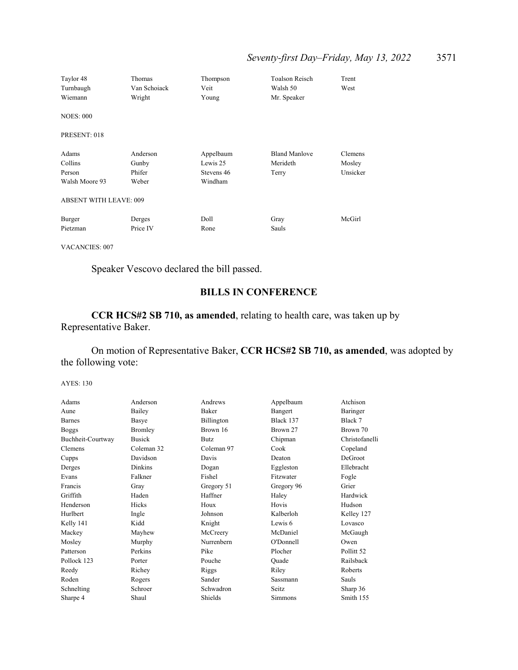| Taylor 48<br>Turnbaugh<br>Wiemann | Thomas<br>Van Schoiack<br>Wright | Thompson<br>Veit<br>Young | <b>Toalson Reisch</b><br>Walsh 50<br>Mr. Speaker | Trent<br>West |
|-----------------------------------|----------------------------------|---------------------------|--------------------------------------------------|---------------|
| <b>NOES: 000</b>                  |                                  |                           |                                                  |               |
| PRESENT: 018                      |                                  |                           |                                                  |               |
| Adams                             | Anderson                         | Appelbaum                 | <b>Bland Manlove</b>                             | Clemens       |
| Collins                           | Gunby                            | Lewis 25                  | Merideth                                         | Mosley        |
| Person                            | Phifer                           | Stevens 46                | Terry                                            | Unsicker      |
| Walsh Moore 93                    | Weber                            | Windham                   |                                                  |               |
| <b>ABSENT WITH LEAVE: 009</b>     |                                  |                           |                                                  |               |
| Burger                            | Derges                           | Doll                      | Gray                                             | McGirl        |
| Pietzman                          | Price IV                         | Rone                      | Sauls                                            |               |
|                                   |                                  |                           |                                                  |               |

VACANCIES: 007

Speaker Vescovo declared the bill passed.

## **BILLS IN CONFERENCE**

**CCR HCS#2 SB 710, as amended**, relating to health care, was taken up by Representative Baker.

 On motion of Representative Baker, **CCR HCS#2 SB 710, as amended**, was adopted by the following vote:

| Adams             | Anderson      | Andrews     | Appelbaum  | Atchison              |
|-------------------|---------------|-------------|------------|-----------------------|
| Aune              | Bailey        | Baker       | Bangert    | Baringer              |
| <b>Barnes</b>     | Basye         | Billington  | Black 137  | Black 7               |
| <b>Boggs</b>      | Bromley       | Brown 16    | Brown 27   | Brown 70              |
| Buchheit-Courtway | <b>Busick</b> | <b>Butz</b> | Chipman    | Christofanelli        |
| Clemens           | Coleman 32    | Coleman 97  | Cook       | Copeland              |
| Cupps             | Davidson      | Davis       | Deaton     | DeGroot               |
| Derges            | Dinkins       | Dogan       | Eggleston  | Ellebracht            |
| Evans             | Falkner       | Fishel      | Fitzwater  | Fogle                 |
| Francis           | Gray          | Gregory 51  | Gregory 96 | Grier                 |
| Griffith          | Haden         | Haffner     | Haley      | Hardwick              |
| Henderson         | Hicks         | Houx        | Hovis      | Hudson                |
| Hurlbert          | Ingle         | Johnson     | Kalberloh  | Kelley 127            |
| Kelly 141         | Kidd          | Knight      | Lewis 6    | Lovasco               |
| Mackey            | Mayhew        | McCreery    | McDaniel   | McGaugh               |
| Mosley            | Murphy        | Nurrenbern  | O'Donnell  | Owen                  |
| Patterson         | Perkins       | Pike        | Plocher    | Pollitt <sub>52</sub> |
| Pollock 123       | Porter        | Pouche      | Quade      | Railsback             |
| Reedy             | Richey        | Riggs       | Riley      | Roberts               |
| Roden             | Rogers        | Sander      | Sassmann   | Sauls                 |
| Schnelting        | Schroer       | Schwadron   | Seitz      | Sharp 36              |
| Sharpe 4          | Shaul         | Shields     | Simmons    | Smith 155             |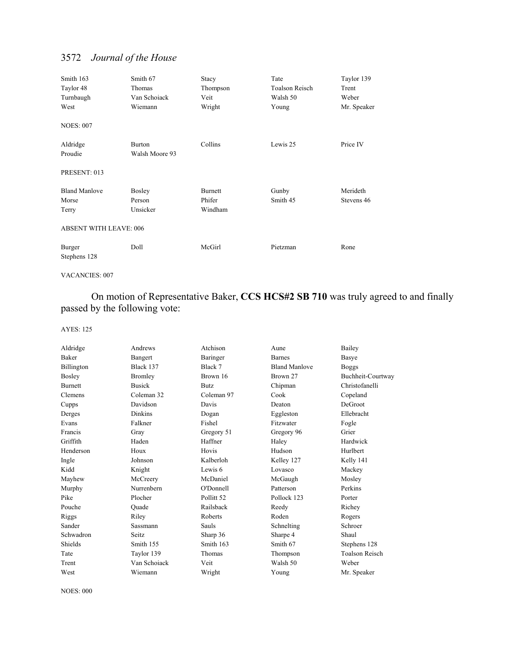| Smith 163<br>Taylor 48<br>Turnbaugh<br>West             | Smith 67<br>Thomas<br>Van Schoiack<br>Wiemann | Stacy<br>Thompson<br>Veit<br>Wright | Tate<br><b>Toalson Reisch</b><br>Walsh 50<br>Young | Taylor 139<br>Trent<br>Weber<br>Mr. Speaker |
|---------------------------------------------------------|-----------------------------------------------|-------------------------------------|----------------------------------------------------|---------------------------------------------|
| <b>NOES: 007</b><br>Aldridge<br>Proudie<br>PRESENT: 013 | <b>Burton</b><br>Walsh Moore 93               | Collins                             | Lewis 25                                           | Price IV                                    |
| <b>Bland Manlove</b><br>Morse<br>Terry                  | Bosley<br>Person<br>Unsicker                  | <b>Burnett</b><br>Phifer<br>Windham | Gunby<br>Smith 45                                  | Merideth<br>Stevens 46                      |
| <b>ABSENT WITH LEAVE: 006</b><br>Burger<br>Stephens 128 | Doll                                          | McGirl                              | Pietzman                                           | Rone                                        |

VACANCIES: 007

 On motion of Representative Baker, **CCS HCS#2 SB 710** was truly agreed to and finally passed by the following vote:

### AYES: 125

| Aldridge       | Andrews        | Atchison              | Aune                 | Bailey                |
|----------------|----------------|-----------------------|----------------------|-----------------------|
| Baker          | Bangert        | Baringer              | <b>Barnes</b>        | Basye                 |
| Billington     | Black 137      | Black 7               | <b>Bland Manlove</b> | <b>Boggs</b>          |
| Bosley         | Bromley        | Brown 16              | Brown 27             | Buchheit-Courtway     |
| <b>Burnett</b> | <b>Busick</b>  | <b>Butz</b>           | Chipman              | Christofanelli        |
| Clemens        | Coleman 32     | Coleman 97            | Cook                 | Copeland              |
| Cupps          | Davidson       | Davis                 | Deaton               | DeGroot               |
| Derges         | <b>Dinkins</b> | Dogan                 | Eggleston            | Ellebracht            |
| Evans          | Falkner        | Fishel                | Fitzwater            | Fogle                 |
| Francis        | Gray           | Gregory 51            | Gregory 96           | Grier                 |
| Griffith       | Haden          | Haffner               | Haley                | Hardwick              |
| Henderson      | Houx           | Hovis                 | Hudson               | Hurlbert              |
| Ingle          | Johnson        | Kalberloh             | Kelley 127           | Kelly 141             |
| Kidd           | Knight         | Lewis 6               | Lovasco              | Mackey                |
| Mayhew         | McCreery       | McDaniel              | McGaugh              | Mosley                |
| Murphy         | Nurrenbern     | O'Donnell             | Patterson            | Perkins               |
| Pike           | Plocher        | Pollitt <sub>52</sub> | Pollock 123          | Porter                |
| Pouche         | Ouade          | Railsback             | Reedy                | Richey                |
| Riggs          | Riley          | Roberts               | Roden                | Rogers                |
| Sander         | Sassmann       | Sauls                 | Schnelting           | Schroer               |
| Schwadron      | Seitz.         | Sharp 36              | Sharpe 4             | Shaul                 |
| Shields        | Smith 155      | Smith 163             | Smith 67             | Stephens 128          |
| Tate           | Taylor 139     | Thomas                | Thompson             | <b>Toalson Reisch</b> |
| Trent          | Van Schoiack   | Veit                  | Walsh 50             | Weber                 |
| West           | Wiemann        | Wright                | Young                | Mr. Speaker           |
|                |                |                       |                      |                       |

NOES: 000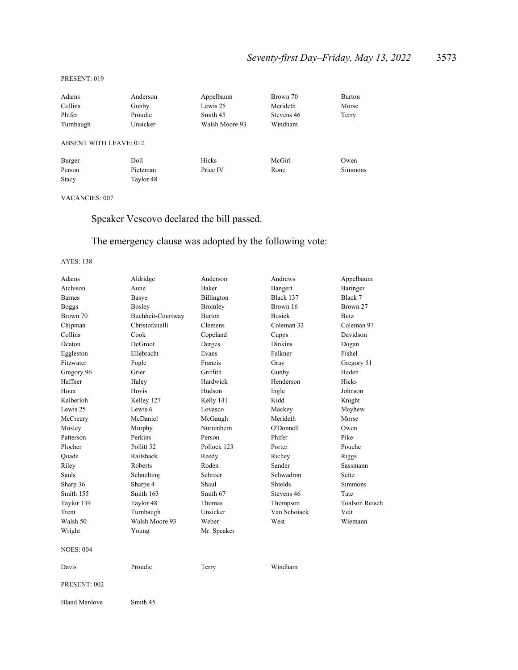#### PRESENT: 019

| Adams                         | Anderson  | Appelbaum      | Brown 70   | <b>Burton</b>  |
|-------------------------------|-----------|----------------|------------|----------------|
| Collins                       | Gunby     | Lewis 25       | Merideth   | Morse          |
| Phifer                        | Proudie   | Smith 45       | Stevens 46 | Terry          |
| Turnbaugh                     | Unsicker  | Walsh Moore 93 | Windham    |                |
| <b>ABSENT WITH LEAVE: 012</b> |           |                |            |                |
| Burger                        | Doll      | Hicks          | McGirl     | Owen           |
| Person                        | Pietzman  | Price IV       | Rone       | <b>Simmons</b> |
| Stacy                         | Taylor 48 |                |            |                |

### VACANCIES: 007

Speaker Vescovo declared the bill passed.

## The emergency clause was adopted by the following vote:

| Adams            | Aldridge              | Anderson      | Andrews        | Appelbaum      |
|------------------|-----------------------|---------------|----------------|----------------|
| Atchison         | Aune                  | <b>Baker</b>  | Bangert        | Baringer       |
| Barnes           | Basye                 | Billington    | Black 137      | Black 7        |
| <b>Boggs</b>     | <b>Bosley</b>         | Bromley       | Brown 16       | Brown 27       |
| Brown 70         | Buchheit-Courtway     | <b>Burton</b> | <b>Busick</b>  | Butz           |
| Chipman          | Christofanelli        | Clemens       | Coleman 32     | Coleman 97     |
| Collins          | Cook                  | Copeland      | Cupps          | Davidson       |
| Deaton           | DeGroot               | Derges        | <b>Dinkins</b> | Dogan          |
| Eggleston        | Ellebracht            | Evans         | Falkner        | Fishel         |
| Fitzwater        | Fogle                 | Francis       | Gray           | Gregory 51     |
| Gregory 96       | Grier                 | Griffith      | Gunby          | Haden          |
| Haffner          | Haley                 | Hardwick      | Henderson      | Hicks          |
| Houx             | Hovis                 | Hudson        | Ingle          | Johnson        |
| Kalberloh        | Kelley 127            | Kelly 141     | Kidd           | Knight         |
| Lewis 25         | Lewis 6               | Lovasco       | Mackey         | Mayhew         |
| McCreery         | McDaniel              | McGaugh       | Merideth       | Morse          |
| Mosley           | Murphy                | Nurrenbern    | O'Donnell      | Owen           |
| Patterson        | Perkins               | Person        | Phifer         | Pike           |
| Plocher          | Pollitt <sub>52</sub> | Pollock 123   | Porter         | Pouche         |
| Quade            | Railsback             | Reedy         | Richey         | Riggs          |
| Riley            | Roberts               | Roden         | Sander         | Sassmann       |
| Sauls            | Schnelting            | Schroer       | Schwadron      | Seitz.         |
| Sharp 36         | Sharpe 4              | Shaul         | Shields        | <b>Simmons</b> |
| Smith 155        | Smith 163             | Smith 67      | Stevens 46     | Tate           |
| Taylor 139       | Taylor 48             | Thomas        | Thompson       | Toalson Reisch |
| Trent            | Turnbaugh             | Unsicker      | Van Schoiack   | Veit           |
| Walsh 50         | Walsh Moore 93        | Weber         | West           | Wiemann        |
| Wright           | Young                 | Mr. Speaker   |                |                |
| <b>NOES: 004</b> |                       |               |                |                |
| Davis            | Proudie               | Terry         | Windham        |                |
| PRESENT: 002     |                       |               |                |                |
| Bland Manlove    | Smith 45              |               |                |                |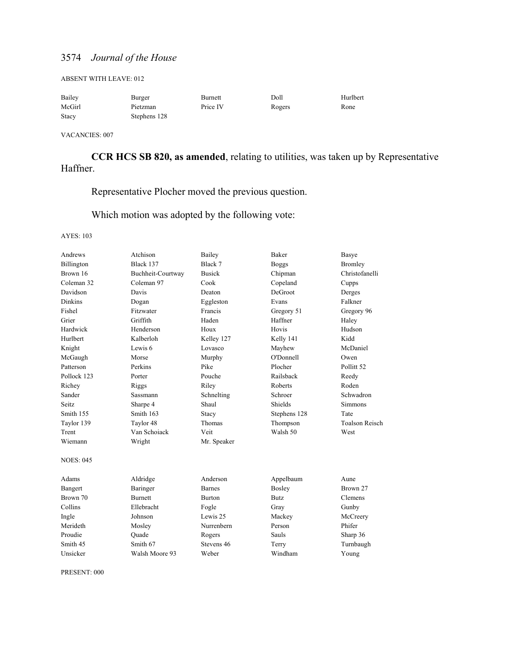ABSENT WITH LEAVE: 012

| Bailey | Burger       | Burnett  | Doll   | Hurlbert |
|--------|--------------|----------|--------|----------|
| McGirl | Pietzman     | Price IV | Rogers | Rone     |
| Stacy  | Stephens 128 |          |        |          |

VACANCIES: 007

**CCR HCS SB 820, as amended**, relating to utilities, was taken up by Representative Haffner.

Representative Plocher moved the previous question.

Which motion was adopted by the following vote:

AYES: 103

| Andrews          | Atchison          | Bailey        | <b>Baker</b>   | Basye                 |
|------------------|-------------------|---------------|----------------|-----------------------|
| Billington       | Black 137         | Black 7       | <b>Boggs</b>   | <b>Bromley</b>        |
| Brown 16         | Buchheit-Courtway | <b>Busick</b> | Chipman        | Christofanelli        |
| Coleman 32       | Coleman 97        | Cook          | Copeland       | Cupps                 |
| Davidson         | Davis             | Deaton        | <b>DeGroot</b> | Derges                |
| <b>Dinkins</b>   | Dogan             | Eggleston     | Evans          | Falkner               |
| Fishel           | Fitzwater         | Francis       | Gregory 51     | Gregory 96            |
| Grier            | Griffith          | Haden         | Haffner        | Haley                 |
| Hardwick         | Henderson         | Houx          | Hovis          | Hudson                |
| Hurlbert         | Kalberloh         | Kelley 127    | Kelly 141      | Kidd                  |
| Knight           | Lewis 6           | Lovasco       | Mayhew         | McDaniel              |
| McGaugh          | Morse             | Murphy        | O'Donnell      | Owen                  |
| Patterson        | Perkins           | Pike          | Plocher        | Pollitt <sub>52</sub> |
| Pollock 123      | Porter            | Pouche        | Railsback      | Reedy                 |
| Richey           | Riggs             | Riley         | Roberts        | Roden                 |
| Sander           | <b>Sassmann</b>   | Schnelting    | Schroer        | Schwadron             |
| Seitz.           | Sharpe 4          | Shaul         | Shields        | <b>Simmons</b>        |
| Smith 155        | Smith 163         | Stacy         | Stephens 128   | Tate                  |
| Taylor 139       | Taylor 48         | Thomas        | Thompson       | <b>Toalson Reisch</b> |
| Trent            | Van Schoiack      | Veit          | Walsh 50       | West                  |
| Wiemann          | Wright            | Mr. Speaker   |                |                       |
| <b>NOES: 045</b> |                   |               |                |                       |
| Adams            | Aldridge          | Anderson      | Appelbaum      | Aune                  |
| Bangert          | Baringer          | <b>Barnes</b> | <b>Bosley</b>  | Brown 27              |
| Brown 70         | <b>Burnett</b>    | <b>Burton</b> | <b>Butz</b>    | Clemens               |
| Collins          | Ellebracht        | Fogle         | Gray           | Gunby                 |
| Ingle            | Johnson           | Lewis 25      | Mackey         | McCreery              |
| Merideth         | Mosley            | Nurrenbern    | Person         | Phifer                |
| Proudie          | Ouade             | Rogers        | Sauls          | Sharp 36              |
| Smith 45         | Smith 67          | Stevens 46    | Terry          | Turnbaugh             |
| Unsicker         | Walsh Moore 93    | Weber         | Windham        | Young                 |
|                  |                   |               |                |                       |

PRESENT: 000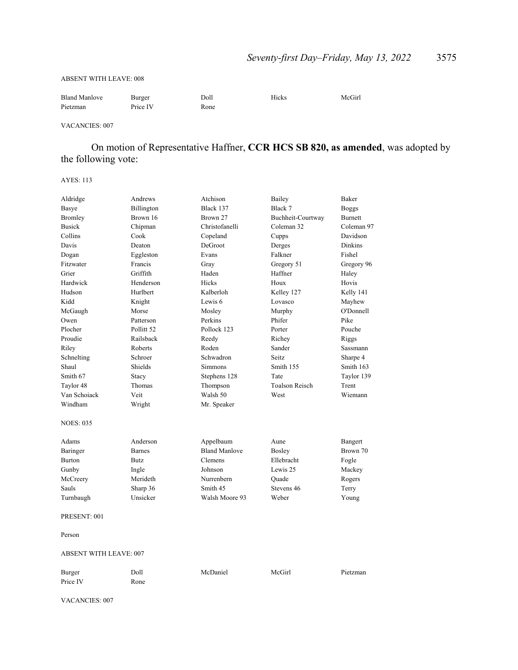#### ABSENT WITH LEAVE: 008

| <b>Bland Manlove</b> | Burger   | Doll | Hicks | McGirl |
|----------------------|----------|------|-------|--------|
| Pietzman             | Price IV | Rone |       |        |

#### VACANCIES: 007

 On motion of Representative Haffner, **CCR HCS SB 820, as amended**, was adopted by the following vote:

AYES: 113

| Aldridge         | Andrews       | Atchison             | Bailey                | Baker          |
|------------------|---------------|----------------------|-----------------------|----------------|
| Basye            | Billington    | Black 137            | Black 7               | <b>Boggs</b>   |
| Bromley          | Brown 16      | Brown 27             | Buchheit-Courtway     | <b>Burnett</b> |
| <b>Busick</b>    | Chipman       | Christofanelli       | Coleman 32            | Coleman 97     |
| Collins          | Cook          | Copeland             | Cupps                 | Davidson       |
| Davis            | Deaton        | DeGroot              | Derges                | Dinkins        |
| Dogan            | Eggleston     | Evans                | Falkner               | Fishel         |
| Fitzwater        | Francis       | Gray                 | Gregory 51            | Gregory 96     |
| Grier            | Griffith      | Haden                | Haffner               | Haley          |
| Hardwick         | Henderson     | Hicks                | Houx                  | Hovis          |
| Hudson           | Hurlbert      | Kalberloh            | Kelley 127            | Kelly 141      |
| Kidd             | Knight        | Lewis 6              | Lovasco               | Mayhew         |
| McGaugh          | Morse         | Mosley               | Murphy                | O'Donnell      |
| Owen             | Patterson     | Perkins              | Phifer                | Pike           |
| Plocher          | Pollitt 52    | Pollock 123          | Porter                | Pouche         |
| Proudie          | Railsback     | Reedy                | Richey                | Riggs          |
| Riley            | Roberts       | Roden                | Sander                | Sassmann       |
| Schnelting       | Schroer       | Schwadron            | <b>Seitz</b>          | Sharpe 4       |
| Shaul            | Shields       | Simmons              | Smith 155             | Smith 163      |
| Smith 67         | Stacy         | Stephens 128         | Tate                  | Taylor 139     |
| Taylor 48        | Thomas        | Thompson             | <b>Toalson Reisch</b> | Trent          |
| Van Schoiack     | Veit          | Walsh 50             | West                  | Wiemann        |
| Windham          | Wright        | Mr. Speaker          |                       |                |
| <b>NOES: 035</b> |               |                      |                       |                |
| Adams            | Anderson      | Appelbaum            | Aune                  | Bangert        |
| Baringer         | <b>Barnes</b> | <b>Bland Manlove</b> | <b>Bosley</b>         | Brown 70       |
| <b>Burton</b>    | Butz          | Clemens              | Ellebracht            | Fogle          |
| Gunby            | Ingle         | Johnson              | Lewis 25              | Mackey         |
| McCreery         | Merideth      | Nurrenbern           | Ouade                 | Rogers         |
| Sauls            | Sharp 36      | Smith 45             | Stevens 46            | Terry          |
| Turnbaugh        | Unsicker      | Walsh Moore 93       | Weber                 | Young          |
| PRESENT: 001     |               |                      |                       |                |
| Person           |               |                      |                       |                |
|                  |               |                      |                       |                |

### ABSENT WITH LEAVE: 007

| Burger   | Doll | McDaniel | McGirl | Pietzman |
|----------|------|----------|--------|----------|
| Price IV | Rone |          |        |          |

VACANCIES: 007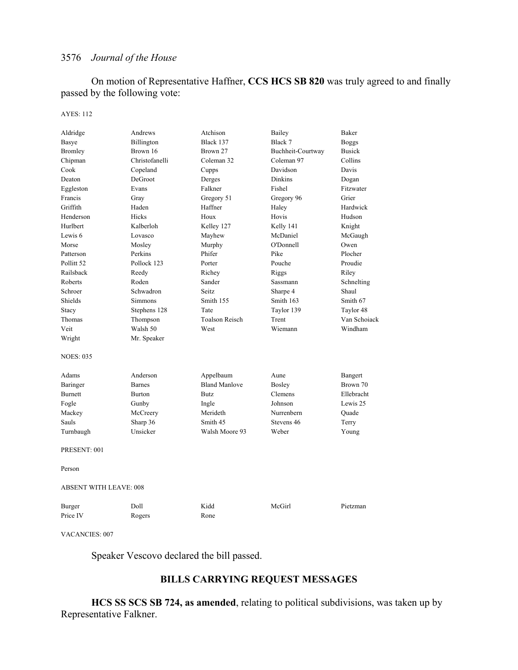On motion of Representative Haffner, **CCS HCS SB 820** was truly agreed to and finally passed by the following vote:

#### AYES: 112

| Aldridge                      | Andrews        | Atchison              | Bailey            | Baker         |
|-------------------------------|----------------|-----------------------|-------------------|---------------|
| Basye                         | Billington     | Black 137             | Black 7           | Boggs         |
| <b>Bromley</b>                | Brown 16       | Brown 27              | Buchheit-Courtway | <b>Busick</b> |
| Chipman                       | Christofanelli | Coleman 32            | Coleman 97        | Collins       |
| Cook                          | Copeland       | Cupps                 | Davidson          | Davis         |
| Deaton                        | DeGroot        | Derges                | <b>Dinkins</b>    | Dogan         |
| Eggleston                     | Evans          | Falkner               | Fishel            | Fitzwater     |
| Francis                       | Gray           | Gregory 51            | Gregory 96        | Grier         |
| Griffith                      | Haden          | Haffner               | Haley             | Hardwick      |
| Henderson                     | <b>Hicks</b>   | Houx                  | Hovis             | Hudson        |
| Hurlbert                      | Kalberloh      | Kelley 127            | Kelly 141         | Knight        |
| Lewis <sub>6</sub>            | Lovasco        | Mayhew                | McDaniel          | McGaugh       |
| Morse                         | Mosley         | Murphy                | O'Donnell         | Owen          |
| Patterson                     | Perkins        | Phifer                | Pike              | Plocher       |
| Pollitt 52                    | Pollock 123    | Porter                | Pouche            | Proudie       |
| Railsback                     | Reedy          | Richey                | Riggs             | Riley         |
| Roberts                       | Roden          | Sander                | Sassmann          | Schnelting    |
| Schroer                       | Schwadron      | Seitz                 | Sharpe 4          | Shaul         |
| Shields                       | Simmons        | Smith 155             | Smith 163         | Smith 67      |
| Stacy                         | Stephens 128   | Tate                  | Taylor 139        | Taylor 48     |
| Thomas                        | Thompson       | <b>Toalson Reisch</b> | Trent             | Van Schoiack  |
| Veit                          | Walsh 50       | West                  | Wiemann           | Windham       |
| Wright                        | Mr. Speaker    |                       |                   |               |
| <b>NOES: 035</b>              |                |                       |                   |               |
| Adams                         | Anderson       | Appelbaum             | Aune              | Bangert       |
| Baringer                      | <b>Barnes</b>  | <b>Bland Manlove</b>  | <b>Bosley</b>     | Brown 70      |
| Burnett                       | <b>Burton</b>  | Butz                  | Clemens           | Ellebracht    |
| Fogle                         | Gunby          | Ingle                 | Johnson           | Lewis 25      |
| Mackey                        | McCreery       | Merideth              | Nurrenbern        | Ouade         |
| Sauls                         | Sharp 36       | Smith 45              | Stevens 46        | Terry         |
| Turnbaugh                     | Unsicker       | Walsh Moore 93        | Weber             | Young         |
| PRESENT: 001                  |                |                       |                   |               |
| Person                        |                |                       |                   |               |
| <b>ABSENT WITH LEAVE: 008</b> |                |                       |                   |               |
| Burger                        | Doll           | Kidd                  | McGirl            | Pietzman      |
| Price IV                      | Rogers         | Rone                  |                   |               |

VACANCIES: 007

Speaker Vescovo declared the bill passed.

## **BILLS CARRYING REQUEST MESSAGES**

**HCS SS SCS SB 724, as amended**, relating to political subdivisions, was taken up by Representative Falkner.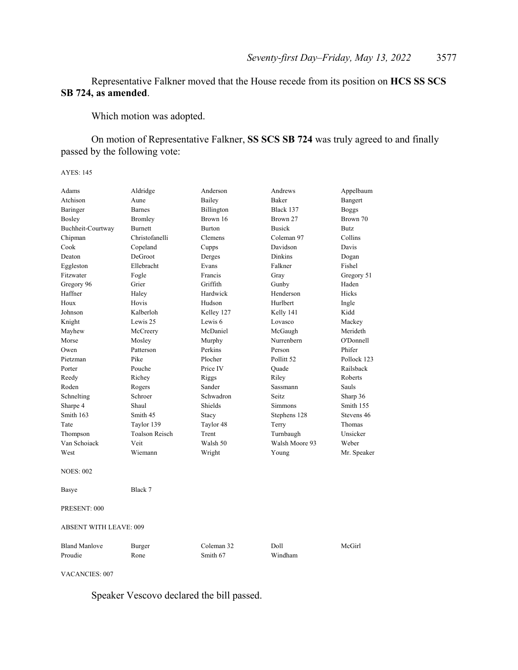Representative Falkner moved that the House recede from its position on **HCS SS SCS SB 724, as amended**.

Which motion was adopted.

 On motion of Representative Falkner, **SS SCS SB 724** was truly agreed to and finally passed by the following vote:

AYES: 145

| Adams                         | Aldridge              | Anderson      | Andrews               | Appelbaum      |
|-------------------------------|-----------------------|---------------|-----------------------|----------------|
| Atchison                      | Aune                  | Bailey        | <b>Baker</b>          | Bangert        |
| Baringer                      | <b>Barnes</b>         | Billington    | Black 137             | <b>Boggs</b>   |
| Bosley                        | Bromley               | Brown 16      | Brown 27              | Brown 70       |
| Buchheit-Courtway             | <b>Burnett</b>        | <b>Burton</b> | <b>Busick</b>         | Butz           |
| Chipman                       | Christofanelli        | Clemens       | Coleman 97            | Collins        |
| Cook                          | Copeland              | Cupps         | Davidson              | Davis          |
| Deaton                        | DeGroot               | Derges        | <b>Dinkins</b>        | Dogan          |
| Eggleston                     | Ellebracht            | Evans         | Falkner               | Fishel         |
| Fitzwater                     | Fogle                 | Francis       | Gray                  | Gregory 51     |
| Gregory 96                    | Grier                 | Griffith      | Gunby                 | Haden          |
| Haffner                       | Haley                 | Hardwick      | Henderson             | <b>Hicks</b>   |
| Houx                          | Hovis                 | Hudson        | Hurlbert              | Ingle          |
| Johnson                       | Kalberloh             | Kelley 127    | Kelly 141             | Kidd           |
| Knight                        | Lewis 25              | Lewis 6       | Lovasco               | Mackey         |
| Mayhew                        | McCreery              | McDaniel      | McGaugh               | Merideth       |
| Morse                         | Mosley                | Murphy        | Nurrenbern            | O'Donnell      |
| Owen                          | Patterson             | Perkins       | Person                | Phifer         |
| Pietzman                      | Pike                  | Plocher       | Pollitt <sub>52</sub> | Pollock 123    |
| Porter                        | Pouche                | Price IV      | Quade                 | Railsback      |
| Reedy                         | Richey                | Riggs         | Riley                 | <b>Roberts</b> |
| Roden                         | Rogers                | Sander        | Sassmann              | Sauls          |
| Schnelting                    | Schroer               | Schwadron     | Seitz.                | Sharp 36       |
| Sharpe 4                      | Shaul                 | Shields       | <b>Simmons</b>        | Smith 155      |
| Smith 163                     | Smith 45              | Stacy         | Stephens 128          | Stevens 46     |
| Tate                          | Taylor 139            | Taylor 48     | Terry                 | Thomas         |
| Thompson                      | <b>Toalson Reisch</b> | Trent         | Turnbaugh             | Unsicker       |
| Van Schoiack                  | Veit                  | Walsh 50      | Walsh Moore 93        | Weber          |
| West                          | Wiemann               | Wright        | Young                 | Mr. Speaker    |
| <b>NOES: 002</b>              |                       |               |                       |                |
| Basye                         | Black 7               |               |                       |                |
| PRESENT: 000                  |                       |               |                       |                |
| <b>ABSENT WITH LEAVE: 009</b> |                       |               |                       |                |
| <b>Bland Manlove</b>          | Burger                | Coleman 32    | Doll                  | McGirl         |
| Proudie                       | Rone                  | Smith 67      | Windham               |                |

VACANCIES: 007

Speaker Vescovo declared the bill passed.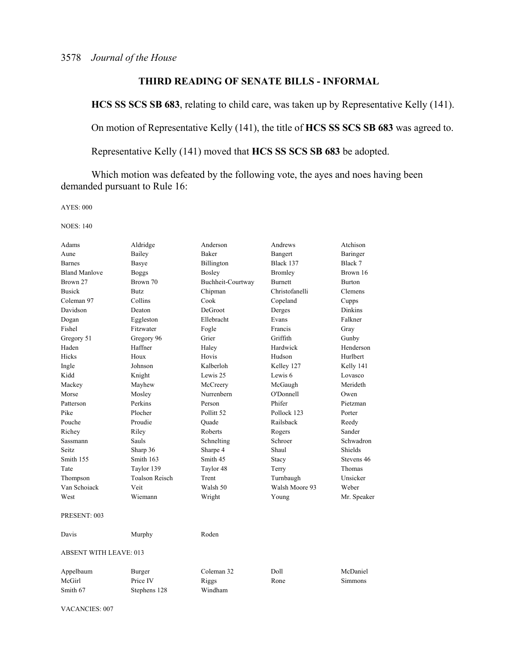## **THIRD READING OF SENATE BILLS - INFORMAL**

**HCS SS SCS SB 683**, relating to child care, was taken up by Representative Kelly (141).

On motion of Representative Kelly (141), the title of **HCS SS SCS SB 683** was agreed to.

Representative Kelly (141) moved that **HCS SS SCS SB 683** be adopted.

Which motion was defeated by the following vote, the ayes and noes having been demanded pursuant to Rule 16:

AYES: 000

NOES: 140

| Adams                         | Aldridge              | Anderson              | Andrews        | Atchison       |
|-------------------------------|-----------------------|-----------------------|----------------|----------------|
| Aune                          | Bailey                | Baker                 | Bangert        | Baringer       |
| <b>Barnes</b>                 | Basye                 | Billington            | Black 137      | Black 7        |
| <b>Bland Manlove</b>          | <b>Boggs</b>          | Bosley                | Bromley        | Brown 16       |
| Brown 27                      | Brown 70              | Buchheit-Courtway     | <b>Burnett</b> | <b>Burton</b>  |
| <b>Busick</b>                 | <b>Butz</b>           | Chipman               | Christofanelli | Clemens        |
| Coleman 97                    | Collins               | Cook                  | Copeland       | Cupps          |
| Davidson                      | Deaton                | DeGroot               | Derges         | <b>Dinkins</b> |
| Dogan                         | Eggleston             | Ellebracht            | Evans          | Falkner        |
| Fishel                        | Fitzwater             | Fogle                 | Francis        | Gray           |
| Gregory 51                    | Gregory 96            | Grier                 | Griffith       | Gunby          |
| Haden                         | Haffner               | Haley                 | Hardwick       | Henderson      |
| Hicks                         | Houx                  | Hovis                 | Hudson         | Hurlbert       |
| Ingle                         | Johnson               | Kalberloh             | Kelley 127     | Kelly 141      |
| Kidd                          | Knight                | Lewis 25              | Lewis 6        | Lovasco        |
| Mackey                        | Mayhew                | McCreery              | McGaugh        | Merideth       |
| Morse                         | Mosley                | Nurrenbern            | O'Donnell      | Owen           |
| Patterson                     | Perkins               | Person                | Phifer         | Pietzman       |
| Pike                          | Plocher               | Pollitt <sub>52</sub> | Pollock 123    | Porter         |
| Pouche                        | Proudie               | Quade                 | Railsback      | Reedy          |
| Richey                        | Riley                 | Roberts               | Rogers         | Sander         |
| Sassmann                      | <b>Sauls</b>          | Schnelting            | Schroer        | Schwadron      |
| Seitz                         | Sharp 36              | Sharpe 4              | Shaul          | Shields        |
| Smith 155                     | Smith 163             | Smith 45              | Stacy          | Stevens 46     |
| Tate                          | Taylor 139            | Taylor 48             | Terry          | Thomas         |
| Thompson                      | <b>Toalson Reisch</b> | Trent                 | Turnbaugh      | Unsicker       |
| Van Schoiack                  | Veit                  | Walsh 50              | Walsh Moore 93 | Weber          |
| West                          | Wiemann               | Wright                | Young          | Mr. Speaker    |
| PRESENT: 003                  |                       |                       |                |                |
| Davis                         | Murphy                | Roden                 |                |                |
| <b>ABSENT WITH LEAVE: 013</b> |                       |                       |                |                |
| Appelbaum                     | Burger                | Coleman 32            | Doll           | McDaniel       |
| McGirl                        | Price IV              | Riggs                 | Rone           | Simmons        |
| Smith 67                      | Stephens 128          | Windham               |                |                |

VACANCIES: 007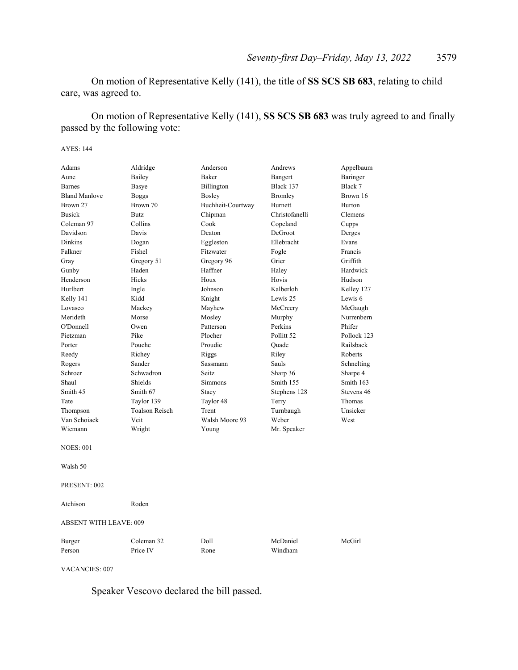On motion of Representative Kelly (141), the title of **SS SCS SB 683**, relating to child care, was agreed to.

 On motion of Representative Kelly (141), **SS SCS SB 683** was truly agreed to and finally passed by the following vote:

#### AYES: 144

| Adams                         | Aldridge              | Anderson          | Andrews               | Appelbaum     |  |
|-------------------------------|-----------------------|-------------------|-----------------------|---------------|--|
| Aune                          | Bailey                | Baker             | Bangert               | Baringer      |  |
| <b>Barnes</b>                 | Basye                 | Billington        | Black 137             | Black 7       |  |
| <b>Bland Manlove</b>          | <b>Boggs</b>          | Bosley            | Bromley               | Brown 16      |  |
| Brown 27                      | Brown 70              | Buchheit-Courtway | <b>Burnett</b>        | <b>Burton</b> |  |
| <b>Busick</b>                 | Butz.                 | Chipman           | Christofanelli        | Clemens       |  |
| Coleman 97                    | Collins               | Cook              | Copeland              | Cupps         |  |
| Davidson                      | Davis                 | Deaton            | DeGroot               | Derges        |  |
| Dinkins                       | Dogan                 | Eggleston         | Ellebracht            | Evans         |  |
| Falkner                       | Fishel                | Fitzwater         | Fogle                 | Francis       |  |
| Gray                          | Gregory 51            | Gregory 96        | Grier                 | Griffith      |  |
| Gunby                         | Haden                 | Haffner           | Haley                 | Hardwick      |  |
| Henderson                     | <b>Hicks</b>          | Houx              | Hovis                 | Hudson        |  |
| Hurlbert                      | Ingle                 | Johnson           | Kalberloh             | Kelley 127    |  |
| Kelly 141                     | Kidd                  | Knight            | Lewis 25              | Lewis 6       |  |
| Lovasco                       | Mackey                | Mayhew            | McCreery              | McGaugh       |  |
| Merideth                      | Morse                 | Mosley            | Murphy                | Nurrenbern    |  |
| O'Donnell                     | Owen                  | Patterson         | Perkins               | Phifer        |  |
| Pietzman                      | Pike                  | Plocher           | Pollitt <sub>52</sub> | Pollock 123   |  |
| Porter                        | Pouche                | Proudie           | Quade                 | Railsback     |  |
| Reedy                         | Richey                | Riggs             | Riley                 | Roberts       |  |
| Rogers                        | Sander                | Sassmann          | Sauls                 | Schnelting    |  |
| Schroer                       | Schwadron             | <b>Seitz</b>      | Sharp 36              | Sharpe 4      |  |
| Shaul                         | Shields               | Simmons           | Smith 155             | Smith 163     |  |
| Smith 45                      | Smith 67              | Stacy             | Stephens 128          | Stevens 46    |  |
| Tate                          | Taylor 139            | Taylor 48         | Terry                 | Thomas        |  |
| Thompson                      | <b>Toalson Reisch</b> | Trent             | Turnbaugh             | Unsicker      |  |
| Van Schoiack                  | Veit                  | Walsh Moore 93    | Weber                 | West          |  |
| Wiemann                       | Wright                | Young             | Mr. Speaker           |               |  |
| <b>NOES: 001</b>              |                       |                   |                       |               |  |
|                               |                       |                   |                       |               |  |
| Walsh 50                      |                       |                   |                       |               |  |
| PRESENT: 002                  |                       |                   |                       |               |  |
| Atchison                      | Roden                 |                   |                       |               |  |
| <b>ABSENT WITH LEAVE: 009</b> |                       |                   |                       |               |  |
| Burger                        | Coleman 32            | Doll              | McDaniel              | McGirl        |  |
| Person                        | Price IV              | Rone              | Windham               |               |  |
|                               |                       |                   |                       |               |  |
|                               |                       |                   |                       |               |  |

VACANCIES: 007

Speaker Vescovo declared the bill passed.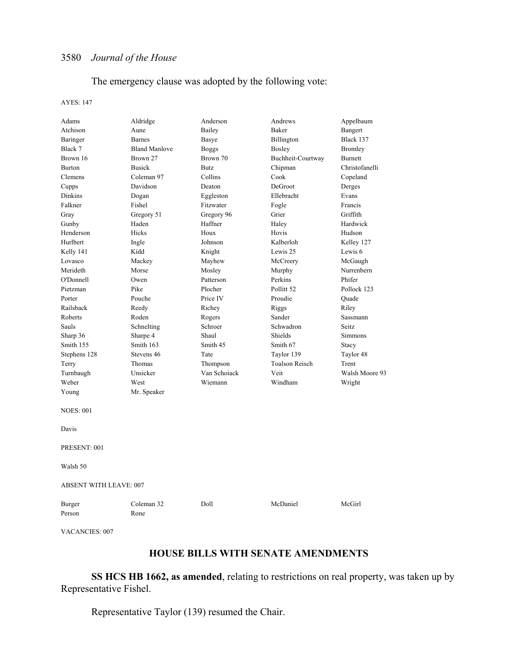## The emergency clause was adopted by the following vote:

#### AYES: 147

| Adams                         | Aldridge             | Anderson     | Andrews               | Appelbaum      |  |
|-------------------------------|----------------------|--------------|-----------------------|----------------|--|
| Atchison                      | Aune                 | Bailey       | Baker                 | Bangert        |  |
| Baringer                      | <b>Barnes</b>        | Basye        | Billington            | Black 137      |  |
| Black 7                       | <b>Bland Manlove</b> | <b>Boggs</b> | Bosley                | Bromley        |  |
| Brown 16                      | Brown 27             | Brown 70     | Buchheit-Courtway     | Burnett        |  |
| <b>Burton</b>                 | <b>Busick</b>        | <b>Butz</b>  | Chipman               | Christofanelli |  |
| Clemens                       | Coleman 97           | Collins      | Cook                  | Copeland       |  |
| Cupps                         | Davidson             | Deaton       | DeGroot               | Derges         |  |
| Dinkins                       | Dogan                | Eggleston    | Ellebracht            | Evans          |  |
| Falkner                       | Fishel               | Fitzwater    | Fogle                 | Francis        |  |
| Gray                          | Gregory 51           | Gregory 96   | Grier                 | Griffith       |  |
| Gunby                         | Haden                | Haffner      | Haley                 | Hardwick       |  |
| Henderson                     | Hicks                | Houx         | Hovis                 | Hudson         |  |
| Hurlbert                      | Ingle                | Johnson      | Kalberloh             | Kelley 127     |  |
| Kelly 141                     | Kidd                 | Knight       | Lewis 25              | Lewis 6        |  |
| Lovasco                       | Mackey               | Mayhew       | McCreery              | McGaugh        |  |
| Merideth                      | Morse                | Mosley       | Murphy                | Nurrenbern     |  |
| O'Donnell                     | Owen                 | Patterson    | Perkins               | Phifer         |  |
| Pietzman                      | Pike                 | Plocher      | Pollitt <sub>52</sub> | Pollock 123    |  |
| Porter                        | Pouche               | Price IV     | Proudie               | Quade          |  |
| Railsback                     | Reedy                | Richey       | Riggs                 | Riley          |  |
| Roberts                       | Roden                | Rogers       | Sander                | Sassmann       |  |
| Sauls                         | Schnelting           | Schroer      | Schwadron             | Seitz          |  |
| Sharp 36                      | Sharpe 4             | Shaul        | Shields               | Simmons        |  |
| Smith 155                     | Smith 163            | Smith 45     | Smith 67              | Stacy          |  |
| Stephens 128                  | Stevens 46           | Tate         | Taylor 139            | Taylor 48      |  |
| Terry                         | Thomas               | Thompson     | <b>Toalson Reisch</b> | Trent          |  |
| Turnbaugh                     | Unsicker             | Van Schoiack | Veit                  | Walsh Moore 93 |  |
| Weber                         | West                 | Wiemann      | Windham               | Wright         |  |
| Young                         | Mr. Speaker          |              |                       |                |  |
| <b>NOES: 001</b>              |                      |              |                       |                |  |
| Davis                         |                      |              |                       |                |  |
| PRESENT: 001                  |                      |              |                       |                |  |
| Walsh 50                      |                      |              |                       |                |  |
| <b>ABSENT WITH LEAVE: 007</b> |                      |              |                       |                |  |
| Burger                        | Coleman 32           | Doll         | McDaniel              | McGirl         |  |
| Person                        | Rone                 |              |                       |                |  |

VACANCIES: 007

## **HOUSE BILLS WITH SENATE AMENDMENTS**

**SS HCS HB 1662, as amended**, relating to restrictions on real property, was taken up by Representative Fishel.

Representative Taylor (139) resumed the Chair.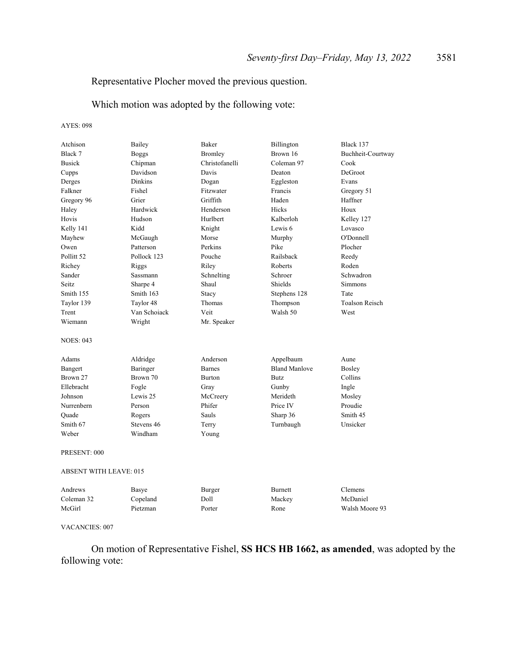## Representative Plocher moved the previous question.

Which motion was adopted by the following vote:

AYES: 098

| Atchison                      | Bailey         | Baker          | Billington           | Black 137             |
|-------------------------------|----------------|----------------|----------------------|-----------------------|
| Black 7                       | <b>Boggs</b>   | <b>Bromley</b> | Brown 16             | Buchheit-Courtway     |
| <b>Busick</b>                 | Chipman        | Christofanelli | Coleman 97           | Cook                  |
| Cupps                         | Davidson       | Davis          | Deaton               | DeGroot               |
| Derges                        | <b>Dinkins</b> | Dogan          | Eggleston            | Evans                 |
| Falkner                       | Fishel         | Fitzwater      | Francis              | Gregory 51            |
| Gregory 96                    | Grier          | Griffith       | Haden                | Haffner               |
| Haley                         | Hardwick       | Henderson      | Hicks                | Houx                  |
| Hovis                         | Hudson         | Hurlbert       | Kalberloh            | Kelley 127            |
| Kelly 141                     | Kidd           | Knight         | Lewis 6              | Lovasco               |
| Mayhew                        | McGaugh        | Morse          | Murphy               | O'Donnell             |
| Owen                          | Patterson      | Perkins        | Pike                 | Plocher               |
| Pollitt <sub>52</sub>         | Pollock 123    | Pouche         | Railsback            | Reedy                 |
| Richey                        | Riggs          | Riley          | Roberts              | Roden                 |
| Sander                        | Sassmann       | Schnelting     | Schroer              | Schwadron             |
| Seitz.                        | Sharpe 4       | Shaul          | Shields              | <b>Simmons</b>        |
| Smith 155                     | Smith 163      | Stacy          | Stephens 128         | Tate                  |
| Taylor 139                    | Taylor 48      | Thomas         | Thompson             | <b>Toalson Reisch</b> |
| Trent                         | Van Schoiack   | Veit           | Walsh 50             | West                  |
| Wiemann                       | Wright         | Mr. Speaker    |                      |                       |
| <b>NOES: 043</b>              |                |                |                      |                       |
| Adams                         | Aldridge       | Anderson       | Appelbaum            | Aune                  |
| Bangert                       | Baringer       | <b>Barnes</b>  | <b>Bland Manlove</b> | Bosley                |
| Brown 27                      | Brown 70       | <b>Burton</b>  | <b>Butz</b>          | Collins               |
| Ellebracht                    | Fogle          | Gray           | Gunby                | Ingle                 |
| Johnson                       | Lewis 25       | McCreery       | Merideth             | Mosley                |
| Nurrenbern                    | Person         | Phifer         | Price IV             | Proudie               |
| Ouade                         | Rogers         | Sauls          | Sharp 36             | Smith 45              |
| Smith 67                      | Stevens 46     | Terry          | Turnbaugh            | Unsicker              |
| Weber                         | Windham        | Young          |                      |                       |
| PRESENT: 000                  |                |                |                      |                       |
| <b>ABSENT WITH LEAVE: 015</b> |                |                |                      |                       |
| Andrews                       | Basye          | Burger         | <b>Burnett</b>       | Clemens               |
| Coleman 32                    | Copeland       | Doll           | Mackey               | McDaniel              |
| McGirl                        | Pietzman       | Porter         | Rone                 | Walsh Moore 93        |
|                               |                |                |                      |                       |

#### VACANCIES: 007

 On motion of Representative Fishel, **SS HCS HB 1662, as amended**, was adopted by the following vote: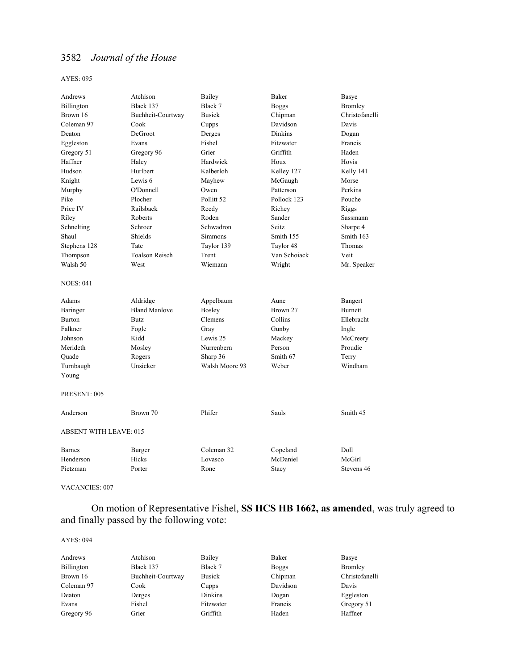AYES: 095

| Andrews                       | Atchison              | Bailey         | Baker          | <b>Basye</b>   |
|-------------------------------|-----------------------|----------------|----------------|----------------|
| Billington                    | Black 137             | Black 7        | <b>Boggs</b>   | Bromley        |
| Brown 16                      | Buchheit-Courtway     | <b>Busick</b>  | Chipman        | Christofanelli |
| Coleman 97                    | Cook                  | Cupps          | Davidson       | Davis          |
| Deaton                        | DeGroot               | Derges         | <b>Dinkins</b> | Dogan          |
| Eggleston                     | Evans                 | Fishel         | Fitzwater      | Francis        |
| Gregory 51                    | Gregory 96            | Grier          | Griffith       | Haden          |
| Haffner                       | Haley                 | Hardwick       | Houx           | Hovis          |
| Hudson                        | Hurlbert              | Kalberloh      | Kelley 127     | Kelly 141      |
| Knight                        | Lewis 6               | Mayhew         | McGaugh        | Morse          |
| Murphy                        | O'Donnell             | Owen           | Patterson      | Perkins        |
| Pike                          | Plocher               | Pollitt 52     | Pollock 123    | Pouche         |
| Price IV                      | Railsback             | Reedy          | Richey         | Riggs          |
| Riley                         | Roberts               | Roden          | Sander         | Sassmann       |
| Schnelting                    | Schroer               | Schwadron      | Seitz          | Sharpe 4       |
| Shaul                         | Shields               | Simmons        | Smith 155      | Smith 163      |
| Stephens 128                  | Tate                  | Taylor 139     | Taylor 48      | Thomas         |
| Thompson                      | <b>Toalson Reisch</b> | Trent          | Van Schoiack   | Veit           |
| Walsh 50                      | West                  | Wiemann        | Wright         | Mr. Speaker    |
| <b>NOES: 041</b>              |                       |                |                |                |
| Adams                         | Aldridge              | Appelbaum      | Aune           | Bangert        |
| Baringer                      | <b>Bland Manlove</b>  | Bosley         | Brown 27       | <b>Burnett</b> |
| <b>Burton</b>                 | Butz.                 | Clemens        | Collins        | Ellebracht     |
| Falkner                       | Fogle                 | Gray           | Gunby          | Ingle          |
| Johnson                       | Kidd                  | Lewis 25       | Mackey         | McCreery       |
| Merideth                      | Mosley                | Nurrenbern     | Person         | Proudie        |
| Ouade                         | Rogers                | Sharp 36       | Smith 67       | Terry          |
| Turnbaugh                     | Unsicker              | Walsh Moore 93 | Weber          | Windham        |
| Young                         |                       |                |                |                |
| PRESENT: 005                  |                       |                |                |                |
| Anderson                      | Brown 70              | Phifer         | Sauls          | Smith 45       |
| <b>ABSENT WITH LEAVE: 015</b> |                       |                |                |                |
| <b>Barnes</b>                 | Burger                | Coleman 32     | Copeland       | Doll           |
| Henderson                     | Hicks                 | Lovasco        | McDaniel       | McGirl         |
| Pietzman                      | Porter                | Rone           | Stacy          | Stevens 46     |
|                               |                       |                |                |                |

VACANCIES: 007

 On motion of Representative Fishel, **SS HCS HB 1662, as amended**, was truly agreed to and finally passed by the following vote:

| Andrews    | Atchison          | Bailey        | Baker        | Basye          |
|------------|-------------------|---------------|--------------|----------------|
| Billington | Black 137         | Black 7       | <b>Boggs</b> | Bromley        |
| Brown 16   | Buchheit-Courtway | <b>Busick</b> | Chipman      | Christofanelli |
| Coleman 97 | Cook              | Cupps         | Davidson     | Davis          |
| Deaton     | Derges            | Dinkins       | Dogan        | Eggleston      |
| Evans      | Fishel            | Fitzwater     | Francis      | Gregory 51     |
| Gregory 96 | Grier             | Griffith      | Haden        | Haffner        |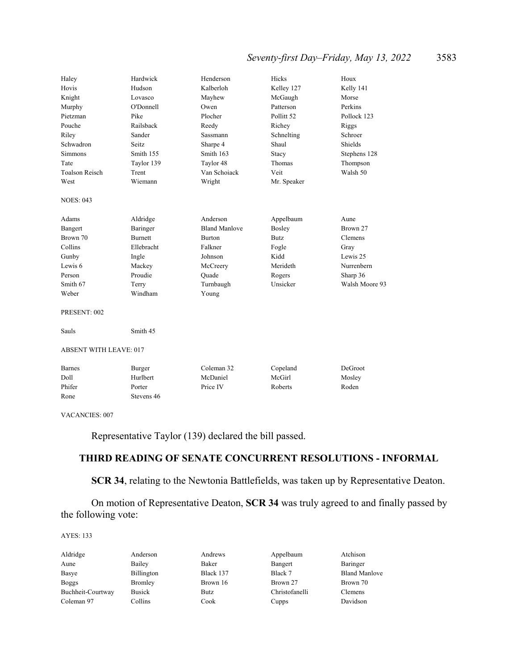## *Seventy-first Day–Friday, May 13, 2022* 3583

| Haley                         | Hardwick       | Henderson            | Hicks                 | Houx           |
|-------------------------------|----------------|----------------------|-----------------------|----------------|
| Hovis                         | Hudson         | Kalberloh            | Kelley 127            | Kelly 141      |
| Knight                        | Lovasco        | Mayhew               | McGaugh               | Morse          |
| Murphy                        | O'Donnell      | Owen                 | Patterson             | Perkins        |
| Pietzman                      | Pike           | Plocher              | Pollitt <sub>52</sub> | Pollock 123    |
| Pouche                        | Railsback      | Reedy                | Richey                | Riggs          |
| Riley                         | Sander         | Sassmann             | Schnelting            | Schroer        |
| Schwadron                     | Seitz          | Sharpe 4             | Shaul                 | Shields        |
| Simmons                       | Smith 155      | Smith 163            | Stacy                 | Stephens 128   |
| Tate                          | Taylor 139     | Taylor 48            | Thomas                | Thompson       |
| <b>Toalson Reisch</b>         | Trent          | Van Schoiack         | Veit                  | Walsh 50       |
| West                          | Wiemann        | Wright               | Mr. Speaker           |                |
| <b>NOES: 043</b>              |                |                      |                       |                |
| Adams                         | Aldridge       | Anderson             | Appelbaum             | Aune           |
| Bangert                       | Baringer       | <b>Bland Manlove</b> | <b>Bosley</b>         | Brown 27       |
| Brown 70                      | <b>Burnett</b> | <b>Burton</b>        | <b>Butz</b>           | Clemens        |
| Collins                       | Ellebracht     | Falkner              | Fogle                 | Gray           |
| Gunby                         | Ingle          | Johnson              | Kidd                  | Lewis 25       |
| Lewis 6                       | Mackey         | McCreery             | Merideth              | Nurrenbern     |
| Person                        | Proudie        | Quade                | Rogers                | Sharp 36       |
| Smith 67                      | Terry          | Turnbaugh            | Unsicker              | Walsh Moore 93 |
| Weber                         | Windham        | Young                |                       |                |
| PRESENT: 002                  |                |                      |                       |                |
| Sauls                         | Smith 45       |                      |                       |                |
| <b>ABSENT WITH LEAVE: 017</b> |                |                      |                       |                |
| <b>Barnes</b>                 | Burger         | Coleman 32           | Copeland              | DeGroot        |
| Doll                          | Hurlbert       | McDaniel             | McGirl                | Mosley         |
| Phifer                        | Porter         | Price IV             | Roberts               | Roden          |
| Rone                          | Stevens 46     |                      |                       |                |

VACANCIES: 007

Representative Taylor (139) declared the bill passed.

## **THIRD READING OF SENATE CONCURRENT RESOLUTIONS - INFORMAL**

**SCR 34**, relating to the Newtonia Battlefields, was taken up by Representative Deaton.

 On motion of Representative Deaton, **SCR 34** was truly agreed to and finally passed by the following vote:

| Aldridge          | Anderson      | Andrews   | Appelbaum      | Atchison             |
|-------------------|---------------|-----------|----------------|----------------------|
| Aune              | Bailey        | Baker     | Bangert        | Baringer             |
| Basye             | Billington    | Black 137 | Black 7        | <b>Bland Manlove</b> |
| Boggs             | Bromley       | Brown 16  | Brown 27       | Brown 70             |
| Buchheit-Courtway | <b>Busick</b> | Butz      | Christofanelli | <b>Clemens</b>       |
| Coleman 97        | Collins       | Cook      | Cupps          | Davidson             |
|                   |               |           |                |                      |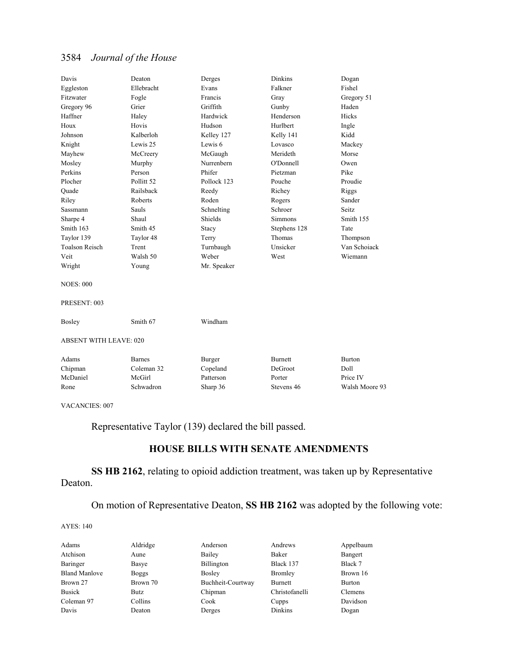| Davis                         | Deaton                | Derges      | <b>Dinkins</b> | Dogan          |
|-------------------------------|-----------------------|-------------|----------------|----------------|
| Eggleston                     | Ellebracht            | Evans       | Falkner        | Fishel         |
| Fitzwater                     | Fogle                 | Francis     | Gray           | Gregory 51     |
| Gregory 96                    | Grier                 | Griffith    | Gunby          | Haden          |
| Haffner                       | Haley                 | Hardwick    | Henderson      | Hicks          |
| Houx                          | Hovis                 | Hudson      | Hurlbert       | Ingle          |
| Johnson                       | Kalberloh             | Kelley 127  | Kelly 141      | Kidd           |
| Knight                        | Lewis 25              | Lewis 6     | Lovasco        | Mackey         |
| Mayhew                        | McCreery              | McGaugh     | Merideth       | Morse          |
| Mosley                        | Murphy                | Nurrenbern  | O'Donnell      | Owen           |
| Perkins                       | Person                | Phifer      | Pietzman       | Pike           |
| Plocher                       | Pollitt <sub>52</sub> | Pollock 123 | Pouche         | Proudie        |
| Ouade                         | Railsback             | Reedy       | Richey         | Riggs          |
| Riley                         | Roberts               | Roden       | Rogers         | Sander         |
| Sassmann                      | Sauls                 | Schnelting  | Schroer        | Seitz          |
| Sharpe 4                      | Shaul                 | Shields     | <b>Simmons</b> | Smith 155      |
| Smith 163                     | Smith 45              | Stacy       | Stephens 128   | Tate           |
| Taylor 139                    | Taylor 48             | Terry       | Thomas         | Thompson       |
| <b>Toalson Reisch</b>         | Trent                 | Turnbaugh   | Unsicker       | Van Schoiack   |
| Veit                          | Walsh 50              | Weber       | West           | Wiemann        |
| Wright                        | Young                 | Mr. Speaker |                |                |
| <b>NOES: 000</b>              |                       |             |                |                |
| PRESENT: 003                  |                       |             |                |                |
| Bosley                        | Smith 67              | Windham     |                |                |
| <b>ABSENT WITH LEAVE: 020</b> |                       |             |                |                |
| Adams                         | <b>Barnes</b>         | Burger      | <b>Burnett</b> | <b>Burton</b>  |
| Chipman                       | Coleman 32            | Copeland    | DeGroot        | Doll           |
| McDaniel                      | McGirl                | Patterson   | Porter         | Price IV       |
| Rone                          | Schwadron             | Sharp 36    | Stevens 46     | Walsh Moore 93 |
|                               |                       |             |                |                |

VACANCIES: 007

Representative Taylor (139) declared the bill passed.

## **HOUSE BILLS WITH SENATE AMENDMENTS**

## **SS HB 2162**, relating to opioid addiction treatment, was taken up by Representative Deaton.

On motion of Representative Deaton, **SS HB 2162** was adopted by the following vote:

| Adams                | Aldridge     | Anderson          | Andrews        | Appelbaum      |
|----------------------|--------------|-------------------|----------------|----------------|
| Atchison             | Aune         | Bailey            | Baker          | Bangert        |
| Baringer             | Basye        | Billington        | Black 137      | Black 7        |
| <b>Bland Manlove</b> | <b>Boggs</b> | <b>Bosley</b>     | Bromley        | Brown 16       |
| Brown 27             | Brown 70     | Buchheit-Courtway | Burnett        | <b>Burton</b>  |
| <b>Busick</b>        | Butz         | Chipman           | Christofanelli | <b>Clemens</b> |
| Coleman 97           | Collins      | Cook              | Cupps          | Davidson       |
| Davis                | Deaton       | Derges            | Dinkins        | Dogan          |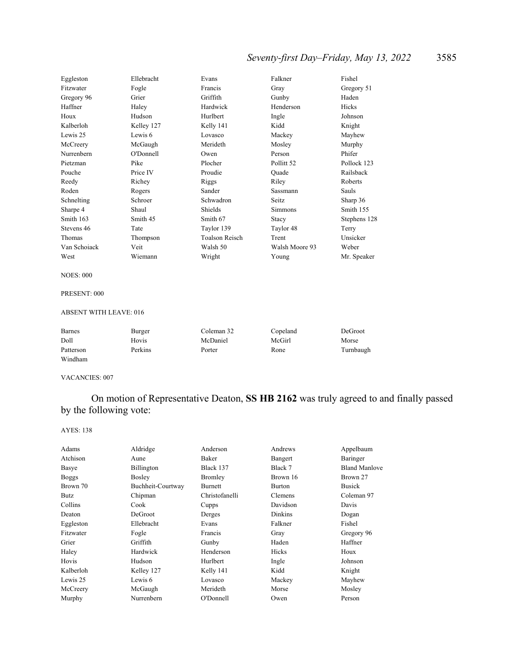## *Seventy-first Day–Friday, May 13, 2022* 3585

| Eggleston    | Ellebracht | Evans                 | Falkner        | Fishel       |
|--------------|------------|-----------------------|----------------|--------------|
| Fitzwater    | Fogle      | Francis               | Gray           | Gregory 51   |
| Gregory 96   | Grier      | Griffith              | Gunby          | Haden        |
| Haffner      | Haley      | Hardwick              | Henderson      | Hicks        |
| Houx         | Hudson     | Hurlbert              | Ingle          | Johnson      |
| Kalberloh    | Kelley 127 | Kelly 141             | Kidd           | Knight       |
| Lewis 25     | Lewis 6    | Lovasco               | Mackey         | Mayhew       |
| McCreery     | McGaugh    | Merideth              | Mosley         | Murphy       |
| Nurrenbern   | O'Donnell  | Owen                  | Person         | Phifer       |
| Pietzman     | Pike       | Plocher               | Pollitt 52     | Pollock 123  |
| Pouche       | Price IV   | Proudie               | Ouade          | Railsback    |
| Reedy        | Richey     | Riggs                 | Riley          | Roberts      |
| Roden        | Rogers     | Sander                | Sassmann       | Sauls        |
| Schnelting   | Schroer    | Schwadron             | Seitz          | Sharp 36     |
| Sharpe 4     | Shaul      | Shields               | Simmons        | Smith 155    |
| Smith 163    | Smith 45   | Smith 67              | Stacy          | Stephens 128 |
| Stevens 46   | Tate       | Taylor 139            | Taylor 48      | Terry        |
| Thomas       | Thompson   | <b>Toalson Reisch</b> | Trent          | Unsicker     |
| Van Schoiack | Veit       | Walsh 50              | Walsh Moore 93 | Weber        |
| West         | Wiemann    | Wright                | Young          | Mr. Speaker  |

#### NOES: 000

### PRESENT: 000

### ABSENT WITH LEAVE: 016

| <b>Barnes</b> | Burger  | Coleman 32 | Copeland | DeGroot   |
|---------------|---------|------------|----------|-----------|
| Doll          | Hovis   | McDaniel   | McGirl   | Morse     |
| Patterson     | Perkins | Porter     | Rone     | Turnbaugh |
| Windham       |         |            |          |           |

#### VACANCIES: 007

 On motion of Representative Deaton, **SS HB 2162** was truly agreed to and finally passed by the following vote:

| Adams        | Aldridge          | Anderson       | Andrews        | Appelbaum            |
|--------------|-------------------|----------------|----------------|----------------------|
| Atchison     | Aune              | Baker          | Bangert        | Baringer             |
| Basye        | Billington        | Black 137      | Black 7        | <b>Bland Manlove</b> |
| <b>Boggs</b> | <b>Bosley</b>     | Bromley        | Brown 16       | Brown 27             |
| Brown 70     | Buchheit-Courtway | Burnett        | Burton         | <b>Busick</b>        |
| Butz         | Chipman           | Christofanelli | Clemens        | Coleman 97           |
| Collins      | Cook              | Cupps          | Davidson       | Davis                |
| Deaton       | DeGroot           | Derges         | <b>Dinkins</b> | Dogan                |
| Eggleston    | Ellebracht        | Evans          | Falkner        | Fishel               |
| Fitzwater    | Fogle             | Francis        | Gray           | Gregory 96           |
| Grier        | Griffith          | Gunby          | Haden          | Haffner              |
| Haley        | Hardwick          | Henderson      | Hicks          | Houx                 |
| Hovis        | Hudson            | Hurlbert       | Ingle          | Johnson              |
| Kalberloh    | Kelley 127        | Kelly 141      | Kidd           | Knight               |
| Lewis 25     | Lewis 6           | Lovasco        | Mackey         | Mayhew               |
| McCreery     | McGaugh           | Merideth       | Morse          | Mosley               |
| Murphy       | Nurrenbern        | O'Donnell      | Owen           | Person               |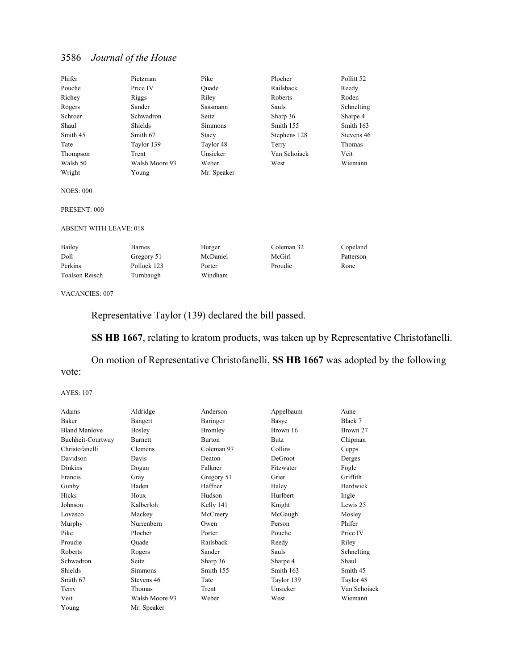| Phifer                        | Pietzman       | Pike           | Plocher      | Pollitt <sub>52</sub> |
|-------------------------------|----------------|----------------|--------------|-----------------------|
| Pouche                        | Price IV       | Ouade          | Railsback    | Reedy                 |
| Richey                        | Riggs          | Riley          | Roberts      | Roden                 |
| Rogers                        | Sander         | Sassmann       | Sauls        | Schnelting            |
| Schroer                       | Schwadron      | Seitz          | Sharp 36     | Sharpe 4              |
| Shaul                         | Shields        | <b>Simmons</b> | Smith 155    | Smith 163             |
| Smith 45                      | Smith 67       | Stacy          | Stephens 128 | Stevens 46            |
| Tate                          | Taylor 139     | Taylor 48      | Terry        | Thomas                |
| Thompson                      | Trent          | Unsicker       | Van Schoiack | Veit                  |
| Walsh 50                      | Walsh Moore 93 | Weber          | West         | Wiemann               |
| Wright                        | Young          | Mr. Speaker    |              |                       |
| <b>NOES: 000</b>              |                |                |              |                       |
| PRESENT: 000                  |                |                |              |                       |
| <b>ABSENT WITH LEAVE: 018</b> |                |                |              |                       |
| Bailey                        | Barnes         | Burger         | Coleman 32   | Copeland              |
| Doll                          | Gregory 51     | McDaniel       | McGirl       | Patterson             |

VACANCIES: 007

Toalson Reisch Turnbaugh Windham

Representative Taylor (139) declared the bill passed.

Perkins Pollock 123 Porter Proudie Rone

**SS HB 1667**, relating to kratom products, was taken up by Representative Christofanelli.

 On motion of Representative Christofanelli, **SS HB 1667** was adopted by the following vote:

| Adams                | Aldridge       | Anderson      | Appelbaum   | Aune         |
|----------------------|----------------|---------------|-------------|--------------|
| Baker                | Bangert        | Baringer      | Basye       | Black 7      |
| <b>Bland Manlove</b> | Bosley         | Bromley       | Brown 16    | Brown 27     |
| Buchheit-Courtway    | <b>Burnett</b> | <b>Burton</b> | <b>Butz</b> | Chipman      |
| Christofanelli       | Clemens        | Coleman 97    | Collins     | Cupps        |
| Davidson             | Davis          | Deaton        | DeGroot     | Derges       |
| <b>Dinkins</b>       | Dogan          | Falkner       | Fitzwater   | Fogle        |
| Francis              | Gray           | Gregory 51    | Grier       | Griffith     |
| Gunby                | Haden          | Haffner       | Haley       | Hardwick     |
| Hicks                | Houx           | Hudson        | Hurlbert    | Ingle        |
| Johnson              | Kalberloh      | Kelly 141     | Knight      | Lewis 25     |
| Lovasco              | Mackey         | McCreery      | McGaugh     | Mosley       |
| Murphy               | Nurrenbern     | Owen          | Person      | Phifer       |
| Pike                 | Plocher        | Porter        | Pouche      | Price IV     |
| Proudie              | Ouade          | Railsback     | Reedy       | Riley        |
| Roberts              | Rogers         | Sander        | Sauls       | Schnelting   |
| Schwadron            | Seitz          | Sharp 36      | Sharpe 4    | Shaul        |
| Shields              | <b>Simmons</b> | Smith 155     | Smith 163   | Smith 45     |
| Smith 67             | Stevens 46     | Tate          | Taylor 139  | Taylor 48    |
| Terry                | Thomas         | Trent         | Unsicker    | Van Schoiack |
| Veit                 | Walsh Moore 93 | Weber         | West        | Wiemann      |
| Young                | Mr. Speaker    |               |             |              |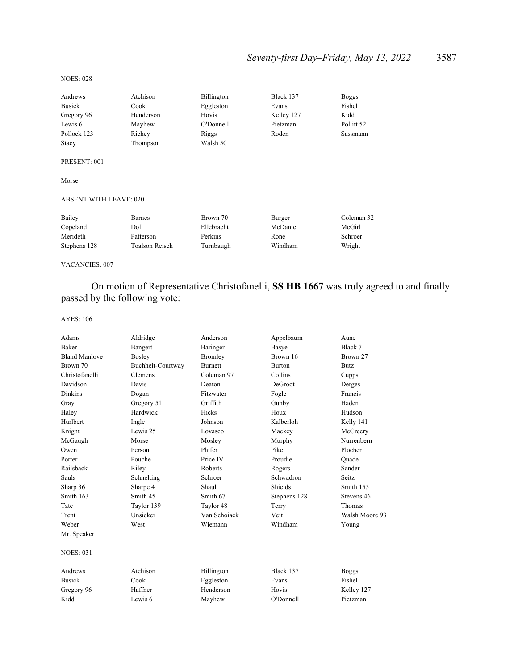## *Seventy-first Day–Friday, May 13, 2022* 3587

#### NOES: 028

| Andrews      | Atchison  | Billington | Black 137  | <b>Boggs</b> |
|--------------|-----------|------------|------------|--------------|
| Busick       | Cook      | Eggleston  | Evans      | Fishel       |
| Gregory 96   | Henderson | Hovis      | Kelley 127 | Kidd         |
| Lewis 6      | Mayhew    | O'Donnell  | Pietzman   | Pollitt 52   |
| Pollock 123  | Richey    | Riggs      | Roden      | Sassmann     |
| Stacy        | Thompson  | Walsh 50   |            |              |
| PRESENT: 001 |           |            |            |              |
| Morse        |           |            |            |              |

#### ABSENT WITH LEAVE: 020

| Bailey       | <b>Barnes</b>  | Brown 70   | Burger   | Coleman 32 |
|--------------|----------------|------------|----------|------------|
| Copeland     | Doll           | Ellebracht | McDaniel | McGirl     |
| Merideth     | Patterson      | Perkins    | Rone     | Schroer    |
| Stephens 128 | Toalson Reisch | Turnbaugh  | Windham  | Wright     |

VACANCIES: 007

 On motion of Representative Christofanelli, **SS HB 1667** was truly agreed to and finally passed by the following vote:

| Adams                | Aldridge          | Anderson       | Appelbaum     | Aune           |
|----------------------|-------------------|----------------|---------------|----------------|
| Baker                | Bangert           | Baringer       | Basye         | Black 7        |
| <b>Bland Manlove</b> | <b>Bosley</b>     | Bromley        | Brown 16      | Brown 27       |
| Brown 70             | Buchheit-Courtway | <b>Burnett</b> | <b>Burton</b> | <b>Butz</b>    |
| Christofanelli       | Clemens           | Coleman 97     | Collins       | Cupps          |
| Davidson             | Davis             | Deaton         | DeGroot       | Derges         |
| <b>Dinkins</b>       | Dogan             | Fitzwater      | Fogle         | Francis        |
| Gray                 | Gregory 51        | Griffith       | Gunby         | Haden          |
| Haley                | Hardwick          | Hicks          | Houx          | Hudson         |
| Hurlbert             | Ingle             | Johnson        | Kalberloh     | Kelly 141      |
| Knight               | Lewis 25          | Lovasco        | Mackey        | McCreery       |
| McGaugh              | Morse             | Mosley         | Murphy        | Nurrenbern     |
| Owen                 | Person            | Phifer         | Pike          | Plocher        |
| Porter               | Pouche            | Price IV       | Proudie       | Ouade          |
| Railsback            | Riley             | Roberts        | Rogers        | Sander         |
| Sauls                | Schnelting        | Schroer        | Schwadron     | Seitz.         |
| Sharp 36             | Sharpe 4          | Shaul          | Shields       | Smith 155      |
| Smith 163            | Smith 45          | Smith 67       | Stephens 128  | Stevens 46     |
| Tate                 | Taylor 139        | Taylor 48      | Terry         | Thomas         |
| Trent                | Unsicker          | Van Schoiack   | Veit          | Walsh Moore 93 |
| Weber                | West              | Wiemann        | Windham       | Young          |
| Mr. Speaker          |                   |                |               |                |
| <b>NOES: 031</b>     |                   |                |               |                |
| Andrews              | Atchison          | Billington     | Black 137     | <b>Boggs</b>   |
| <b>Busick</b>        | Cook              | Eggleston      | Evans         | Fishel         |
| Gregory 96           | Haffner           | Henderson      | Hovis         | Kelley 127     |
| Kidd                 | Lewis 6           | Mayhew         | O'Donnell     | Pietzman       |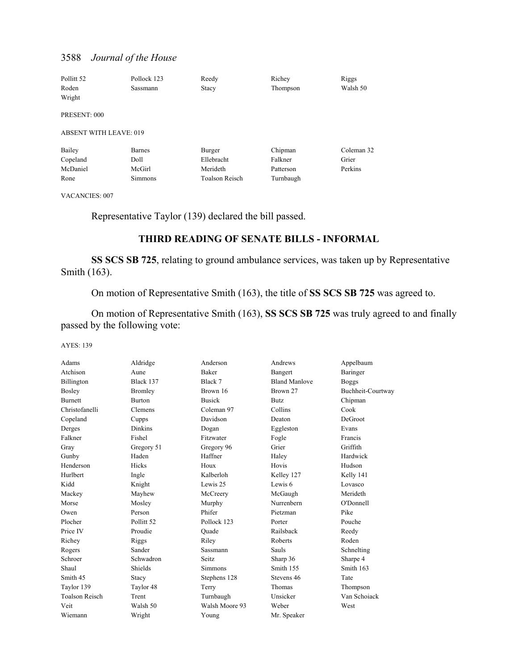| Pollitt <sub>52</sub>         | Pollock 123    | Reedy                 | Richey    | Riggs      |
|-------------------------------|----------------|-----------------------|-----------|------------|
| Roden                         | Sassmann       | Stacy                 | Thompson  | Walsh 50   |
| Wright                        |                |                       |           |            |
| PRESENT: 000                  |                |                       |           |            |
| <b>ABSENT WITH LEAVE: 019</b> |                |                       |           |            |
| Bailey                        | <b>Barnes</b>  | Burger                | Chipman   | Coleman 32 |
| Copeland                      | Doll           | Ellebracht            | Falkner   | Grier      |
| McDaniel                      | McGirl         | Merideth              | Patterson | Perkins    |
| Rone                          | <b>Simmons</b> | <b>Toalson Reisch</b> | Turnbaugh |            |

VACANCIES: 007

Representative Taylor (139) declared the bill passed.

## **THIRD READING OF SENATE BILLS - INFORMAL**

**SS SCS SB 725**, relating to ground ambulance services, was taken up by Representative Smith (163).

On motion of Representative Smith (163), the title of **SS SCS SB 725** was agreed to.

 On motion of Representative Smith (163), **SS SCS SB 725** was truly agreed to and finally passed by the following vote:

| Adams                 | Aldridge              | Anderson       | Andrews              | Appelbaum         |
|-----------------------|-----------------------|----------------|----------------------|-------------------|
| Atchison              | Aune                  | <b>Baker</b>   | Bangert              | Baringer          |
| Billington            | Black 137             | Black 7        | <b>Bland Manlove</b> | <b>Boggs</b>      |
| Bosley                | <b>Bromley</b>        | Brown 16       | Brown 27             | Buchheit-Courtway |
| <b>Burnett</b>        | <b>Burton</b>         | <b>Busick</b>  | Butz                 | Chipman           |
| Christofanelli        | Clemens               | Coleman 97     | Collins              | Cook              |
| Copeland              | Cupps                 | Davidson       | Deaton               | DeGroot           |
| Derges                | <b>Dinkins</b>        | Dogan          | Eggleston            | Evans             |
| Falkner               | Fishel                | Fitzwater      | Fogle                | Francis           |
| Gray                  | Gregory 51            | Gregory 96     | Grier                | Griffith          |
| Gunby                 | Haden                 | Haffner        | Haley                | Hardwick          |
| Henderson             | Hicks                 | Houx           | Hovis                | Hudson            |
| Hurlbert              | Ingle                 | Kalberloh      | Kelley 127           | Kelly 141         |
| Kidd                  | Knight                | Lewis 25       | Lewis 6              | Lovasco           |
| Mackey                | Mayhew                | McCreery       | McGaugh              | Merideth          |
| Morse                 | Mosley                | Murphy         | Nurrenbern           | O'Donnell         |
| Owen                  | Person                | Phifer         | Pietzman             | Pike              |
| Plocher               | Pollitt <sub>52</sub> | Pollock 123    | Porter               | Pouche            |
| Price IV              | Proudie               | Ouade          | Railsback            | Reedy             |
| Richey                | Riggs                 | Riley          | Roberts              | Roden             |
| Rogers                | Sander                | Sassmann       | Sauls                | Schnelting        |
| Schroer               | Schwadron             | Seitz          | Sharp 36             | Sharpe 4          |
| Shaul                 | Shields               | <b>Simmons</b> | Smith 155            | Smith 163         |
| Smith 45              | Stacy                 | Stephens 128   | Stevens 46           | Tate              |
| Taylor 139            | Taylor 48             | Terry          | Thomas               | Thompson          |
| <b>Toalson Reisch</b> | Trent                 | Turnbaugh      | Unsicker             | Van Schoiack      |
| Veit                  | Walsh 50              | Walsh Moore 93 | Weber                | West              |
| Wiemann               | Wright                | Young          | Mr. Speaker          |                   |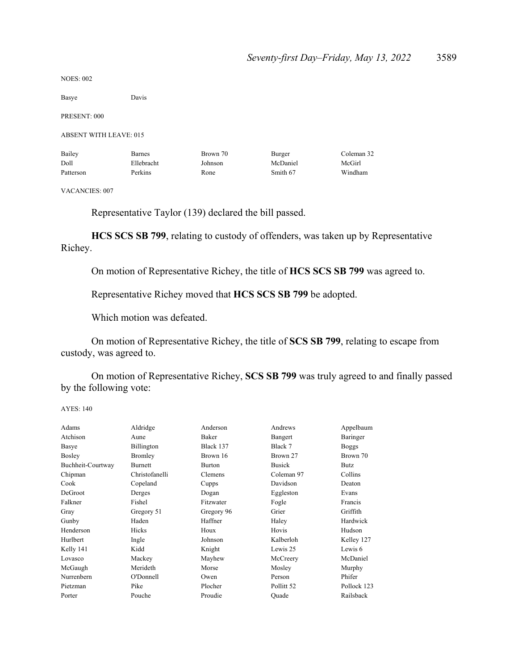NOES: 002

Basye Davis

PRESENT: 000

ABSENT WITH LEAVE: 015

| Bailey    | <b>Barnes</b> | Brown 70 | Burger   | Coleman 32 |
|-----------|---------------|----------|----------|------------|
| Doll      | Ellebracht    | Johnson  | McDaniel | McGirl     |
| Patterson | Perkins       | Rone     | Smith 67 | Windham    |

VACANCIES: 007

Representative Taylor (139) declared the bill passed.

**HCS SCS SB 799**, relating to custody of offenders, was taken up by Representative Richey.

On motion of Representative Richey, the title of **HCS SCS SB 799** was agreed to.

Representative Richey moved that **HCS SCS SB 799** be adopted.

Which motion was defeated.

 On motion of Representative Richey, the title of **SCS SB 799**, relating to escape from custody, was agreed to.

 On motion of Representative Richey, **SCS SB 799** was truly agreed to and finally passed by the following vote:

| Adams             | Aldridge       | Anderson      | Andrews       | Appelbaum    |
|-------------------|----------------|---------------|---------------|--------------|
| Atchison          | Aune           | Baker         | Bangert       | Baringer     |
| Basye             | Billington     | Black 137     | Black 7       | <b>Boggs</b> |
| Bosley            | <b>Bromley</b> | Brown 16      | Brown 27      | Brown 70     |
| Buchheit-Courtway | <b>Burnett</b> | <b>Burton</b> | <b>Busick</b> | Butz         |
| Chipman           | Christofanelli | Clemens       | Coleman 97    | Collins      |
| Cook              | Copeland       | Cupps         | Davidson      | Deaton       |
| DeGroot           | Derges         | Dogan         | Eggleston     | Evans        |
| Falkner           | Fishel         | Fitzwater     | Fogle         | Francis      |
| Gray              | Gregory 51     | Gregory 96    | Grier         | Griffith     |
| Gunby             | Haden          | Haffner       | Haley         | Hardwick     |
| Henderson         | Hicks          | Houx          | Hovis         | Hudson       |
| Hurlbert          | Ingle          | Johnson       | Kalberloh     | Kelley 127   |
| Kelly 141         | Kidd           | Knight        | Lewis 25      | Lewis 6      |
| Lovasco           | Mackey         | Mayhew        | McCreery      | McDaniel     |
| McGaugh           | Merideth       | Morse         | Mosley        | Murphy       |
| Nurrenbern        | O'Donnell      | Owen          | Person        | Phifer       |
| Pietzman          | Pike           | Plocher       | Pollitt 52    | Pollock 123  |
| Porter            | Pouche         | Proudie       | Quade         | Railsback    |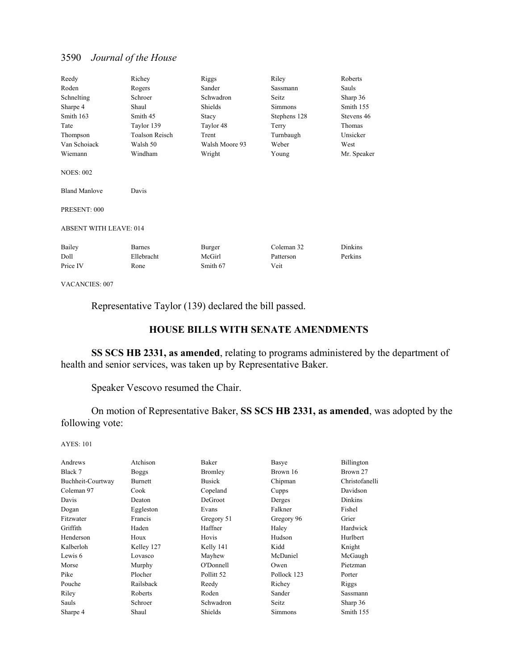| Reedy                         | Richey                | Riggs          | Riley          | Roberts        |
|-------------------------------|-----------------------|----------------|----------------|----------------|
| Roden                         | Rogers                | Sander         | Sassmann       | Sauls          |
| Schnelting                    | Schroer               | Schwadron      | Seitz          | Sharp 36       |
| Sharpe 4                      | Shaul                 | Shields        | <b>Simmons</b> | Smith 155      |
| Smith 163                     | Smith 45              | Stacy          | Stephens 128   | Stevens 46     |
| Tate                          | Taylor 139            | Taylor 48      | Terry          | Thomas         |
| Thompson                      | <b>Toalson Reisch</b> | Trent          | Turnbaugh      | Unsicker       |
| Van Schoiack                  | Walsh 50              | Walsh Moore 93 | Weber          | West           |
| Wiemann                       | Windham               | Wright         | Young          | Mr. Speaker    |
| <b>NOES: 002</b>              |                       |                |                |                |
| <b>Bland Manlove</b>          | Davis                 |                |                |                |
| PRESENT: 000                  |                       |                |                |                |
| <b>ABSENT WITH LEAVE: 014</b> |                       |                |                |                |
| Bailey                        | <b>Barnes</b>         | Burger         | Coleman 32     | <b>Dinkins</b> |
| Doll                          | Ellebracht            | McGirl         | Patterson      | Perkins        |
| Price IV                      | Rone                  | Smith 67       | Veit           |                |

VACANCIES: 007

Representative Taylor (139) declared the bill passed.

### **HOUSE BILLS WITH SENATE AMENDMENTS**

**SS SCS HB 2331, as amended**, relating to programs administered by the department of health and senior services, was taken up by Representative Baker.

Speaker Vescovo resumed the Chair.

 On motion of Representative Baker, **SS SCS HB 2331, as amended**, was adopted by the following vote:

| Andrews           | Atchison       | Baker                 | Basye       | Billington     |
|-------------------|----------------|-----------------------|-------------|----------------|
| Black 7           | <b>Boggs</b>   | Bromley               | Brown 16    | Brown 27       |
| Buchheit-Courtway | <b>Burnett</b> | <b>Busick</b>         | Chipman     | Christofanelli |
| Coleman 97        | Cook           | Copeland              | Cupps       | Davidson       |
| Davis             | Deaton         | DeGroot               | Derges      | Dinkins        |
| Dogan             | Eggleston      | Evans                 | Falkner     | Fishel         |
| Fitzwater         | Francis        | Gregory 51            | Gregory 96  | Grier          |
| Griffith          | Haden          | Haffner               | Haley       | Hardwick       |
| Henderson         | Houx           | Hovis                 | Hudson      | Hurlbert       |
| Kalberloh         | Kelley 127     | Kelly 141             | Kidd        | Knight         |
| Lewis 6           | Lovasco        | Mayhew                | McDaniel    | McGaugh        |
| Morse             | Murphy         | O'Donnell             | Owen        | Pietzman       |
| Pike              | Plocher        | Pollitt <sub>52</sub> | Pollock 123 | Porter         |
| Pouche            | Railsback      | Reedy                 | Richey      | Riggs          |
| Riley             | Roberts        | Roden                 | Sander      | Sassmann       |
| Sauls             | Schroer        | Schwadron             | Seitz       | Sharp 36       |
| Sharpe 4          | Shaul          | Shields               | Simmons     | Smith 155      |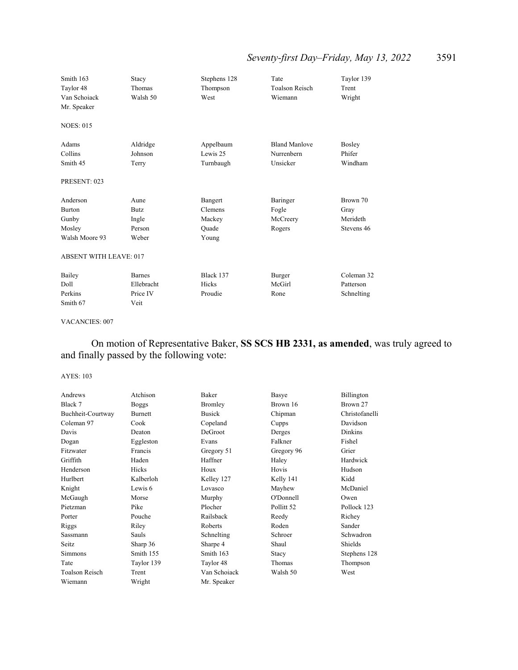## *Seventy-first Day–Friday, May 13, 2022* 3591

| Smith 163<br>Taylor 48<br>Van Schoiack<br>Mr. Speaker | Stacy<br>Thomas<br>Walsh 50  | Stephens 128<br>Thompson<br>West   | Tate<br><b>Toalson Reisch</b><br>Wiemann       | Taylor 139<br>Trent<br>Wright |
|-------------------------------------------------------|------------------------------|------------------------------------|------------------------------------------------|-------------------------------|
| <b>NOES: 015</b>                                      |                              |                                    |                                                |                               |
| Adams<br>Collins<br>Smith 45                          | Aldridge<br>Johnson<br>Terry | Appelbaum<br>Lewis 25<br>Turnbaugh | <b>Bland Manlove</b><br>Nurrenbern<br>Unsicker | Bosley<br>Phifer<br>Windham   |
| PRESENT: 023                                          |                              |                                    |                                                |                               |
| Anderson                                              | Aune                         | Bangert                            | Baringer                                       | Brown 70                      |
| <b>Burton</b>                                         | Butz.                        | Clemens                            | Fogle                                          | Gray                          |
| Gunby                                                 | Ingle                        | Mackey                             | McCreery                                       | Merideth                      |
| Mosley                                                | Person                       | Quade                              | Rogers                                         | Stevens 46                    |
| Walsh Moore 93                                        | Weber                        | Young                              |                                                |                               |
| <b>ABSENT WITH LEAVE: 017</b>                         |                              |                                    |                                                |                               |
| Bailey                                                | <b>Barnes</b>                | Black 137                          | Burger                                         | Coleman 32                    |
| Doll                                                  | Ellebracht                   | Hicks                              | McGirl                                         | Patterson                     |
| Perkins                                               | Price IV                     | Proudie                            | Rone                                           | Schnelting                    |
| Smith 67                                              | Veit                         |                                    |                                                |                               |

#### VACANCIES: 007

## On motion of Representative Baker, **SS SCS HB 2331, as amended**, was truly agreed to and finally passed by the following vote:

| Andrews               | Atchison     | Baker        | Basye                 | Billington     |
|-----------------------|--------------|--------------|-----------------------|----------------|
| Black 7               | <b>Boggs</b> | Bromley      | Brown 16              | Brown 27       |
| Buchheit-Courtway     | Burnett      | Busick       | Chipman               | Christofanelli |
| Coleman 97            | Cook         | Copeland     | Cupps                 | Davidson       |
| Davis                 | Deaton       | DeGroot      | Derges                | Dinkins        |
| Dogan                 | Eggleston    | Evans        | Falkner               | Fishel         |
| Fitzwater             | Francis      | Gregory 51   | Gregory 96            | Grier          |
| Griffith              | Haden        | Haffner      | Haley                 | Hardwick       |
| Henderson             | Hicks        | Houx         | Hovis                 | Hudson         |
| Hurlbert              | Kalberloh    | Kelley 127   | Kelly 141             | Kidd           |
| Knight                | Lewis 6      | Lovasco      | Mayhew                | McDaniel       |
| McGaugh               | Morse        | Murphy       | O'Donnell             | Owen           |
| Pietzman              | Pike         | Plocher      | Pollitt <sub>52</sub> | Pollock 123    |
| Porter                | Pouche       | Railsback    | Reedy                 | Richey         |
| Riggs                 | Riley        | Roberts      | Roden                 | Sander         |
| Sassmann              | Sauls        | Schnelting   | Schroer               | Schwadron      |
| Seitz                 | Sharp 36     | Sharpe 4     | Shaul                 | Shields        |
| Simmons               | Smith 155    | Smith 163    | Stacy                 | Stephens 128   |
| Tate                  | Taylor 139   | Taylor 48    | Thomas                | Thompson       |
| <b>Toalson Reisch</b> | Trent        | Van Schoiack | Walsh 50              | West           |
| Wiemann               | Wright       | Mr. Speaker  |                       |                |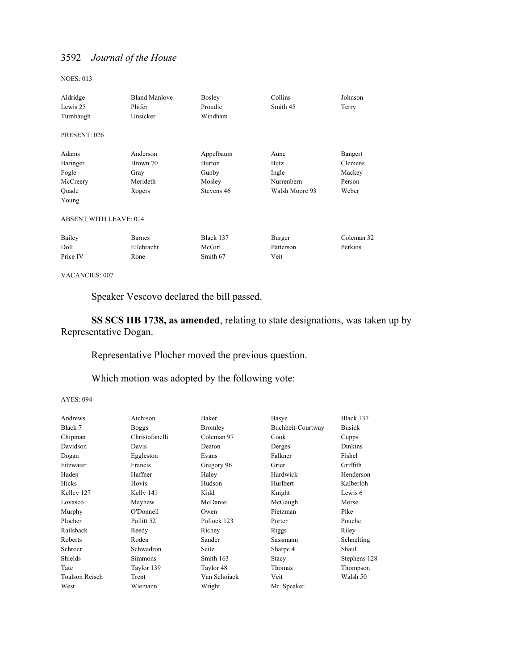NOES: 013

| Aldridge                      | <b>Bland Manlove</b> | Bosley        | Collins        | Johnson    |
|-------------------------------|----------------------|---------------|----------------|------------|
| Lewis 25                      | Phifer               | Proudie       | Smith 45       | Terry      |
| Turnbaugh                     | Unsicker             | Windham       |                |            |
| PRESENT: 026                  |                      |               |                |            |
| Adams                         | Anderson             | Appelbaum     | Aune           | Bangert    |
| Baringer                      | Brown 70             | <b>Burton</b> | Butz           | Clemens    |
| Fogle                         | Gray                 | Gunby         | Ingle          | Mackey     |
| McCreery                      | Merideth             | Mosley        | Nurrenbern     | Person     |
| Quade                         | Rogers               | Stevens 46    | Walsh Moore 93 | Weber      |
| Young                         |                      |               |                |            |
| <b>ABSENT WITH LEAVE: 014</b> |                      |               |                |            |
| Bailey                        | <b>Barnes</b>        | Black 137     | Burger         | Coleman 32 |
| Doll                          | Ellebracht           | McGirl        | Patterson      | Perkins    |
| Price IV                      | Rone                 | Smith 67      | Veit           |            |

VACANCIES: 007

Speaker Vescovo declared the bill passed.

**SS SCS HB 1738, as amended**, relating to state designations, was taken up by Representative Dogan.

Representative Plocher moved the previous question.

Which motion was adopted by the following vote:

| Atchison       | Baker        | Basye             | Black 137      |
|----------------|--------------|-------------------|----------------|
| Boggs          | Bromley      | Buchheit-Courtway | <b>Busick</b>  |
| Christofanelli | Coleman 97   | Cook              | Cupps          |
| Davis          | Deaton       | Derges            | <b>Dinkins</b> |
| Eggleston      | Evans        | Falkner           | Fishel         |
| Francis        | Gregory 96   | Grier             | Griffith       |
| Haffner        | Haley        | Hardwick          | Henderson      |
| Hovis          | Hudson       | Hurlbert          | Kalberloh      |
| Kelly 141      | Kidd         | Knight            | Lewis 6        |
| Mayhew         | McDaniel     | McGaugh           | Morse          |
| O'Donnell      | Owen         | Pietzman          | Pike           |
| Pollitt 52     | Pollock 123  | Porter            | Pouche         |
| Reedy          | Richey       | Riggs             | Riley          |
| Roden          | Sander       | Sassmann          | Schnelting     |
| Schwadron      | Seitz        | Sharpe 4          | Shaul          |
| Simmons        | Smith 163    | Stacy             | Stephens 128   |
| Taylor 139     | Taylor 48    | Thomas            | Thompson       |
| Trent          | Van Schoiack | Veit              | Walsh 50       |
| Wiemann        | Wright       | Mr. Speaker       |                |
|                |              |                   |                |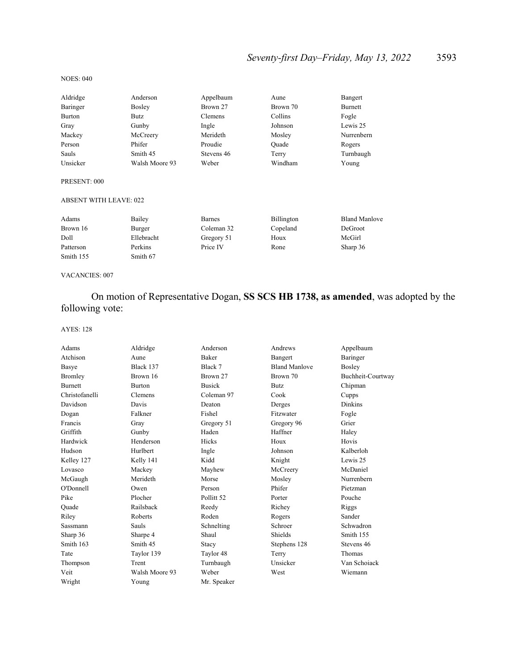## *Seventy-first Day–Friday, May 13, 2022* 3593

#### NOES: 040

| Aldridge      | Anderson       | Appelbaum  | Aune     | Bangert    |
|---------------|----------------|------------|----------|------------|
| Baringer      | <b>Bosley</b>  | Brown 27   | Brown 70 | Burnett    |
| <b>Burton</b> | Butz           | Clemens    | Collins  | Fogle      |
| Gray          | Gunby          | Ingle      | Johnson  | Lewis 25   |
| Mackey        | McCreery       | Merideth   | Mosley   | Nurrenbern |
| Person        | Phifer         | Proudie    | Ouade    | Rogers     |
| Sauls         | Smith 45       | Stevens 46 | Terry    | Turnbaugh  |
| Unsicker      | Walsh Moore 93 | Weber      | Windham  | Young      |
|               |                |            |          |            |

#### PRESENT: 000

#### ABSENT WITH LEAVE: 022

| Adams     | Bailey     | Barnes     | Billington | <b>Bland Manlove</b> |
|-----------|------------|------------|------------|----------------------|
| Brown 16  | Burger     | Coleman 32 | Copeland   | DeGroot              |
| Doll      | Ellebracht | Gregory 51 | Houx       | McGirl               |
| Patterson | Perkins    | Price IV   | Rone       | Sharp 36             |
| Smith 155 | Smith 67   |            |            |                      |

VACANCIES: 007

## On motion of Representative Dogan, **SS SCS HB 1738, as amended**, was adopted by the following vote:

| Adams          | Aldridge       | Anderson      | Andrews              | Appelbaum         |
|----------------|----------------|---------------|----------------------|-------------------|
| Atchison       | Aune           | <b>Baker</b>  | Bangert              | Baringer          |
| Basye          | Black 137      | Black 7       | <b>Bland Manlove</b> | Bosley            |
| Bromley        | Brown 16       | Brown 27      | Brown 70             | Buchheit-Courtway |
| <b>Burnett</b> | <b>Burton</b>  | <b>Busick</b> | <b>Butz</b>          | Chipman           |
| Christofanelli | Clemens        | Coleman 97    | Cook                 | Cupps             |
| Davidson       | Davis          | Deaton        | Derges               | <b>Dinkins</b>    |
| Dogan          | Falkner        | Fishel        | Fitzwater            | Fogle             |
| Francis        | Gray           | Gregory 51    | Gregory 96           | Grier             |
| Griffith       | Gunby          | Haden         | Haffner              | Haley             |
| Hardwick       | Henderson      | Hicks         | Houx                 | Hovis             |
| Hudson         | Hurlbert       | Ingle         | Johnson              | Kalberloh         |
| Kelley 127     | Kelly 141      | Kidd          | Knight               | Lewis 25          |
| Lovasco        | Mackey         | Mayhew        | McCreery             | McDaniel          |
| McGaugh        | Merideth       | Morse         | Mosley               | Nurrenbern        |
| O'Donnell      | Owen           | Person        | Phifer               | Pietzman          |
| Pike           | Plocher        | Pollitt 52    | Porter               | Pouche            |
| Quade          | Railsback      | Reedy         | Richey               | Riggs             |
| Riley          | Roberts        | Roden         | Rogers               | Sander            |
| Sassmann       | <b>Sauls</b>   | Schnelting    | Schroer              | Schwadron         |
| Sharp 36       | Sharpe 4       | Shaul         | Shields              | Smith 155         |
| Smith 163      | Smith 45       | Stacy         | Stephens 128         | Stevens 46        |
| Tate           | Taylor 139     | Taylor 48     | Terry                | Thomas            |
| Thompson       | Trent          | Turnbaugh     | Unsicker             | Van Schoiack      |
| Veit           | Walsh Moore 93 | Weber         | West                 | Wiemann           |
| Wright         | Young          | Mr. Speaker   |                      |                   |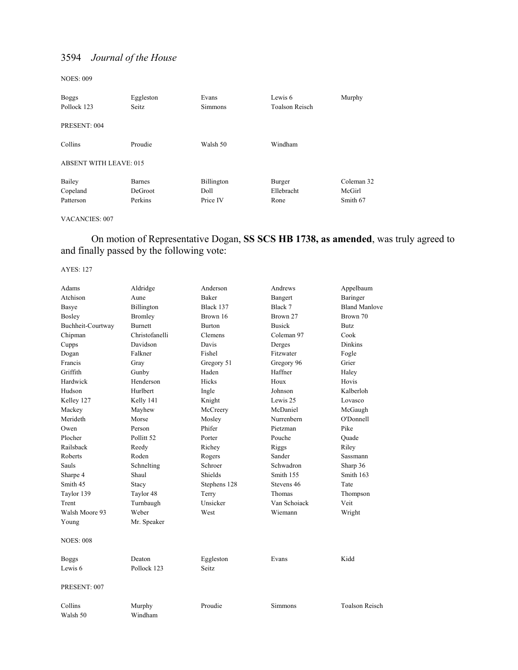NOES: 009

| <b>Boggs</b><br>Pollock 123   | Eggleston<br>Seitz. | Evans<br><b>Simmons</b> | Lewis 6<br><b>Toalson Reisch</b> | Murphy     |
|-------------------------------|---------------------|-------------------------|----------------------------------|------------|
| PRESENT: 004                  |                     |                         |                                  |            |
| Collins                       | Proudie             | Walsh 50                | Windham                          |            |
| <b>ABSENT WITH LEAVE: 015</b> |                     |                         |                                  |            |
| Bailey                        | <b>Barnes</b>       | Billington              | Burger                           | Coleman 32 |
| Copeland                      | DeGroot             | Doll                    | Ellebracht                       | McGirl     |
| Patterson                     | Perkins             | Price IV                | Rone                             | Smith 67   |

### VACANCIES: 007

 On motion of Representative Dogan, **SS SCS HB 1738, as amended**, was truly agreed to and finally passed by the following vote:

| Adams              | Aldridge              | Anderson     | Andrews       | Appelbaum             |
|--------------------|-----------------------|--------------|---------------|-----------------------|
| Atchison           | Aune                  | Baker        | Bangert       | Baringer              |
| Basye              | Billington            | Black 137    | Black 7       | <b>Bland Manlove</b>  |
| Bosley             | <b>Bromley</b>        | Brown 16     | Brown 27      | Brown 70              |
| Buchheit-Courtway  | Burnett               | Burton       | <b>Busick</b> | Butz                  |
| Chipman            | Christofanelli        | Clemens      | Coleman 97    | Cook                  |
| Cupps              | Davidson              | Davis        | Derges        | <b>Dinkins</b>        |
| Dogan              | Falkner               | Fishel       | Fitzwater     | Fogle                 |
| Francis            | Gray                  | Gregory 51   | Gregory 96    | Grier                 |
| Griffith           | Gunby                 | Haden        | Haffner       | Haley                 |
| Hardwick           | Henderson             | Hicks        | Houx          | Hovis                 |
| Hudson             | Hurlbert              | Ingle        | Johnson       | Kalberloh             |
| Kelley 127         | Kelly 141             | Knight       | Lewis 25      | Lovasco               |
| Mackey             | Mayhew                | McCreery     | McDaniel      | McGaugh               |
| Merideth           | Morse                 | Mosley       | Nurrenbern    | O'Donnell             |
| Owen               | Person                | Phifer       | Pietzman      | Pike                  |
| Plocher            | Pollitt <sub>52</sub> | Porter       | Pouche        | Quade                 |
| Railsback          | Reedy                 | Richey       | Riggs         | Riley                 |
| Roberts            | Roden                 | Rogers       | Sander        | Sassmann              |
| Sauls              | Schnelting            | Schroer      | Schwadron     | Sharp 36              |
| Sharpe 4           | Shaul                 | Shields      | Smith 155     | Smith 163             |
| Smith 45           | Stacy                 | Stephens 128 | Stevens 46    | Tate                  |
| Taylor 139         | Taylor 48             | Terry        | Thomas        | Thompson              |
| Trent              | Turnbaugh             | Unsicker     | Van Schoiack  | Veit                  |
| Walsh Moore 93     | Weber                 | West         | Wiemann       | Wright                |
| Young              | Mr. Speaker           |              |               |                       |
| <b>NOES: 008</b>   |                       |              |               |                       |
| <b>Boggs</b>       | Deaton                | Eggleston    | Evans         | Kidd                  |
| Lewis <sub>6</sub> | Pollock 123           | Seitz        |               |                       |
| PRESENT: 007       |                       |              |               |                       |
| Collins            | Murphy                | Proudie      | Simmons       | <b>Toalson Reisch</b> |
| Walsh 50           | Windham               |              |               |                       |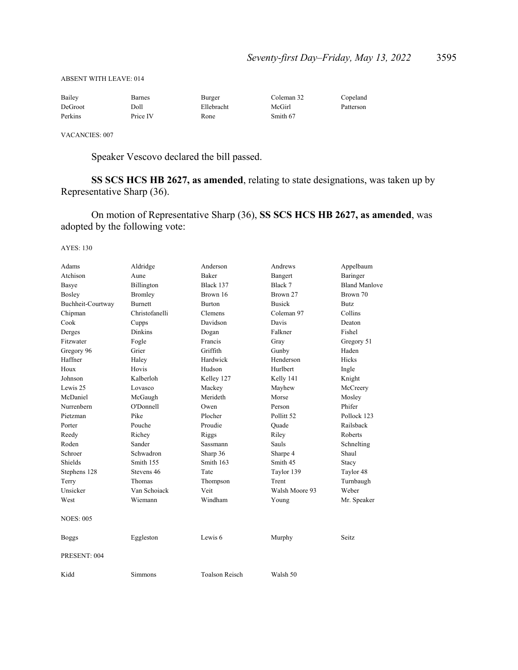| Bailey  | Barnes   | Burger     | Coleman 32 | Copeland  |
|---------|----------|------------|------------|-----------|
| DeGroot | Doll     | Ellebracht | McGirl     | Patterson |
| Perkins | Price IV | Rone       | Smith 67   |           |

VACANCIES: 007

ABSENT WITH LEAVE: 014

Speaker Vescovo declared the bill passed.

**SS SCS HCS HB 2627, as amended**, relating to state designations, was taken up by Representative Sharp (36).

 On motion of Representative Sharp (36), **SS SCS HCS HB 2627, as amended**, was adopted by the following vote:

| Adams             | Aldridge       | Anderson              | Andrews        | Appelbaum            |
|-------------------|----------------|-----------------------|----------------|----------------------|
| Atchison          | Aune           | <b>Baker</b>          | Bangert        | Baringer             |
| Basye             | Billington     | Black 137             | Black 7        | <b>Bland Manlove</b> |
| Bosley            | Bromley        | Brown 16              | Brown 27       | Brown 70             |
| Buchheit-Courtway | <b>Burnett</b> | <b>Burton</b>         | <b>Busick</b>  | <b>Butz</b>          |
| Chipman           | Christofanelli | Clemens               | Coleman 97     | Collins              |
| Cook              | Cupps          | Davidson              | Davis          | Deaton               |
| Derges            | <b>Dinkins</b> | Dogan                 | Falkner        | Fishel               |
| Fitzwater         | Fogle          | Francis               | Gray           | Gregory 51           |
| Gregory 96        | Grier          | Griffith              | Gunby          | Haden                |
| Haffner           | Haley          | Hardwick              | Henderson      | Hicks                |
| Houx              | Hovis          | Hudson                | Hurlbert       | Ingle                |
| Johnson           | Kalberloh      | Kelley 127            | Kelly 141      | Knight               |
| Lewis 25          | Lovasco        | Mackey                | Mayhew         | McCreery             |
| McDaniel          | McGaugh        | Merideth              | Morse          | Mosley               |
| Nurrenbern        | O'Donnell      | Owen                  | Person         | Phifer               |
| Pietzman          | Pike           | Plocher               | Pollitt 52     | Pollock 123          |
| Porter            | Pouche         | Proudie               | Ouade          | Railsback            |
| Reedy             | Richey         | Riggs                 | Riley          | Roberts              |
| Roden             | Sander         | Sassmann              | Sauls          | Schnelting           |
| Schroer           | Schwadron      | Sharp 36              | Sharpe 4       | Shaul                |
| Shields           | Smith 155      | Smith 163             | Smith 45       | Stacy                |
| Stephens 128      | Stevens 46     | Tate                  | Taylor 139     | Taylor 48            |
| Terry             | Thomas         | Thompson              | Trent          | Turnbaugh            |
| Unsicker          | Van Schoiack   | Veit                  | Walsh Moore 93 | Weber                |
| West              | Wiemann        | Windham               | Young          | Mr. Speaker          |
| <b>NOES: 005</b>  |                |                       |                |                      |
| <b>Boggs</b>      | Eggleston      | Lewis 6               | Murphy         | Seitz                |
| PRESENT: 004      |                |                       |                |                      |
| Kidd              | Simmons        | <b>Toalson Reisch</b> | Walsh 50       |                      |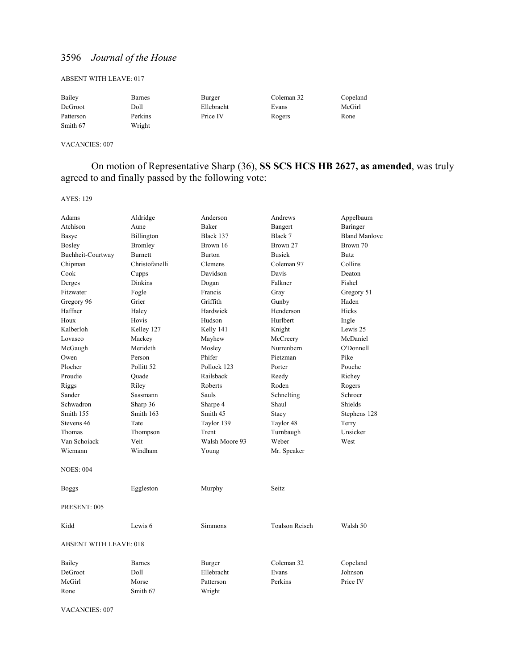#### ABSENT WITH LEAVE: 017

| Bailey    | Barnes  | Burger     | Coleman 32 | Copeland |
|-----------|---------|------------|------------|----------|
| DeGroot   | Doll    | Ellebracht | Evans      | McGirl   |
| Patterson | Perkins | Price IV   | Rogers     | Rone     |
| Smith 67  | Wright  |            |            |          |

VACANCIES: 007

## On motion of Representative Sharp (36), **SS SCS HCS HB 2627, as amended**, was truly agreed to and finally passed by the following vote:

AYES: 129

| Adams                         | Aldridge              | Anderson              | Andrews               | Appelbaum                        |
|-------------------------------|-----------------------|-----------------------|-----------------------|----------------------------------|
| Atchison                      | Aune                  | <b>Baker</b>          |                       |                                  |
|                               |                       |                       | Bangert               | Baringer                         |
| Basye                         | Billington            | Black 137<br>Brown 16 | Black 7<br>Brown 27   | <b>Bland Manlove</b><br>Brown 70 |
| Bosley                        | Bromley               |                       |                       |                                  |
| Buchheit-Courtway             | <b>Burnett</b>        | Burton                | <b>Busick</b>         | <b>Butz</b>                      |
| Chipman                       | Christofanelli        | <b>Clemens</b>        | Coleman 97            | Collins                          |
| Cook                          | Cupps                 | Davidson              | Davis                 | Deaton                           |
| Derges                        | <b>Dinkins</b>        | Dogan                 | Falkner               | Fishel                           |
| Fitzwater                     | Fogle                 | Francis               | Gray                  | Gregory 51                       |
| Gregory 96                    | Grier                 | Griffith              | Gunby                 | Haden                            |
| Haffner                       | Haley                 | Hardwick              | Henderson             | <b>Hicks</b>                     |
| Houx                          | Hovis                 | Hudson                | Hurlbert              | Ingle                            |
| Kalberloh                     | Kelley 127            | Kelly 141             | Knight                | Lewis 25                         |
| Lovasco                       | Mackey                | Mayhew                | McCreery              | McDaniel                         |
| McGaugh                       | Merideth              | Mosley                | Nurrenbern            | O'Donnell                        |
| Owen                          | Person                | Phifer                | Pietzman              | Pike                             |
| Plocher                       | Pollitt <sub>52</sub> | Pollock 123           | Porter                | Pouche                           |
| Proudie                       | Quade                 | Railsback             | Reedy                 | Richey                           |
| Riggs                         | Riley                 | Roberts               | Roden                 | Rogers                           |
| Sander                        | Sassmann              | Sauls                 | Schnelting            | Schroer                          |
| Schwadron                     | Sharp 36              | Sharpe 4              | Shaul                 | Shields                          |
| Smith 155                     | Smith 163             | Smith 45              | Stacy                 | Stephens 128                     |
| Stevens 46                    | Tate                  | Taylor 139            | Taylor 48             | Terry                            |
| Thomas                        | Thompson              | Trent                 | Turnbaugh             | Unsicker                         |
| Van Schoiack                  | Veit                  | Walsh Moore 93        | Weber                 | West                             |
| Wiemann                       | Windham               | Young                 | Mr. Speaker           |                                  |
| <b>NOES: 004</b>              |                       |                       |                       |                                  |
| Boggs                         | Eggleston             | Murphy                | Seitz                 |                                  |
| PRESENT: 005                  |                       |                       |                       |                                  |
| Kidd                          | Lewis <sub>6</sub>    | <b>Simmons</b>        | <b>Toalson Reisch</b> | Walsh 50                         |
| <b>ABSENT WITH LEAVE: 018</b> |                       |                       |                       |                                  |
| Bailey                        | Barnes                | Burger                | Coleman 32            | Copeland                         |
| DeGroot                       | Doll                  | Ellebracht            | Evans                 | Johnson                          |
| McGirl                        | Morse                 | Patterson             | Perkins               | Price IV                         |
| Rone                          | Smith 67              | Wright                |                       |                                  |

VACANCIES: 007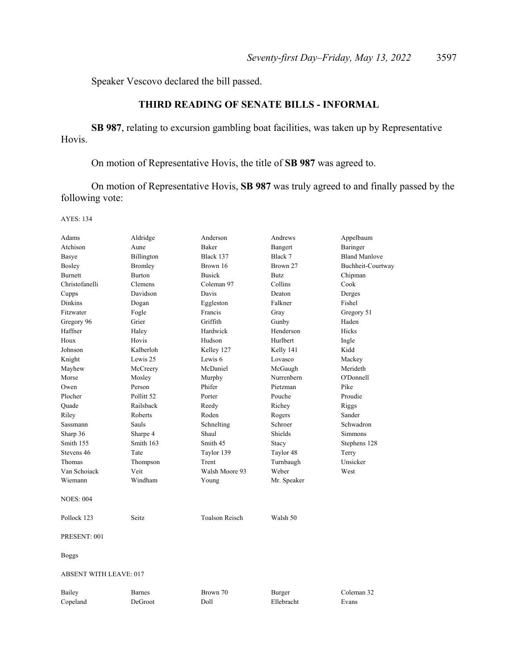Speaker Vescovo declared the bill passed.

## **THIRD READING OF SENATE BILLS - INFORMAL**

**SB 987**, relating to excursion gambling boat facilities, was taken up by Representative Hovis.

On motion of Representative Hovis, the title of **SB 987** was agreed to.

 On motion of Representative Hovis, **SB 987** was truly agreed to and finally passed by the following vote:

| Adams                         | Aldridge              | Anderson              | Andrews     | Appelbaum            |
|-------------------------------|-----------------------|-----------------------|-------------|----------------------|
| Atchison                      | Aune                  | Baker                 | Bangert     | Baringer             |
| Basye                         | Billington            | Black 137             | Black 7     | <b>Bland Manlove</b> |
| Bosley                        | <b>Bromley</b>        | Brown 16              | Brown 27    | Buchheit-Courtway    |
| <b>Burnett</b>                | <b>Burton</b>         | <b>Busick</b>         | Butz        | Chipman              |
| Christofanelli                | Clemens               | Coleman 97            | Collins     | Cook                 |
| Cupps                         | Davidson              | Davis                 | Deaton      | Derges               |
| <b>Dinkins</b>                | Dogan                 | Eggleston             | Falkner     | Fishel               |
| Fitzwater                     | Fogle                 | Francis               | Gray        | Gregory 51           |
| Gregory 96                    | Grier                 | Griffith              | Gunby       | Haden                |
| Haffner                       | Haley                 | Hardwick              | Henderson   | Hicks                |
| Houx                          | Hovis                 | Hudson                | Hurlbert    | Ingle                |
| Johnson                       | Kalberloh             | Kelley 127            | Kelly 141   | Kidd                 |
| Knight                        | Lewis 25              | Lewis 6               | Lovasco     | Mackey               |
| Mayhew                        | McCreery              | McDaniel              | McGaugh     | Merideth             |
| Morse                         | Mosley                | Murphy                | Nurrenbern  | O'Donnell            |
| Owen                          | Person                | Phifer                | Pietzman    | Pike                 |
| Plocher                       | Pollitt <sub>52</sub> | Porter                | Pouche      | Proudie              |
| Quade                         | Railsback             | Reedy                 | Richey      | Riggs                |
| Riley                         | Roberts               | Roden                 | Rogers      | Sander               |
| Sassmann                      | Sauls                 | Schnelting            | Schroer     | Schwadron            |
| Sharp 36                      | Sharpe 4              | Shaul                 | Shields     | Simmons              |
| Smith 155                     | Smith 163             | Smith 45              | Stacy       | Stephens 128         |
| Stevens 46                    | Tate                  | Taylor 139            | Taylor 48   | Terry                |
| Thomas                        | Thompson              | Trent                 | Turnbaugh   | Unsicker             |
| Van Schoiack                  | Veit                  | Walsh Moore 93        | Weber       | West                 |
| Wiemann                       | Windham               | Young                 | Mr. Speaker |                      |
| <b>NOES: 004</b>              |                       |                       |             |                      |
| Pollock 123                   | Seitz                 | <b>Toalson Reisch</b> | Walsh 50    |                      |
| PRESENT: 001                  |                       |                       |             |                      |
| Boggs                         |                       |                       |             |                      |
| <b>ABSENT WITH LEAVE: 017</b> |                       |                       |             |                      |
| Bailey                        | <b>Barnes</b>         | Brown 70              | Burger      | Coleman 32           |
| Copeland                      | DeGroot               | Doll                  | Ellebracht  | Evans                |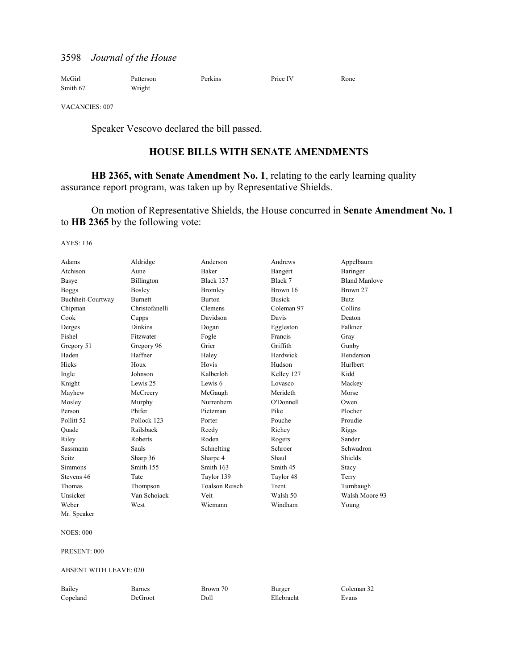| McGirl   | Patterson | Perkins | Price IV | Rone |
|----------|-----------|---------|----------|------|
| Smith 67 | Wright    |         |          |      |

VACANCIES: 007

Speaker Vescovo declared the bill passed.

### **HOUSE BILLS WITH SENATE AMENDMENTS**

**HB 2365, with Senate Amendment No. 1**, relating to the early learning quality assurance report program, was taken up by Representative Shields.

 On motion of Representative Shields, the House concurred in **Senate Amendment No. 1**  to **HB 2365** by the following vote:

AYES: 136

| Adams                 | Aldridge       | Anderson              | Andrews       | Appelbaum            |
|-----------------------|----------------|-----------------------|---------------|----------------------|
| Atchison              | Aune           | <b>Baker</b>          | Bangert       | Baringer             |
| Basye                 | Billington     | Black 137             | Black 7       | <b>Bland Manlove</b> |
| <b>Boggs</b>          | Bosley         | Bromley               | Brown 16      | Brown 27             |
| Buchheit-Courtway     | <b>Burnett</b> | <b>Burton</b>         | <b>Busick</b> | <b>Butz</b>          |
| Chipman               | Christofanelli | Clemens               | Coleman 97    | Collins              |
| Cook                  | Cupps          | Davidson              | Davis         | Deaton               |
| Derges                | <b>Dinkins</b> | Dogan                 | Eggleston     | Falkner              |
| Fishel                | Fitzwater      | Fogle                 | Francis       | Gray                 |
| Gregory 51            | Gregory 96     | Grier                 | Griffith      | Gunby                |
| Haden                 | Haffner        | Haley                 | Hardwick      | Henderson            |
| Hicks                 | Houx           | Hovis                 | Hudson        | Hurlbert             |
| Ingle                 | Johnson        | Kalberloh             | Kelley 127    | Kidd                 |
| Knight                | Lewis 25       | Lewis 6               | Lovasco       | Mackey               |
| Mayhew                | McCreery       | McGaugh               | Merideth      | Morse                |
| Mosley                | Murphy         | Nurrenbern            | O'Donnell     | Owen                 |
| Person                | Phifer         | Pietzman              | Pike          | Plocher              |
| Pollitt <sub>52</sub> | Pollock 123    | Porter                | Pouche        | Proudie              |
| Ouade                 | Railsback      | Reedy                 | Richey        | Riggs                |
| Riley                 | Roberts        | Roden                 | Rogers        | Sander               |
| Sassmann              | <b>Sauls</b>   | Schnelting            | Schroer       | Schwadron            |
| <b>Seitz</b>          | Sharp 36       | Sharpe 4              | Shaul         | Shields              |
| <b>Simmons</b>        | Smith 155      | Smith 163             | Smith 45      | Stacy                |
| Stevens 46            | Tate           | Taylor 139            | Taylor 48     | Terry                |
| Thomas                | Thompson       | <b>Toalson Reisch</b> | Trent         | Turnbaugh            |
| Unsicker              | Van Schoiack   | Veit                  | Walsh 50      | Walsh Moore 93       |
| Weber                 | West           | Wiemann               | Windham       | Young                |
|                       |                |                       |               |                      |

Mr. Speaker

NOES: 000

PRESENT: 000

ABSENT WITH LEAVE: 020

| Bailey   | 3arnes  | Brown 70 | Burger     | Coleman 32 |
|----------|---------|----------|------------|------------|
| Copeland | DeGroot | Doll     | Ellebracht | Evans      |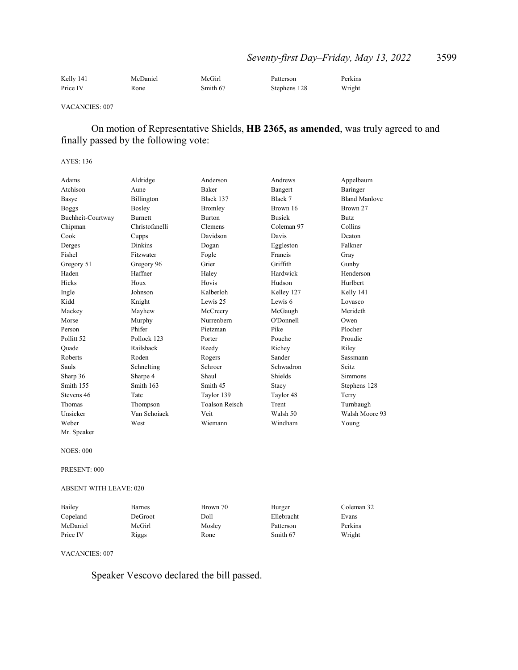| Kelly 141 | McDaniel | McGirl   | Patterson    | Perkins |
|-----------|----------|----------|--------------|---------|
| Price IV  | Rone     | Smith 67 | Stephens 128 | Wright  |

#### VACANCIES: 007

## On motion of Representative Shields, **HB 2365, as amended**, was truly agreed to and finally passed by the following vote:

#### AYES: 136

| Adams                 | Aldridge       | Anderson              | Andrews       | Appelbaum            |
|-----------------------|----------------|-----------------------|---------------|----------------------|
| Atchison              | Aune           | <b>Baker</b>          | Bangert       | Baringer             |
| Basye                 | Billington     | Black 137             | Black 7       | <b>Bland Manlove</b> |
| <b>Boggs</b>          | Bosley         | Bromley               | Brown 16      | Brown 27             |
| Buchheit-Courtway     | <b>Burnett</b> | <b>Burton</b>         | <b>Busick</b> | <b>Butz</b>          |
| Chipman               | Christofanelli | Clemens               | Coleman 97    | Collins              |
| Cook                  | Cupps          | Davidson              | Davis         | Deaton               |
| Derges                | <b>Dinkins</b> | Dogan                 | Eggleston     | Falkner              |
| Fishel                | Fitzwater      | Fogle                 | Francis       | Gray                 |
| Gregory 51            | Gregory 96     | Grier                 | Griffith      | Gunby                |
| Haden                 | Haffner        | Haley                 | Hardwick      | Henderson            |
| <b>Hicks</b>          | Houx           | Hovis                 | Hudson        | Hurlbert             |
| Ingle                 | Johnson        | Kalberloh             | Kelley 127    | Kelly 141            |
| Kidd                  | Knight         | Lewis 25              | Lewis 6       | Lovasco              |
| Mackey                | Mayhew         | McCreery              | McGaugh       | Merideth             |
| Morse                 | Murphy         | Nurrenbern            | O'Donnell     | Owen                 |
| Person                | Phifer         | Pietzman              | Pike          | Plocher              |
| Pollitt <sub>52</sub> | Pollock 123    | Porter                | Pouche        | Proudie              |
| Ouade                 | Railsback      | Reedy                 | Richey        | Riley                |
| Roberts               | Roden          | Rogers                | Sander        | Sassmann             |
| <b>Sauls</b>          | Schnelting     | Schroer               | Schwadron     | Seitz.               |
| Sharp 36              | Sharpe 4       | Shaul                 | Shields       | <b>Simmons</b>       |
| Smith 155             | Smith 163      | Smith 45              | Stacy         | Stephens 128         |
| Stevens 46            | Tate           | Taylor 139            | Taylor 48     | Terry                |
| Thomas                | Thompson       | <b>Toalson Reisch</b> | Trent         | Turnbaugh            |
| Unsicker              | Van Schoiack   | Veit                  | Walsh 50      | Walsh Moore 93       |
| Weber                 | West           | Wiemann               | Windham       | Young                |
| Mr. Speaker           |                |                       |               |                      |

NOES: 000

PRESENT: 000

ABSENT WITH LEAVE: 020

| Bailey   | Barnes  | Brown 70 | Burger     | Coleman 32 |
|----------|---------|----------|------------|------------|
| Copeland | DeGroot | Doll     | Ellebracht | Evans      |
| McDaniel | McGirl  | Mosley   | Patterson  | Perkins    |
| Price IV | Riggs   | Rone     | Smith 67   | Wright     |

VACANCIES: 007

Speaker Vescovo declared the bill passed.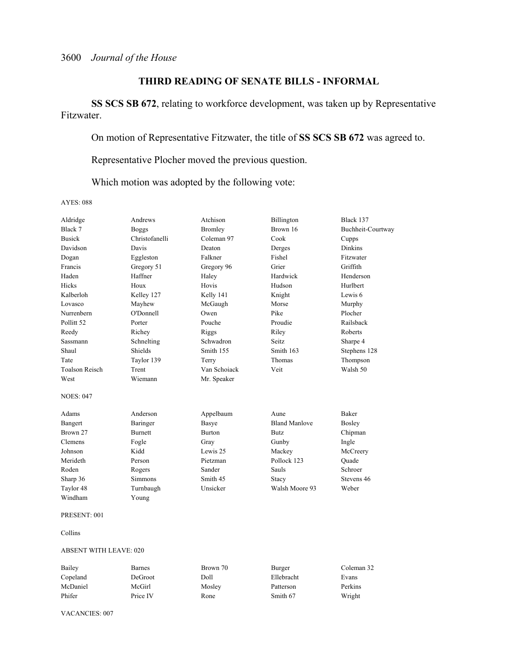## **THIRD READING OF SENATE BILLS - INFORMAL**

**SS SCS SB 672**, relating to workforce development, was taken up by Representative Fitzwater.

On motion of Representative Fitzwater, the title of **SS SCS SB 672** was agreed to.

Representative Plocher moved the previous question.

Which motion was adopted by the following vote:

AYES: 088

| Aldridge              | Andrews        | Atchison       | Billington           | Black 137         |
|-----------------------|----------------|----------------|----------------------|-------------------|
| Black 7               | <b>Boggs</b>   | <b>Bromley</b> | Brown 16             | Buchheit-Courtway |
| <b>Busick</b>         | Christofanelli | Coleman 97     | Cook                 | Cupps             |
| Davidson              | Davis          | Deaton         | Derges               | <b>Dinkins</b>    |
| Dogan                 | Eggleston      | Falkner        | Fishel               | Fitzwater         |
| Francis               | Gregory 51     | Gregory 96     | Grier                | Griffith          |
| Haden                 | Haffner        | Haley          | Hardwick             | Henderson         |
| Hicks                 | Houx           | Hovis          | Hudson               | Hurlbert          |
| Kalberloh             | Kelley 127     | Kelly 141      | Knight               | Lewis 6           |
| Lovasco               | Mayhew         | McGaugh        | Morse                | Murphy            |
| Nurrenbern            | O'Donnell      | Owen           | Pike                 | Plocher           |
| Pollitt <sub>52</sub> | Porter         | Pouche         | Proudie              | Railsback         |
| Reedy                 | Richey         | Riggs          | Riley                | Roberts           |
| <b>Sassmann</b>       | Schnelting     | Schwadron      | Seitz.               | Sharpe 4          |
| Shaul                 | Shields        | Smith 155      | Smith 163            | Stephens 128      |
| Tate                  | Taylor 139     | Terry          | Thomas               | Thompson          |
| <b>Toalson Reisch</b> | Trent          | Van Schoiack   | Veit                 | Walsh 50          |
| West                  | Wiemann        | Mr. Speaker    |                      |                   |
| <b>NOES: 047</b>      |                |                |                      |                   |
| Adams                 | Anderson       | Appelbaum      | Aune                 | Baker             |
| Bangert               | Baringer       | Basye          | <b>Bland Manlove</b> | Bosley            |
| Brown 27              | <b>Burnett</b> | <b>Burton</b>  | <b>Butz</b>          | Chipman           |
| Clemens               | Fogle          | Gray           | Gunby                | Ingle             |
| Johnson               | Kidd           | Lewis 25       | Mackey               | McCreery          |
| Merideth              | Person         | Pietzman       | Pollock 123          | Ouade             |
| Roden                 | Rogers         | Sander         | Sauls                | Schroer           |
| Sharp 36              | <b>Simmons</b> | Smith 45       | Stacy                | Stevens 46        |
| Taylor 48             | Turnbaugh      | Unsicker       | Walsh Moore 93       | Weber             |
| Windham               | Young          |                |                      |                   |
| PRESENT: 001          |                |                |                      |                   |
| Collins               |                |                |                      |                   |

### ABSENT WITH LEAVE: 020

| Bailey   | <b>Barnes</b> | Brown 70 | Burger     | Coleman 32 |
|----------|---------------|----------|------------|------------|
| Copeland | DeGroot       | Doll     | Ellebracht | Evans      |
| McDaniel | McGirl        | Mosley   | Patterson  | Perkins    |
| Phifer   | Price IV      | Rone     | Smith 67   | Wright     |

VACANCIES: 007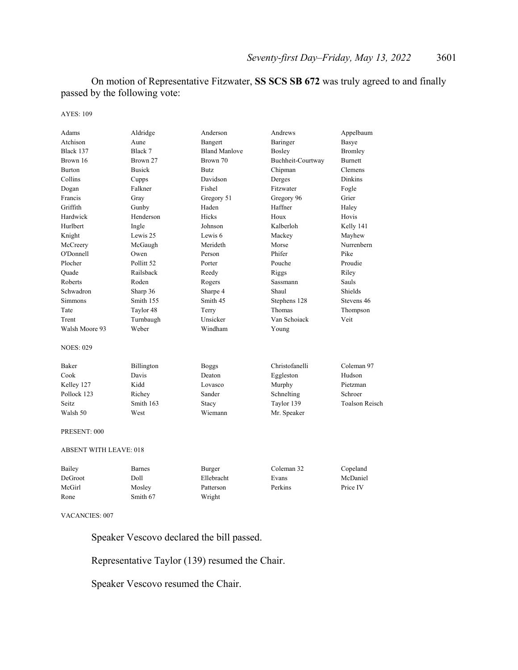On motion of Representative Fitzwater, **SS SCS SB 672** was truly agreed to and finally passed by the following vote:

AYES: 109

| Adams                         | Aldridge      | Anderson             | Andrews           | Appelbaum             |
|-------------------------------|---------------|----------------------|-------------------|-----------------------|
| Atchison                      | Aune          | Bangert              | Baringer          | Basye                 |
| Black 137                     | Black 7       | <b>Bland Manlove</b> | Bosley            | <b>Bromley</b>        |
| Brown 16                      | Brown 27      | Brown 70             | Buchheit-Courtway | <b>Burnett</b>        |
| <b>Burton</b>                 | <b>Busick</b> | <b>Butz</b>          | Chipman           | Clemens               |
| Collins                       | Cupps         | Davidson             | Derges            | <b>Dinkins</b>        |
| Dogan                         | Falkner       | Fishel               | Fitzwater         | Fogle                 |
| Francis                       | Gray          | Gregory 51           | Gregory 96        | Grier                 |
| Griffith                      | Gunby         | Haden                | Haffner           | Haley                 |
| Hardwick                      | Henderson     | Hicks                | Houx              | Hovis                 |
| Hurlbert                      | Ingle         | Johnson              | Kalberloh         | Kelly 141             |
| Knight                        | Lewis 25      | Lewis 6              | Mackey            | Mayhew                |
| McCreery                      | McGaugh       | Merideth             | Morse             | Nurrenbern            |
| O'Donnell                     | Owen          | Person               | Phifer            | Pike                  |
| Plocher                       | Pollitt 52    | Porter               | Pouche            | Proudie               |
| Quade                         | Railsback     | Reedy                | Riggs             | Riley                 |
| Roberts                       | Roden         | Rogers               | <b>Sassmann</b>   | Sauls                 |
| Schwadron                     | Sharp 36      | Sharpe 4             | Shaul             | Shields               |
| <b>Simmons</b>                | Smith 155     | Smith 45             | Stephens 128      | Stevens 46            |
| Tate                          | Taylor 48     | Terry                | Thomas            | Thompson              |
| Trent                         | Turnbaugh     | Unsicker             | Van Schoiack      | Veit                  |
| Walsh Moore 93                | Weber         | Windham              | Young             |                       |
| <b>NOES: 029</b>              |               |                      |                   |                       |
| Baker                         | Billington    | <b>Boggs</b>         | Christofanelli    | Coleman 97            |
| Cook                          | Davis         | Deaton               | Eggleston         | Hudson                |
| Kelley 127                    | Kidd          | Lovasco              | Murphy            | Pietzman              |
| Pollock 123                   | Richey        | Sander               | Schnelting        | Schroer               |
| Seitz.                        | Smith 163     | Stacy                | Taylor 139        | <b>Toalson Reisch</b> |
| Walsh 50                      | West          | Wiemann              | Mr. Speaker       |                       |
| PRESENT: 000                  |               |                      |                   |                       |
| <b>ABSENT WITH LEAVE: 018</b> |               |                      |                   |                       |
| Bailey                        | <b>Barnes</b> | Burger               | Coleman 32        | Copeland              |
| DeGroot                       | Doll          | Ellebracht           | Evans             | McDaniel              |
| McGirl                        | Mosley        | Patterson            | Perkins           | Price IV              |

VACANCIES: 007

Speaker Vescovo declared the bill passed.

Representative Taylor (139) resumed the Chair.

Speaker Vescovo resumed the Chair.

Rone Smith 67 Wright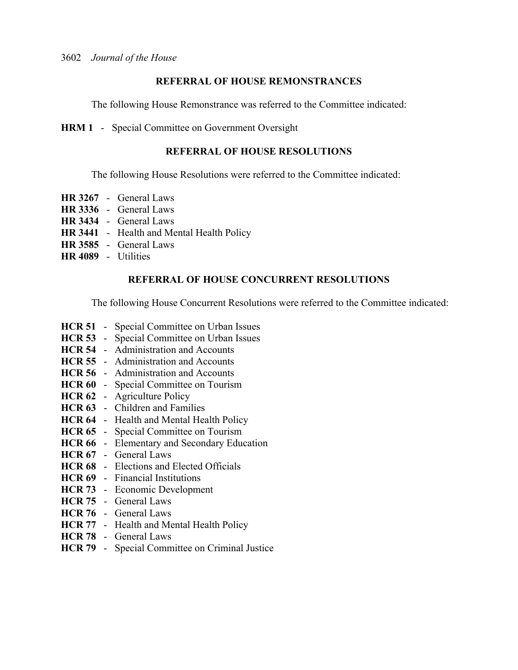## **REFERRAL OF HOUSE REMONSTRANCES**

The following House Remonstrance was referred to the Committee indicated:

**HRM 1** - Special Committee on Government Oversight

## **REFERRAL OF HOUSE RESOLUTIONS**

The following House Resolutions were referred to the Committee indicated:

- **HR 3267** General Laws
- **HR 3336** General Laws
- **HR 3434** General Laws
- **HR 3441** Health and Mental Health Policy
- **HR 3585** General Laws
- **HR 4089** Utilities

## **REFERRAL OF HOUSE CONCURRENT RESOLUTIONS**

The following House Concurrent Resolutions were referred to the Committee indicated:

- **HCR 51** Special Committee on Urban Issues
- **HCR 53** Special Committee on Urban Issues
- **HCR 54** Administration and Accounts
- **HCR 55** Administration and Accounts
- **HCR 56** Administration and Accounts
- **HCR 60** Special Committee on Tourism
- **HCR 62** Agriculture Policy
- **HCR 63** Children and Families
- **HCR 64** Health and Mental Health Policy
- **HCR 65** Special Committee on Tourism
- **HCR 66** Elementary and Secondary Education
- **HCR 67** General Laws
- **HCR 68** Elections and Elected Officials
- **HCR 69** Financial Institutions
- **HCR 73** Economic Development
- **HCR 75** General Laws
- **HCR 76** General Laws
- **HCR 77** Health and Mental Health Policy
- **HCR 78** General Laws
- **HCR 79** Special Committee on Criminal Justice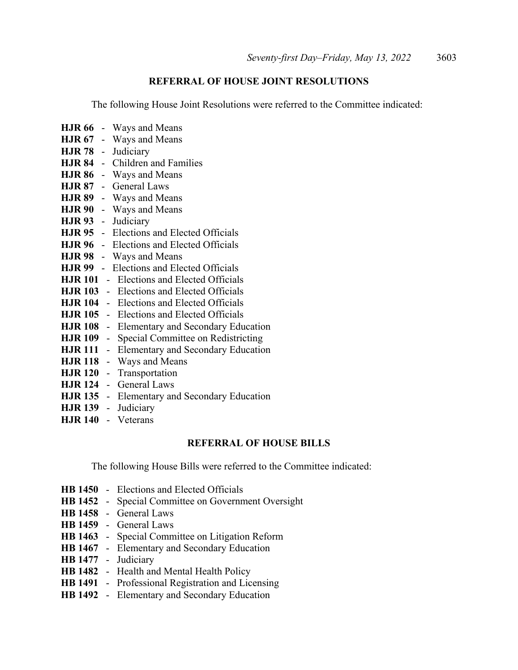## **REFERRAL OF HOUSE JOINT RESOLUTIONS**

The following House Joint Resolutions were referred to the Committee indicated:

**HJR 66** - Ways and Means **HJR 67** - Ways and Means **HJR 78** - Judiciary **HJR 84** - Children and Families **HJR 86** - Ways and Means **HJR 87** - General Laws **HJR 89** - Ways and Means **HJR 90** - Ways and Means **HJR 93** - Judiciary **HJR 95** - Elections and Elected Officials **HJR 96** - Elections and Elected Officials **HJR 98** - Ways and Means **HJR 99** - Elections and Elected Officials **HJR 101** - Elections and Elected Officials **HJR 103** - Elections and Elected Officials **HJR 104** - Elections and Elected Officials **HJR 105** - Elections and Elected Officials **HJR 108** - Elementary and Secondary Education **HJR 109** - Special Committee on Redistricting **HJR 111** - Elementary and Secondary Education **HJR 118** - Ways and Means **HJR 120** - Transportation **HJR 124** - General Laws **HJR 135** - Elementary and Secondary Education **HJR 139** - Judiciary **HJR 140** - Veterans

## **REFERRAL OF HOUSE BILLS**

The following House Bills were referred to the Committee indicated:

- **HB 1450** Elections and Elected Officials
- **HB 1452** Special Committee on Government Oversight
- **HB 1458** General Laws
- **HB 1459** General Laws
- **HB 1463** Special Committee on Litigation Reform
- **HB 1467** Elementary and Secondary Education
- **HB 1477** Judiciary
- **HB 1482** Health and Mental Health Policy
- **HB 1491** Professional Registration and Licensing
- **HB 1492** Elementary and Secondary Education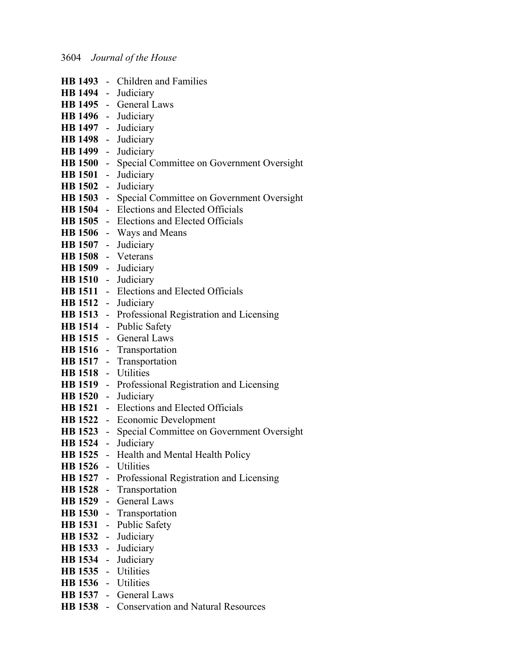|                     | HB 1493 - Children and Families                          |
|---------------------|----------------------------------------------------------|
| HB 1494 - Judiciary |                                                          |
|                     | HB 1495 - General Laws                                   |
| HB 1496 - Judiciary |                                                          |
| HB 1497 - Judiciary |                                                          |
| HB 1498 - Judiciary |                                                          |
| HB 1499 - Judiciary |                                                          |
|                     | HB 1500 - Special Committee on Government Oversight      |
| HB 1501 - Judiciary |                                                          |
| HB 1502 - Judiciary |                                                          |
|                     | HB 1503 - Special Committee on Government Oversight      |
|                     | HB 1504 - Elections and Elected Officials                |
|                     | HB 1505 - Elections and Elected Officials                |
|                     | HB 1506 - Ways and Means                                 |
| HB 1507 - Judiciary |                                                          |
| HB 1508 - Veterans  |                                                          |
| HB 1509 - Judiciary |                                                          |
| HB 1510 - Judiciary |                                                          |
|                     | HB 1511 - Elections and Elected Officials                |
| HB 1512 - Judiciary |                                                          |
|                     | HB 1513 - Professional Registration and Licensing        |
|                     | HB 1514 - Public Safety                                  |
|                     | HB 1515 - General Laws                                   |
|                     | HB 1516 - Transportation                                 |
|                     | HB 1517 - Transportation                                 |
| HB 1518 - Utilities |                                                          |
|                     | <b>HB 1519</b> - Professional Registration and Licensing |
| HB 1520 - Judiciary |                                                          |
|                     | <b>HB 1521</b> - Elections and Elected Officials         |
|                     | HB 1522 - Economic Development                           |
|                     | HB 1523 - Special Committee on Government Oversight      |
| HB 1524 - Judiciary |                                                          |
|                     | HB 1525 - Health and Mental Health Policy                |
| HB 1526 - Utilities |                                                          |
|                     | HB 1527 - Professional Registration and Licensing        |
|                     | HB 1528 - Transportation                                 |
|                     | HB 1529 - General Laws                                   |
|                     | HB 1530 - Transportation                                 |
|                     | HB 1531 - Public Safety                                  |
|                     | HB 1532 - Judiciary                                      |
|                     | HB 1533 - Judiciary                                      |
| HB 1534 - Judiciary |                                                          |
| HB 1535 - Utilities |                                                          |
| HB 1536 - Utilities |                                                          |
|                     | HB 1537 - General Laws                                   |
|                     | HB 1538 - Conservation and Natural Resources             |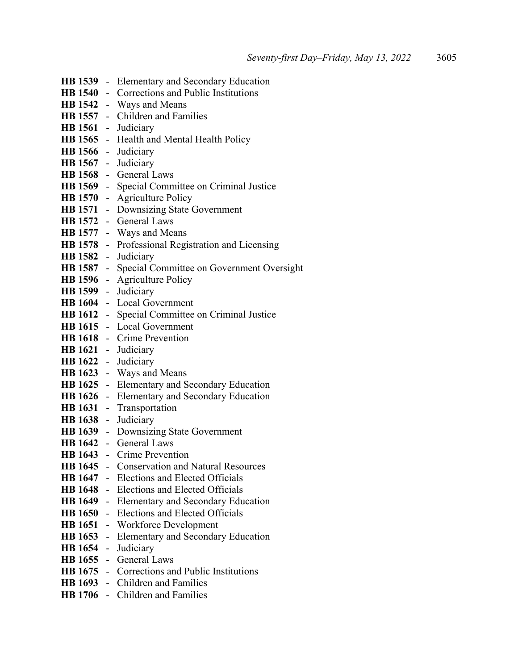|                     |    | HB 1539 - Elementary and Secondary Education           |
|---------------------|----|--------------------------------------------------------|
|                     |    | <b>HB 1540</b> - Corrections and Public Institutions   |
|                     |    | HB 1542 - Ways and Means                               |
|                     |    | HB 1557 - Children and Families                        |
|                     |    | HB 1561 - Judiciary                                    |
|                     |    | HB 1565 - Health and Mental Health Policy              |
|                     |    | HB 1566 - Judiciary                                    |
|                     |    | HB 1567 - Judiciary                                    |
|                     |    | HB 1568 - General Laws                                 |
|                     |    | HB 1569 - Special Committee on Criminal Justice        |
|                     |    | <b>HB 1570</b> - Agriculture Policy                    |
|                     |    | HB 1571 - Downsizing State Government                  |
|                     |    | HB 1572 - General Laws                                 |
|                     |    | <b>HB 1577</b> - Ways and Means                        |
|                     |    | HB 1578 - Professional Registration and Licensing      |
|                     |    | HB 1582 - Judiciary                                    |
|                     |    | HB 1587 - Special Committee on Government Oversight    |
|                     |    | <b>HB 1596</b> - Agriculture Policy                    |
| HB 1599 - Judiciary |    |                                                        |
|                     |    | HB 1604 - Local Government                             |
|                     |    | <b>HB 1612</b> - Special Committee on Criminal Justice |
|                     |    | HB 1615 - Local Government                             |
|                     |    | HB 1618 - Crime Prevention                             |
|                     |    | HB 1621 - Judiciary                                    |
|                     |    | HB 1622 - Judiciary                                    |
|                     |    | HB 1623 - Ways and Means                               |
|                     |    | HB 1625 - Elementary and Secondary Education           |
|                     |    | HB 1626 - Elementary and Secondary Education           |
|                     |    | HB 1631 - Transportation                               |
| HB 1638 - Judiciary |    |                                                        |
|                     |    | HB 1639 - Downsizing State Government                  |
|                     |    | HB 1642 - General Laws                                 |
|                     |    | HB 1643 - Crime Prevention                             |
|                     |    | HB 1645 - Conservation and Natural Resources           |
|                     |    | <b>HB 1647</b> - Elections and Elected Officials       |
|                     |    | <b>HB 1648</b> - Elections and Elected Officials       |
|                     |    | HB 1649 - Elementary and Secondary Education           |
| <b>HB</b> 1650      |    | - Elections and Elected Officials                      |
| <b>HB</b> 1651      |    | - Workforce Development                                |
| <b>HB</b> 1653      |    | - Elementary and Secondary Education                   |
| <b>HB</b> 1654      | ÷. | Judiciary                                              |
| HB 1655 -           |    | <b>General Laws</b>                                    |
| <b>HB</b> 1675      |    | - Corrections and Public Institutions                  |
|                     |    | HB 1693 - Children and Families                        |
|                     |    | HB 1706 - Children and Families                        |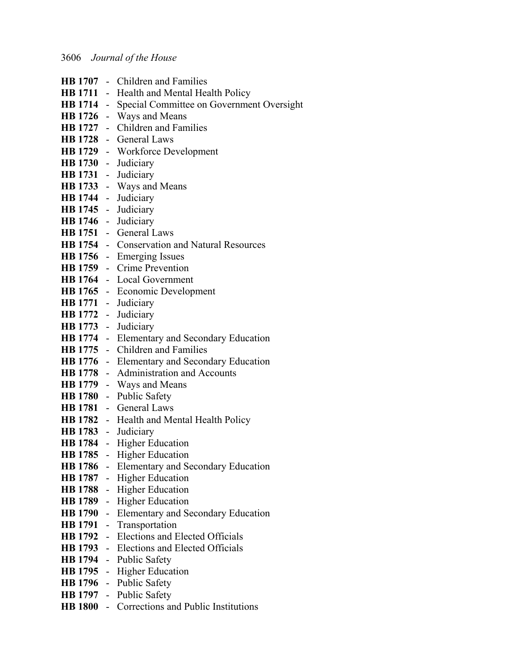|                | HB 1707 - Children and Families                     |
|----------------|-----------------------------------------------------|
|                | <b>HB 1711</b> - Health and Mental Health Policy    |
|                | HB 1714 - Special Committee on Government Oversight |
|                | HB 1726 - Ways and Means                            |
|                | HB 1727 - Children and Families                     |
|                | HB 1728 - General Laws                              |
|                | HB 1729 - Workforce Development                     |
|                | HB 1730 - Judiciary                                 |
|                | HB 1731 - Judiciary                                 |
|                | HB 1733 - Ways and Means                            |
|                | HB 1744 - Judiciary                                 |
|                | HB 1745 - Judiciary                                 |
|                | HB 1746 - Judiciary                                 |
|                | HB 1751 - General Laws                              |
|                | HB 1754 - Conservation and Natural Resources        |
|                | HB 1756 - Emerging Issues                           |
|                | HB 1759 - Crime Prevention                          |
|                | HB 1764 - Local Government                          |
|                | HB 1765 - Economic Development                      |
|                | HB 1771 - Judiciary                                 |
|                | HB 1772 - Judiciary                                 |
|                | HB 1773 - Judiciary                                 |
|                | HB 1774 - Elementary and Secondary Education        |
|                | HB 1775 - Children and Families                     |
|                | HB 1776 - Elementary and Secondary Education        |
|                | HB 1778 - Administration and Accounts               |
|                | HB 1779 - Ways and Means                            |
|                | HB 1780 - Public Safety                             |
|                | HB 1781 - General Laws                              |
|                | HB 1782 - Health and Mental Health Policy           |
|                | HB 1783 - Judiciary                                 |
|                | HB 1784 - Higher Education                          |
|                | <b>HB 1785</b> - Higher Education                   |
|                | HB 1786 - Elementary and Secondary Education        |
|                | HB 1787 - Higher Education                          |
| <b>HB</b> 1788 | - Higher Education                                  |
| <b>HB</b> 1789 | - Higher Education                                  |
| <b>HB</b> 1790 | - Elementary and Secondary Education                |
| <b>HB</b> 1791 | - Transportation                                    |
| <b>HB</b> 1792 | - Elections and Elected Officials                   |
| <b>HB</b> 1793 | - Elections and Elected Officials                   |
| <b>HB</b> 1794 | - Public Safety                                     |
| <b>HB</b> 1795 | - Higher Education                                  |
|                | HB 1796 - Public Safety                             |
|                | HB 1797 - Public Safety                             |
|                | HB 1800 - Corrections and Public Institutions       |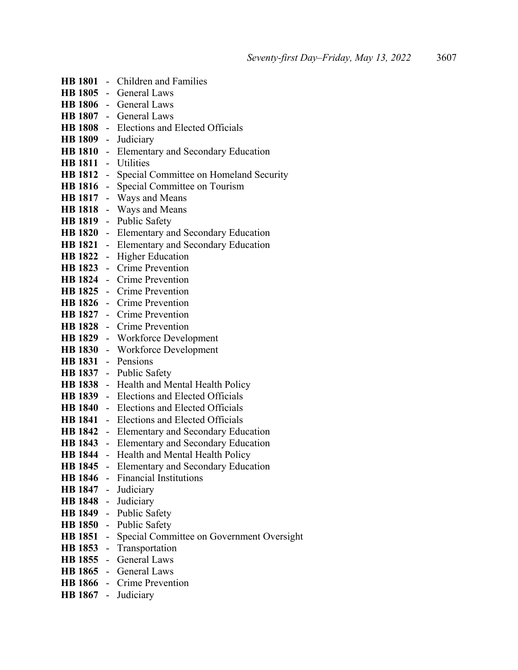|                     | HB 1801 - Children and Families                    |
|---------------------|----------------------------------------------------|
|                     | HB 1805 - General Laws                             |
|                     | HB 1806 - General Laws                             |
|                     | HB 1807 - General Laws                             |
|                     | HB 1808 - Elections and Elected Officials          |
|                     | HB 1809 - Judiciary                                |
|                     | HB 1810 - Elementary and Secondary Education       |
| HB 1811 - Utilities |                                                    |
|                     | HB 1812 - Special Committee on Homeland Security   |
|                     | HB 1816 - Special Committee on Tourism             |
|                     | HB 1817 - Ways and Means                           |
|                     | HB 1818 - Ways and Means                           |
|                     | HB 1819 - Public Safety                            |
|                     | HB 1820 - Elementary and Secondary Education       |
|                     | HB 1821 - Elementary and Secondary Education       |
|                     | HB 1822 - Higher Education                         |
|                     | HB 1823 - Crime Prevention                         |
|                     | HB 1824 - Crime Prevention                         |
|                     | HB 1825 - Crime Prevention                         |
|                     | HB 1826 - Crime Prevention                         |
|                     | <b>HB 1827</b> - Crime Prevention                  |
|                     | HB 1828 - Crime Prevention                         |
|                     | HB 1829 - Workforce Development                    |
|                     | HB 1830 - Workforce Development                    |
| HB 1831 - Pensions  |                                                    |
|                     | HB 1837 - Public Safety                            |
|                     | HB 1838 - Health and Mental Health Policy          |
|                     | HB 1839 - Elections and Elected Officials          |
|                     | HB 1840 - Elections and Elected Officials          |
|                     | <b>HB 1841</b> - Elections and Elected Officials   |
|                     | HB 1842 - Elementary and Secondary Education       |
|                     | HB 1843 - Elementary and Secondary Education       |
|                     | HB 1844 - Health and Mental Health Policy          |
|                     | HB 1845 - Elementary and Secondary Education       |
|                     | HB 1846 - Financial Institutions                   |
|                     | HB 1847 - Judiciary                                |
|                     | HB 1848 - Judiciary                                |
|                     | HB 1849 - Public Safety                            |
| <b>HB 1851</b>      | HB 1850 - Public Safety                            |
|                     | - Special Committee on Government Oversight        |
|                     | HB 1853 - Transportation<br>HB 1855 - General Laws |
|                     | HB 1865 - General Laws                             |
|                     | HB 1866 - Crime Prevention                         |
|                     | HB 1867 - Judiciary                                |
|                     |                                                    |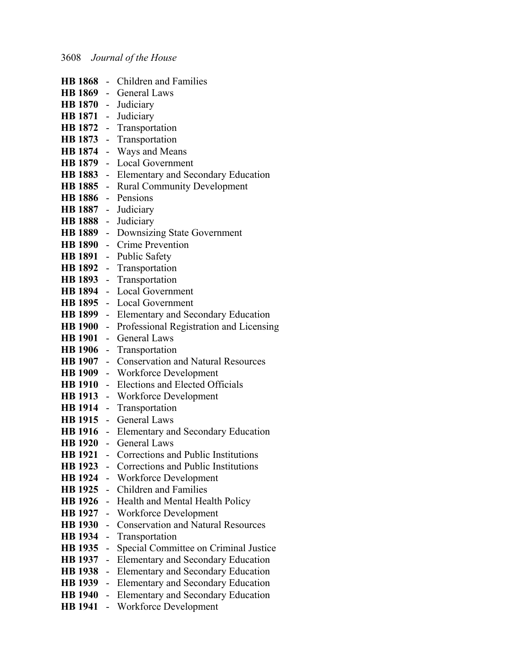|                     |                          | <b>HB 1868</b> - Children and Families               |
|---------------------|--------------------------|------------------------------------------------------|
|                     |                          | HB 1869 - General Laws                               |
| HB 1870 - Judiciary |                          |                                                      |
|                     |                          | HB 1871 - Judiciary                                  |
|                     |                          | HB 1872 - Transportation                             |
|                     |                          | HB 1873 - Transportation                             |
| <b>HB</b> 1874      |                          | - Ways and Means                                     |
|                     |                          | HB 1879 - Local Government                           |
|                     |                          | HB 1883 - Elementary and Secondary Education         |
|                     |                          | HB 1885 - Rural Community Development                |
| HB 1886 - Pensions  |                          |                                                      |
|                     |                          | HB 1887 - Judiciary                                  |
|                     |                          | HB 1888 - Judiciary                                  |
|                     |                          | HB 1889 - Downsizing State Government                |
|                     |                          | HB 1890 - Crime Prevention                           |
|                     |                          | HB 1891 - Public Safety                              |
|                     |                          | HB 1892 - Transportation                             |
|                     |                          | HB 1893 - Transportation                             |
|                     |                          | HB 1894 - Local Government                           |
|                     |                          | HB 1895 - Local Government                           |
|                     |                          | HB 1899 - Elementary and Secondary Education         |
|                     |                          | HB 1900 - Professional Registration and Licensing    |
|                     |                          | HB 1901 - General Laws                               |
|                     |                          | HB 1906 - Transportation                             |
|                     |                          | <b>HB 1907</b> - Conservation and Natural Resources  |
|                     |                          | <b>HB 1909</b> - Workforce Development               |
| <b>HB</b> 1910      |                          | - Elections and Elected Officials                    |
|                     |                          | HB 1913 - Workforce Development                      |
|                     |                          | HB 1914 - Transportation                             |
|                     |                          | HB 1915 - General Laws                               |
|                     |                          | HB 1916 - Elementary and Secondary Education         |
|                     |                          | HB 1920 - General Laws                               |
|                     |                          | <b>HB 1921</b> - Corrections and Public Institutions |
| <b>HB</b> 1923      |                          | - Corrections and Public Institutions                |
|                     |                          | HB 1924 - Workforce Development                      |
| <b>HB 1925</b>      | $\sim$                   | <b>Children and Families</b>                         |
| <b>HB</b> 1926      |                          | Health and Mental Health Policy                      |
| <b>HB 1927</b>      | $\overline{\phantom{0}}$ | Workforce Development                                |
| <b>HB</b> 1930      | $\overline{\phantom{0}}$ | <b>Conservation and Natural Resources</b>            |
| <b>HB</b> 1934      | $\overline{\phantom{0}}$ | Transportation                                       |
| <b>HB</b> 1935      | $\overline{\phantom{0}}$ | Special Committee on Criminal Justice                |
| <b>HB</b> 1937      | $\blacksquare$           | <b>Elementary and Secondary Education</b>            |
| <b>HB</b> 1938      | $\overline{\phantom{0}}$ | <b>Elementary and Secondary Education</b>            |
| <b>HB</b> 1939      | $\blacksquare$           | Elementary and Secondary Education                   |
| <b>HB</b> 1940      |                          | - Elementary and Secondary Education                 |
| <b>HB</b> 1941      | $\sim$                   | Workforce Development                                |
|                     |                          |                                                      |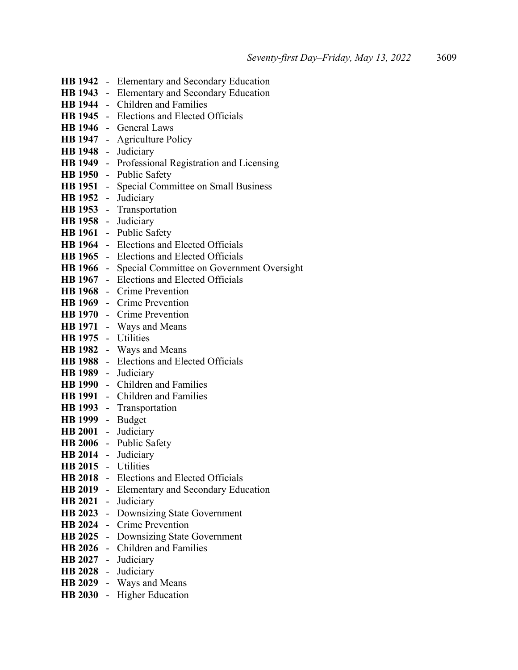|                     | <b>HB 1942</b> - Elementary and Secondary Education |
|---------------------|-----------------------------------------------------|
|                     | HB 1943 - Elementary and Secondary Education        |
|                     | HB 1944 - Children and Families                     |
|                     | HB 1945 - Elections and Elected Officials           |
|                     | HB 1946 - General Laws                              |
|                     | HB 1947 - Agriculture Policy                        |
|                     | HB 1948 - Judiciary                                 |
|                     | HB 1949 - Professional Registration and Licensing   |
|                     | HB 1950 - Public Safety                             |
|                     | HB 1951 - Special Committee on Small Business       |
| HB 1952 - Judiciary |                                                     |
|                     | HB 1953 - Transportation                            |
|                     | HB 1958 - Judiciary                                 |
|                     | HB 1961 - Public Safety                             |
|                     | HB 1964 - Elections and Elected Officials           |
|                     | HB 1965 - Elections and Elected Officials           |
|                     | HB 1966 - Special Committee on Government Oversight |
|                     | <b>HB 1967</b> - Elections and Elected Officials    |
|                     | HB 1968 - Crime Prevention                          |
|                     | HB 1969 - Crime Prevention                          |
|                     | HB 1970 - Crime Prevention                          |
|                     | HB 1971 - Ways and Means                            |
| HB 1975 - Utilities |                                                     |
|                     | HB 1982 - Ways and Means                            |
|                     | HB 1988 - Elections and Elected Officials           |
|                     | HB 1989 - Judiciary                                 |
|                     | HB 1990 - Children and Families                     |
|                     | HB 1991 - Children and Families                     |
|                     | HB 1993 - Transportation                            |
| HB 1999 - Budget    |                                                     |
| HB 2001 - Judiciary |                                                     |
|                     | HB 2006 - Public Safety                             |
|                     | HB 2014 - Judiciary                                 |
| HB 2015 - Utilities |                                                     |
|                     | HB 2018 - Elections and Elected Officials           |
|                     | HB 2019 - Elementary and Secondary Education        |
|                     | HB 2021 - Judiciary                                 |
|                     | HB 2023 - Downsizing State Government               |
|                     | HB 2024 - Crime Prevention                          |
|                     | HB 2025 - Downsizing State Government               |
|                     | HB 2026 - Children and Families                     |
|                     | HB 2027 - Judiciary                                 |
|                     | HB 2028 - Judiciary                                 |
|                     | HB 2029 - Ways and Means                            |
|                     | HB 2030 - Higher Education                          |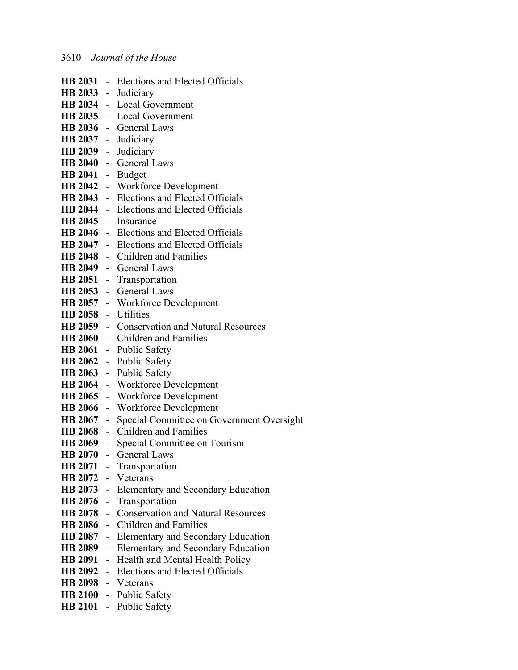|                | HB 2031 - Elections and Elected Officials                  |
|----------------|------------------------------------------------------------|
|                | HB 2033 - Judiciary                                        |
|                | HB 2034 - Local Government                                 |
|                | HB 2035 - Local Government                                 |
|                | HB 2036 - General Laws                                     |
|                | HB 2037 - Judiciary                                        |
|                | HB 2039 - Judiciary                                        |
|                | HB 2040 - General Laws                                     |
|                | HB 2041 - Budget                                           |
|                | HB 2042 - Workforce Development                            |
|                | HB 2043 - Elections and Elected Officials                  |
|                | HB 2044 - Elections and Elected Officials                  |
|                | HB 2045 - Insurance                                        |
|                | <b>HB 2046</b> - Elections and Elected Officials           |
|                | HB 2047 - Elections and Elected Officials                  |
|                | HB 2048 - Children and Families                            |
|                | HB 2049 - General Laws                                     |
|                | HB 2051 - Transportation                                   |
|                | HB 2053 - General Laws                                     |
|                | HB 2057 - Workforce Development                            |
|                | HB 2058 - Utilities                                        |
|                | HB 2059 - Conservation and Natural Resources               |
|                | HB 2060 - Children and Families                            |
|                | HB 2061 - Public Safety                                    |
|                | HB 2062 - Public Safety                                    |
|                | HB 2063 - Public Safety                                    |
|                | HB 2064 - Workforce Development                            |
|                | HB 2065 - Workforce Development                            |
|                | HB 2066 - Workforce Development                            |
|                | <b>HB 2067</b> - Special Committee on Government Oversight |
|                | HB 2068 - Children and Families                            |
|                | HB 2069 - Special Committee on Tourism                     |
|                | <b>HB 2070</b> - General Laws                              |
|                | HB 2071 - Transportation                                   |
|                | HB 2072 - Veterans                                         |
|                | HB 2073 - Elementary and Secondary Education               |
|                | HB 2076 - Transportation                                   |
|                | HB 2078 - Conservation and Natural Resources               |
| <b>HB 2086</b> | - Children and Families                                    |
|                | HB 2087 - Elementary and Secondary Education               |
|                | HB 2089 - Elementary and Secondary Education               |
|                | HB 2091 - Health and Mental Health Policy                  |
|                | HB 2092 - Elections and Elected Officials                  |
|                | HB 2098 - Veterans                                         |
|                | HB 2100 - Public Safety                                    |
|                | HB 2101 - Public Safety                                    |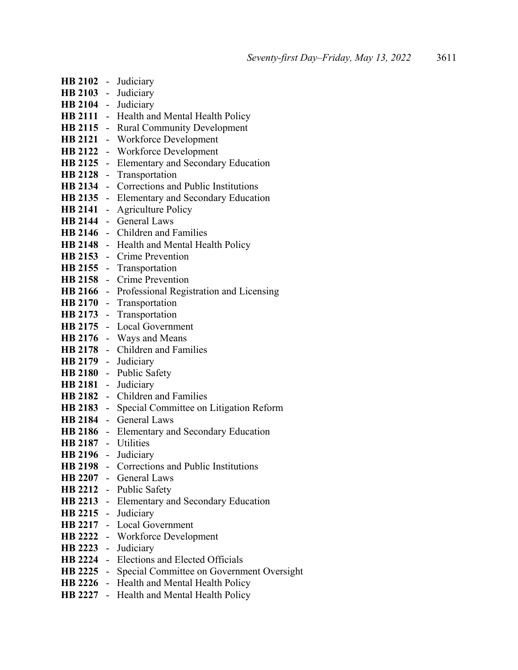|                     | HB 2102 - Judiciary                                 |
|---------------------|-----------------------------------------------------|
|                     | HB 2103 - Judiciary                                 |
|                     | HB 2104 - Judiciary                                 |
|                     | HB 2111 - Health and Mental Health Policy           |
|                     | HB 2115 - Rural Community Development               |
|                     | HB 2121 - Workforce Development                     |
|                     | HB 2122 - Workforce Development                     |
|                     | HB 2125 - Elementary and Secondary Education        |
|                     | HB 2128 - Transportation                            |
|                     | HB 2134 - Corrections and Public Institutions       |
|                     | HB 2135 - Elementary and Secondary Education        |
|                     | HB 2141 - Agriculture Policy                        |
|                     | HB 2144 - General Laws                              |
|                     | HB 2146 - Children and Families                     |
|                     | <b>HB 2148</b> - Health and Mental Health Policy    |
|                     | HB 2153 - Crime Prevention                          |
|                     | HB 2155 - Transportation                            |
|                     | HB 2158 - Crime Prevention                          |
|                     | HB 2166 - Professional Registration and Licensing   |
|                     | HB 2170 - Transportation                            |
|                     | HB 2173 - Transportation                            |
|                     | HB 2175 - Local Government                          |
|                     | HB 2176 - Ways and Means                            |
|                     | HB 2178 - Children and Families                     |
|                     | HB 2179 - Judiciary                                 |
|                     | HB 2180 - Public Safety                             |
|                     | HB 2181 - Judiciary                                 |
|                     | HB 2182 - Children and Families                     |
|                     | HB 2183 - Special Committee on Litigation Reform    |
|                     | HB 2184 - General Laws                              |
|                     | HB 2186 - Elementary and Secondary Education        |
| HB 2187 - Utilities |                                                     |
|                     | HB 2196 - Judiciary                                 |
|                     | HB 2198 - Corrections and Public Institutions       |
|                     | HB 2207 - General Laws                              |
|                     | HB 2212 - Public Safety                             |
|                     | HB 2213 - Elementary and Secondary Education        |
|                     | HB 2215 - Judiciary                                 |
|                     | HB 2217 - Local Government                          |
|                     | HB 2222 - Workforce Development                     |
|                     | HB 2223 - Judiciary                                 |
|                     | HB 2224 - Elections and Elected Officials           |
|                     | HB 2225 - Special Committee on Government Oversight |
|                     | HB 2226 - Health and Mental Health Policy           |
|                     | <b>HB 2227</b> - Health and Mental Health Policy    |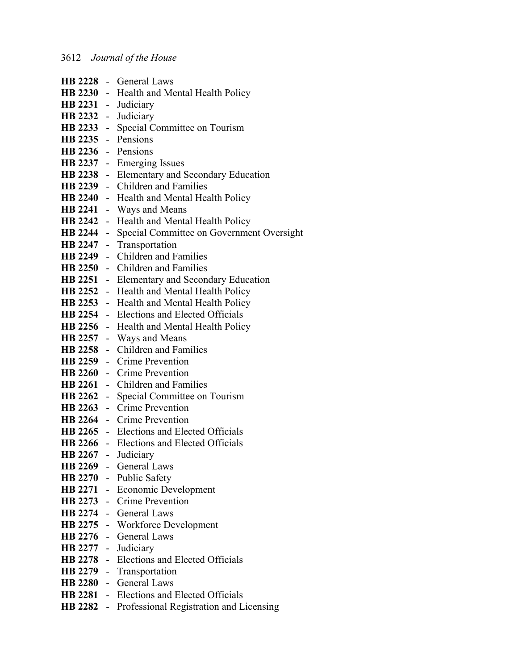|                     | HB 2228 - General Laws                              |
|---------------------|-----------------------------------------------------|
|                     | HB 2230 - Health and Mental Health Policy           |
|                     | HB 2231 - Judiciary                                 |
| HB 2232 - Judiciary |                                                     |
|                     | HB 2233 - Special Committee on Tourism              |
| HB 2235 - Pensions  |                                                     |
| HB 2236 - Pensions  |                                                     |
|                     | HB 2237 - Emerging Issues                           |
|                     | HB 2238 - Elementary and Secondary Education        |
|                     | HB 2239 - Children and Families                     |
|                     | <b>HB 2240</b> - Health and Mental Health Policy    |
| <b>HB 2241</b>      | - Ways and Means                                    |
|                     | HB 2242 - Health and Mental Health Policy           |
|                     | HB 2244 - Special Committee on Government Oversight |
| <b>HB 2247</b>      | - Transportation                                    |
|                     | HB 2249 - Children and Families                     |
|                     | HB 2250 - Children and Families                     |
|                     | HB 2251 - Elementary and Secondary Education        |
|                     | HB 2252 - Health and Mental Health Policy           |
|                     | HB 2253 - Health and Mental Health Policy           |
|                     | <b>HB 2254</b> - Elections and Elected Officials    |
|                     | HB 2256 - Health and Mental Health Policy           |
|                     | HB 2257 - Ways and Means                            |
|                     | HB 2258 - Children and Families                     |
|                     | HB 2259 - Crime Prevention                          |
|                     | HB 2260 - Crime Prevention                          |
|                     | HB 2261 - Children and Families                     |
| HB 2262 -           | Special Committee on Tourism                        |
|                     | HB 2263 - Crime Prevention                          |
|                     | HB 2264 - Crime Prevention                          |
|                     | <b>HB 2265</b> - Elections and Elected Officials    |
|                     | <b>HB 2266</b> - Elections and Elected Officials    |
|                     | HB 2267 - Judiciary                                 |
|                     | HB 2269 - General Laws                              |
|                     | HB 2270 - Public Safety                             |
|                     | HB 2271 - Economic Development                      |
|                     | HB 2273 - Crime Prevention                          |
|                     | HB 2274 - General Laws                              |
|                     | HB 2275 - Workforce Development                     |
|                     | HB 2276 - General Laws                              |
|                     | HB 2277 - Judiciary                                 |
|                     | HB 2278 - Elections and Elected Officials           |
|                     | HB 2279 - Transportation                            |
|                     | HB 2280 - General Laws                              |
|                     | HB 2281 - Elections and Elected Officials           |
|                     | HB 2282 - Professional Registration and Licensing   |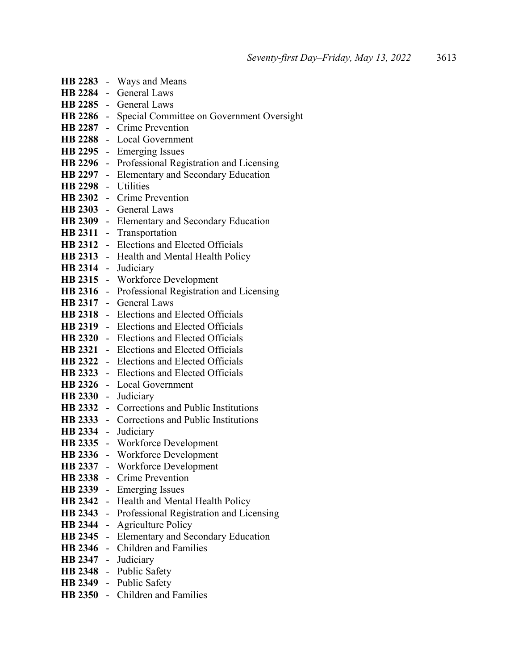|                     | HB 2283 - Ways and Means                            |
|---------------------|-----------------------------------------------------|
|                     | HB 2284 - General Laws                              |
|                     | HB 2285 - General Laws                              |
|                     | HB 2286 - Special Committee on Government Oversight |
|                     | HB 2287 - Crime Prevention                          |
|                     | HB 2288 - Local Government                          |
|                     | HB 2295 - Emerging Issues                           |
|                     | HB 2296 - Professional Registration and Licensing   |
|                     | HB 2297 - Elementary and Secondary Education        |
| HB 2298 - Utilities |                                                     |
|                     | HB 2302 - Crime Prevention                          |
|                     | HB 2303 - General Laws                              |
|                     | HB 2309 - Elementary and Secondary Education        |
|                     | HB 2311 - Transportation                            |
|                     | HB 2312 - Elections and Elected Officials           |
|                     | HB 2313 - Health and Mental Health Policy           |
| <b>HB 2314</b>      | - Judiciary                                         |
|                     | HB 2315 - Workforce Development                     |
|                     | HB 2316 - Professional Registration and Licensing   |
|                     | HB 2317 - General Laws                              |
|                     | HB 2318 - Elections and Elected Officials           |
|                     | <b>HB 2319</b> - Elections and Elected Officials    |
|                     | HB 2320 - Elections and Elected Officials           |
|                     | HB 2321 - Elections and Elected Officials           |
|                     | <b>HB 2322</b> - Elections and Elected Officials    |
|                     | <b>HB 2323</b> - Elections and Elected Officials    |
|                     | HB 2326 - Local Government                          |
|                     | HB 2330 - Judiciary                                 |
|                     | HB 2332 - Corrections and Public Institutions       |
|                     | HB 2333 - Corrections and Public Institutions       |
|                     | HB 2334 - Judiciary                                 |
|                     | HB 2335 - Workforce Development                     |
|                     | HB 2336 - Workforce Development                     |
|                     | HB 2337 - Workforce Development                     |
|                     | HB 2338 - Crime Prevention                          |
| <b>HB 2339</b>      | - Emerging Issues                                   |
| <b>HB 2342</b>      | - Health and Mental Health Policy                   |
|                     | HB 2343 - Professional Registration and Licensing   |
| <b>HB 2344</b>      | - Agriculture Policy                                |
| <b>HB 2345</b>      | - Elementary and Secondary Education                |
| <b>HB 2346</b>      | - Children and Families                             |
| <b>HB 2347</b>      | - Judiciary                                         |
|                     | HB 2348 - Public Safety                             |
|                     | HB 2349 - Public Safety                             |
|                     | HB 2350 - Children and Families                     |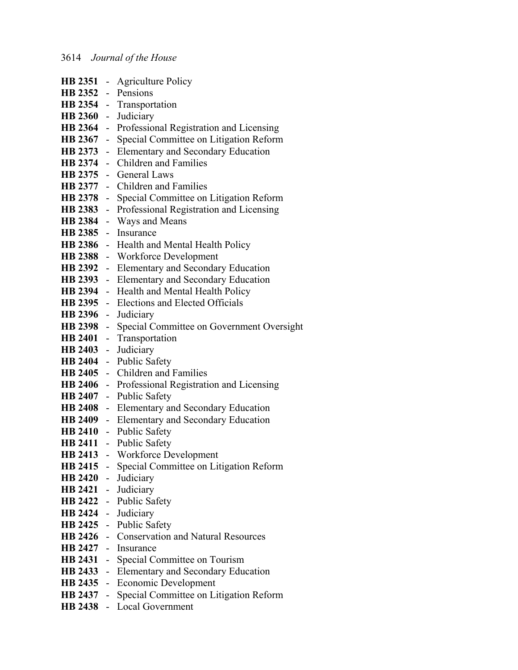|                     | <b>HB 2351</b> - Agriculture Policy                 |
|---------------------|-----------------------------------------------------|
| HB 2352 - Pensions  |                                                     |
|                     | HB 2354 - Transportation                            |
|                     | HB 2360 - Judiciary                                 |
| <b>HB 2364</b>      | - Professional Registration and Licensing           |
| <b>HB 2367</b>      | - Special Committee on Litigation Reform            |
| <b>HB 2373</b>      | - Elementary and Secondary Education                |
| <b>HB</b> 2374      | - Children and Families                             |
|                     | HB 2375 - General Laws                              |
|                     | HB 2377 - Children and Families                     |
| <b>HB 2378</b>      | - Special Committee on Litigation Reform            |
| <b>HB 2383</b>      | - Professional Registration and Licensing           |
| <b>HB 2384</b>      | - Ways and Means                                    |
|                     | HB 2385 - Insurance                                 |
|                     | HB 2386 - Health and Mental Health Policy           |
| <b>HB 2388</b>      | - Workforce Development                             |
|                     | HB 2392 - Elementary and Secondary Education        |
| <b>HB 2393</b>      | - Elementary and Secondary Education                |
|                     | HB 2394 - Health and Mental Health Policy           |
|                     | HB 2395 - Elections and Elected Officials           |
| HB 2396 - Judiciary |                                                     |
|                     | HB 2398 - Special Committee on Government Oversight |
|                     | HB 2401 - Transportation                            |
| <b>HB 2403</b>      | - Judiciary                                         |
| <b>HB 2404</b>      | - Public Safety                                     |
| <b>HB 2405</b>      | - Children and Families                             |
|                     | HB 2406 - Professional Registration and Licensing   |
| <b>HB 2407</b>      | - Public Safety                                     |
|                     | HB 2408 - Elementary and Secondary Education        |
|                     | HB 2409 - Elementary and Secondary Education        |
|                     | HB 2410 - Public Safety                             |
|                     | HB 2411 - Public Safety                             |
|                     | HB 2413 - Workforce Development                     |
|                     | HB 2415 - Special Committee on Litigation Reform    |
|                     | HB 2420 - Judiciary                                 |
|                     | HB 2421 - Judiciary                                 |
|                     | HB 2422 - Public Safety                             |
|                     | HB 2424 - Judiciary                                 |
|                     | HB 2425 - Public Safety                             |
|                     | HB 2426 - Conservation and Natural Resources        |
|                     | HB 2427 - Insurance                                 |
|                     | HB 2431 - Special Committee on Tourism              |
|                     | HB 2433 - Elementary and Secondary Education        |
|                     | HB 2435 - Economic Development                      |
|                     | HB 2437 - Special Committee on Litigation Reform    |
|                     | HB 2438 - Local Government                          |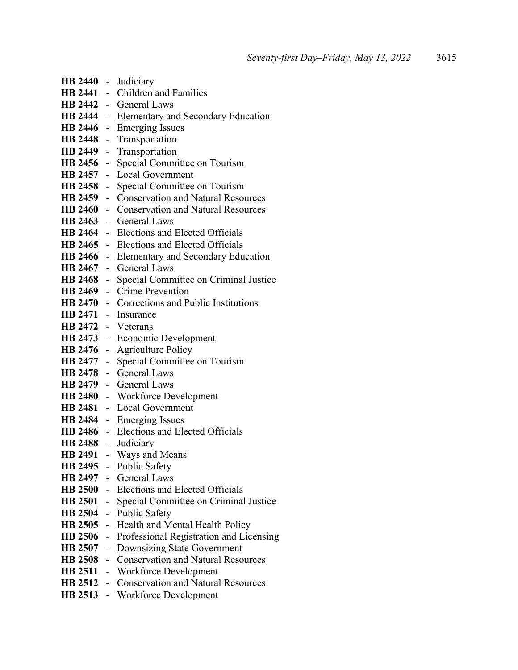| HB 2440 -           |                          | Judiciary                                       |
|---------------------|--------------------------|-------------------------------------------------|
| HB 2441 -           |                          | <b>Children and Families</b>                    |
|                     |                          | HB 2442 - General Laws                          |
|                     |                          | HB 2444 - Elementary and Secondary Education    |
|                     |                          | HB 2446 - Emerging Issues                       |
|                     |                          | HB 2448 - Transportation                        |
|                     |                          | HB 2449 - Transportation                        |
| HB 2456 -           |                          | Special Committee on Tourism                    |
| HB 2457 -           |                          | Local Government                                |
|                     |                          | HB 2458 - Special Committee on Tourism          |
|                     |                          | HB 2459 - Conservation and Natural Resources    |
|                     |                          | HB 2460 - Conservation and Natural Resources    |
|                     |                          | HB 2463 - General Laws                          |
|                     |                          | HB 2464 - Elections and Elected Officials       |
|                     |                          | HB 2465 - Elections and Elected Officials       |
|                     |                          | HB 2466 - Elementary and Secondary Education    |
|                     |                          | HB 2467 - General Laws                          |
|                     |                          | HB 2468 - Special Committee on Criminal Justice |
|                     |                          | HB 2469 - Crime Prevention                      |
|                     |                          | HB 2470 - Corrections and Public Institutions   |
|                     |                          | HB 2471 - Insurance                             |
| HB 2472 - Veterans  |                          |                                                 |
|                     |                          | HB 2473 - Economic Development                  |
|                     |                          | HB 2476 - Agriculture Policy                    |
| HB 2477 -           |                          | Special Committee on Tourism                    |
|                     |                          | HB 2478 - General Laws                          |
|                     |                          | HB 2479 - General Laws                          |
|                     |                          | HB 2480 - Workforce Development                 |
|                     |                          | HB 2481 - Local Government                      |
|                     |                          | HB 2484 - Emerging Issues                       |
|                     |                          | HB 2486 - Elections and Elected Officials       |
| HB 2488 - Judiciary |                          |                                                 |
|                     |                          | HB 2491 - Ways and Means                        |
|                     |                          | HB 2495 - Public Safety                         |
|                     |                          | HB 2497 - General Laws                          |
|                     |                          | HB 2500 - Elections and Elected Officials       |
| <b>HB 2501</b>      | $\overline{a}$           | Special Committee on Criminal Justice           |
| <b>HB 2504</b>      | $\overline{\phantom{0}}$ | Public Safety                                   |
| <b>HB 2505</b>      | $\overline{\phantom{0}}$ | Health and Mental Health Policy                 |
| <b>HB 2506</b>      | $\overline{\phantom{0}}$ | Professional Registration and Licensing         |
| <b>HB 2507</b>      | $\overline{a}$           | Downsizing State Government                     |
| <b>HB 2508</b>      | $\overline{a}$           | <b>Conservation and Natural Resources</b>       |
| <b>HB 2511</b>      | $\overline{\phantom{0}}$ | Workforce Development                           |
| <b>HB 2512</b>      | $\overline{a}$           | <b>Conservation and Natural Resources</b>       |
| <b>HB 2513</b>      |                          | - Workforce Development                         |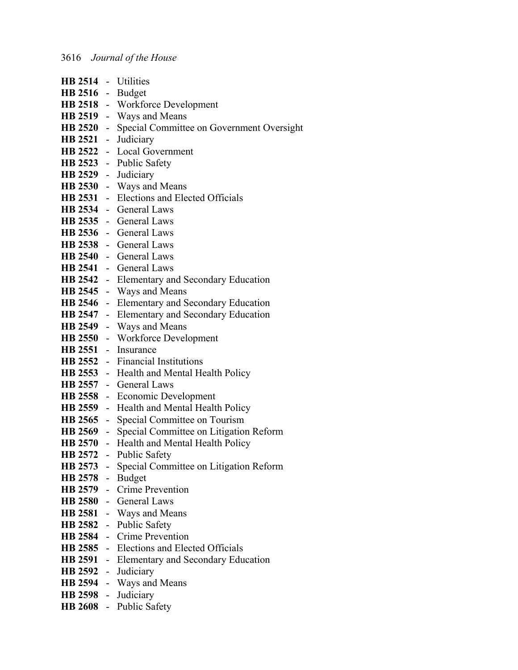| HB 2514 - Utilities |                                                     |
|---------------------|-----------------------------------------------------|
| HB 2516 - Budget    |                                                     |
|                     | HB 2518 - Workforce Development                     |
|                     | HB 2519 - Ways and Means                            |
|                     | HB 2520 - Special Committee on Government Oversight |
|                     | HB 2521 - Judiciary                                 |
|                     | HB 2522 - Local Government                          |
|                     | HB 2523 - Public Safety                             |
| HB 2529 - Judiciary |                                                     |
|                     | HB 2530 - Ways and Means                            |
|                     | HB 2531 - Elections and Elected Officials           |
|                     | HB 2534 - General Laws                              |
|                     | HB 2535 - General Laws                              |
|                     | HB 2536 - General Laws                              |
|                     | HB 2538 - General Laws                              |
|                     | HB 2540 - General Laws                              |
|                     | HB 2541 - General Laws                              |
|                     | HB 2542 - Elementary and Secondary Education        |
|                     | HB 2545 - Ways and Means                            |
|                     | HB 2546 - Elementary and Secondary Education        |
|                     | HB 2547 - Elementary and Secondary Education        |
|                     | HB 2549 - Ways and Means                            |
|                     | HB 2550 - Workforce Development                     |
|                     | HB 2551 - Insurance                                 |
|                     | <b>HB 2552</b> - Financial Institutions             |
|                     | HB 2553 - Health and Mental Health Policy           |
|                     | HB 2557 - General Laws                              |
|                     | HB 2558 - Economic Development                      |
|                     | HB 2559 - Health and Mental Health Policy           |
|                     | HB 2565 - Special Committee on Tourism              |
|                     | HB 2569 - Special Committee on Litigation Reform    |
|                     | HB 2570 - Health and Mental Health Policy           |
|                     | HB 2572 - Public Safety                             |
|                     | HB 2573 - Special Committee on Litigation Reform    |
| HB 2578 - Budget    |                                                     |
|                     | HB 2579 - Crime Prevention                          |
|                     | HB 2580 - General Laws                              |
|                     | HB 2581 - Ways and Means                            |
|                     | HB 2582 - Public Safety                             |
|                     | HB 2584 - Crime Prevention                          |
|                     | HB 2585 - Elections and Elected Officials           |
|                     | HB 2591 - Elementary and Secondary Education        |
|                     | HB 2592 - Judiciary                                 |
|                     | HB 2594 - Ways and Means                            |
| HB 2598 - Judiciary |                                                     |
|                     | HB 2608 - Public Safety                             |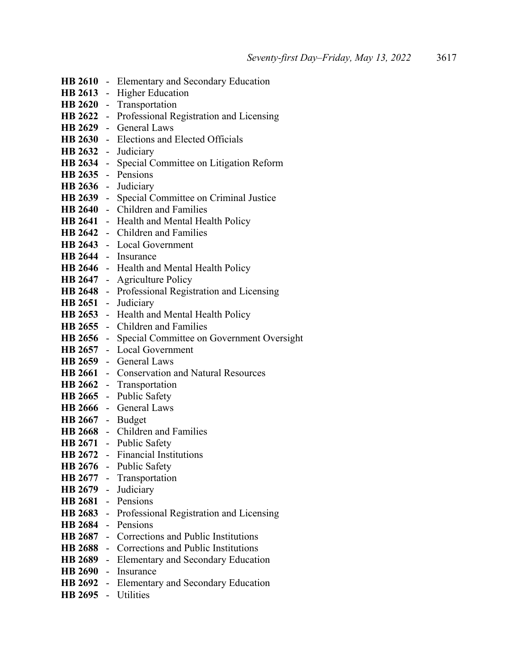|                     | HB 2610 - Elementary and Secondary Education         |
|---------------------|------------------------------------------------------|
|                     | HB 2613 - Higher Education                           |
|                     | HB 2620 - Transportation                             |
|                     | HB 2622 - Professional Registration and Licensing    |
|                     | HB 2629 - General Laws                               |
|                     | HB 2630 - Elections and Elected Officials            |
| HB 2632 - Judiciary |                                                      |
|                     | HB 2634 - Special Committee on Litigation Reform     |
| HB 2635 - Pensions  |                                                      |
| HB 2636 - Judiciary |                                                      |
| <b>HB 2639</b>      | - Special Committee on Criminal Justice              |
|                     | HB 2640 - Children and Families                      |
|                     | HB 2641 - Health and Mental Health Policy            |
|                     | HB 2642 - Children and Families                      |
|                     | HB 2643 - Local Government                           |
|                     | HB 2644 - Insurance                                  |
|                     | HB 2646 - Health and Mental Health Policy            |
| <b>HB 2647</b>      | - Agriculture Policy                                 |
|                     | HB 2648 - Professional Registration and Licensing    |
| HB 2651 - Judiciary |                                                      |
|                     | HB 2653 - Health and Mental Health Policy            |
|                     | HB 2655 - Children and Families                      |
|                     | HB 2656 - Special Committee on Government Oversight  |
|                     | HB 2657 - Local Government                           |
|                     | HB 2659 - General Laws                               |
|                     | <b>HB 2661</b> - Conservation and Natural Resources  |
|                     | HB 2662 - Transportation                             |
|                     | HB 2665 - Public Safety                              |
|                     | HB 2666 - General Laws                               |
| HB 2667 - Budget    |                                                      |
|                     | HB 2668 - Children and Families                      |
|                     | HB 2671 - Public Safety                              |
|                     | HB 2672 - Financial Institutions                     |
|                     | HB 2676 - Public Safety                              |
|                     | HB 2677 - Transportation                             |
|                     | HB 2679 - Judiciary                                  |
| HB 2681 - Pensions  |                                                      |
|                     | HB 2683 - Professional Registration and Licensing    |
| HB 2684 - Pensions  |                                                      |
|                     | HB 2687 - Corrections and Public Institutions        |
|                     | <b>HB 2688</b> - Corrections and Public Institutions |
|                     | HB 2689 - Elementary and Secondary Education         |
|                     | HB 2690 - Insurance                                  |
|                     | HB 2692 - Elementary and Secondary Education         |
| HB 2695 - Utilities |                                                      |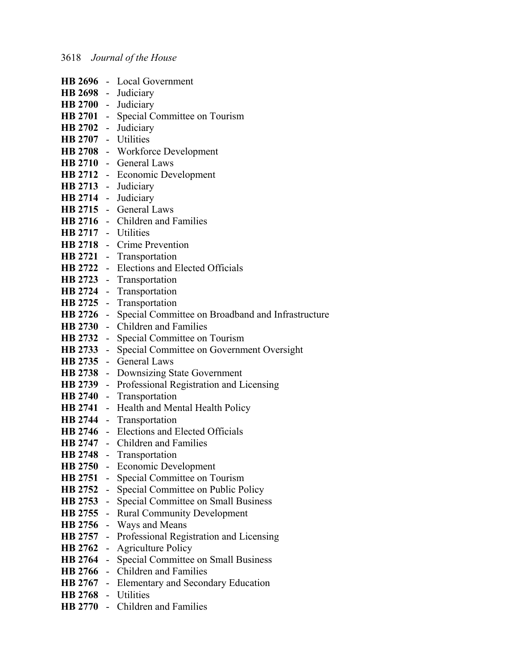|                     |                           | HB 2696 - Local Government                                    |
|---------------------|---------------------------|---------------------------------------------------------------|
| HB 2698 - Judiciary |                           |                                                               |
|                     |                           |                                                               |
|                     |                           | HB 2700 - Judiciary<br>HB 2701 - Special Committee on Tourism |
| HB 2702 - Judiciary |                           |                                                               |
| HB 2707 - Utilities |                           |                                                               |
|                     |                           | HB 2708 - Workforce Development                               |
|                     |                           | HB 2710 - General Laws                                        |
|                     |                           | HB 2712 - Economic Development                                |
|                     |                           | HB 2713 - Judiciary                                           |
| HB 2714 - Judiciary |                           |                                                               |
|                     |                           | HB 2715 - General Laws                                        |
|                     |                           | HB 2716 - Children and Families                               |
| HB 2717 - Utilities |                           |                                                               |
|                     |                           | HB 2718 - Crime Prevention                                    |
|                     |                           | HB 2721 - Transportation                                      |
|                     |                           | HB 2722 - Elections and Elected Officials                     |
|                     |                           | HB 2723 - Transportation                                      |
|                     |                           | HB 2724 - Transportation                                      |
|                     |                           | HB 2725 - Transportation                                      |
|                     |                           | HB 2726 - Special Committee on Broadband and Infrastructure   |
|                     |                           | HB 2730 - Children and Families                               |
|                     |                           | HB 2732 - Special Committee on Tourism                        |
|                     |                           | HB 2733 - Special Committee on Government Oversight           |
|                     |                           | HB 2735 - General Laws                                        |
|                     |                           | HB 2738 - Downsizing State Government                         |
|                     |                           | HB 2739 - Professional Registration and Licensing             |
|                     |                           | HB 2740 - Transportation                                      |
|                     |                           | HB 2741 - Health and Mental Health Policy                     |
|                     |                           | HB 2744 - Transportation                                      |
|                     |                           | <b>HB 2746</b> - Elections and Elected Officials              |
|                     |                           | HB 2747 - Children and Families                               |
|                     |                           | HB 2748 - Transportation                                      |
|                     |                           | HB 2750 - Economic Development                                |
| <b>HB</b> 2751      | $\pm$ .                   | Special Committee on Tourism                                  |
| <b>HB 2752</b>      | $\mathbb{Z}^{\mathbb{Z}}$ | Special Committee on Public Policy                            |
| <b>HB 2753</b>      | $\sim$                    | Special Committee on Small Business                           |
| <b>HB</b> 2755      | $\sim$                    | <b>Rural Community Development</b>                            |
|                     |                           | HB 2756 - Ways and Means                                      |
|                     |                           | HB 2757 - Professional Registration and Licensing             |
| <b>HB 2762</b>      |                           | - Agriculture Policy                                          |
| <b>HB</b> 2764      |                           | - Special Committee on Small Business                         |
| <b>HB</b> 2766      |                           | - Children and Families                                       |
|                     |                           | <b>HB 2767</b> - Elementary and Secondary Education           |
| HB 2768 - Utilities |                           |                                                               |
|                     |                           | HB 2770 - Children and Families                               |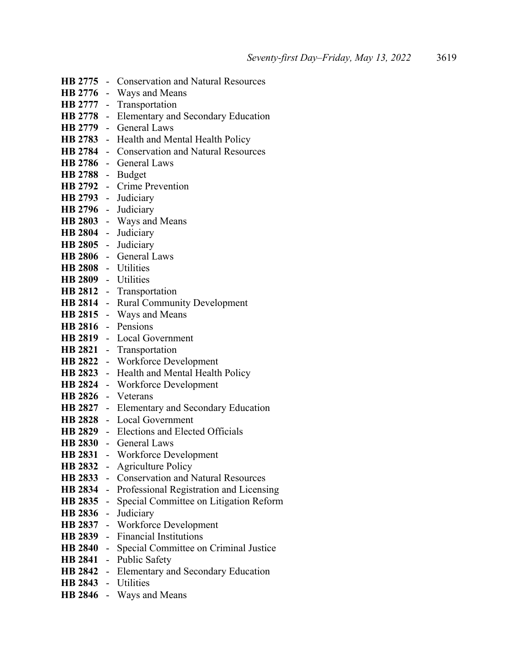|                             |                | <b>HB 2775</b> - Conservation and Natural Resources               |
|-----------------------------|----------------|-------------------------------------------------------------------|
|                             |                | HB 2776 - Ways and Means                                          |
| HB 2777 -                   |                | Transportation                                                    |
| HB 2778 -                   |                | Elementary and Secondary Education                                |
|                             |                | HB 2779 - General Laws                                            |
|                             |                | HB 2783 - Health and Mental Health Policy                         |
|                             |                | HB 2784 - Conservation and Natural Resources                      |
|                             |                | HB 2786 - General Laws                                            |
| HB 2788 - Budget            |                |                                                                   |
|                             |                | HB 2792 - Crime Prevention                                        |
| HB 2793 - Judiciary         |                |                                                                   |
| HB 2796 - Judiciary         |                |                                                                   |
|                             |                | HB 2803 - Ways and Means                                          |
| HB 2804 - Judiciary         |                |                                                                   |
| HB 2805 - Judiciary         |                |                                                                   |
|                             |                | HB 2806 - General Laws                                            |
| HB 2808 - Utilities         |                |                                                                   |
| HB 2809 - Utilities         |                |                                                                   |
|                             |                | HB 2812 - Transportation                                          |
|                             |                | HB 2814 - Rural Community Development                             |
|                             |                | HB 2815 - Ways and Means                                          |
| HB 2816 - Pensions          |                |                                                                   |
|                             |                | HB 2819 - Local Government                                        |
|                             |                | HB 2821 - Transportation                                          |
|                             |                | HB 2822 - Workforce Development                                   |
|                             |                | HB 2823 - Health and Mental Health Policy                         |
|                             |                | HB 2824 - Workforce Development                                   |
| HB 2826 - Veterans          |                |                                                                   |
|                             |                | HB 2827 - Elementary and Secondary Education                      |
|                             |                | HB 2828 - Local Government                                        |
|                             |                | HB 2829 - Elections and Elected Officials                         |
|                             |                | HB 2830 - General Laws                                            |
|                             |                | HB 2831 - Workforce Development                                   |
| <b>HB 2832</b>              | $\sim$         | <b>Agriculture Policy</b><br>- Conservation and Natural Resources |
| <b>HB 2833</b><br>HB 2834 - |                | Professional Registration and Licensing                           |
| HB 2835 -                   |                | Special Committee on Litigation Reform                            |
| HB 2836 -                   |                | Judiciary                                                         |
| HB 2837 -                   |                | <b>Workforce Development</b>                                      |
| HB 2839 -                   |                | <b>Financial Institutions</b>                                     |
| HB 2840 -                   |                | Special Committee on Criminal Justice                             |
| <b>HB 2841</b>              | $\blacksquare$ | <b>Public Safety</b>                                              |
| HB 2842 -                   |                | <b>Elementary and Secondary Education</b>                         |
| HB 2843 - Utilities         |                |                                                                   |
|                             |                | HB 2846 - Ways and Means                                          |
|                             |                |                                                                   |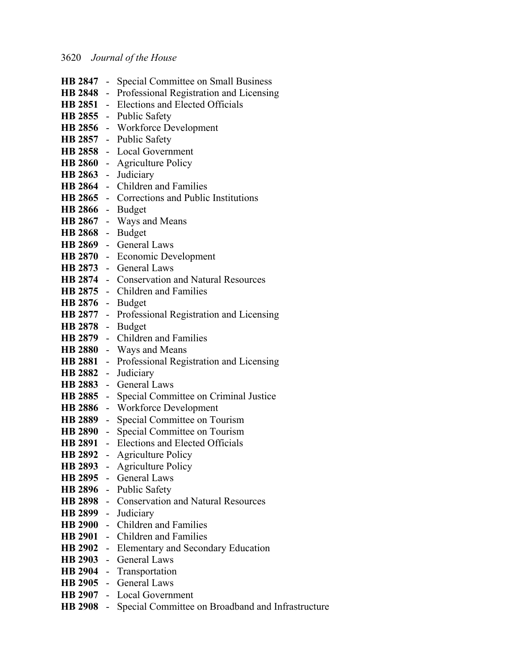|                     | HB 2847 - Special Committee on Small Business               |
|---------------------|-------------------------------------------------------------|
|                     | HB 2848 - Professional Registration and Licensing           |
|                     | HB 2851 - Elections and Elected Officials                   |
|                     | HB 2855 - Public Safety                                     |
|                     | HB 2856 - Workforce Development                             |
|                     | HB 2857 - Public Safety                                     |
|                     | HB 2858 - Local Government                                  |
|                     | HB 2860 - Agriculture Policy                                |
| HB 2863 - Judiciary |                                                             |
|                     | HB 2864 - Children and Families                             |
|                     | HB 2865 - Corrections and Public Institutions               |
| HB 2866 - Budget    |                                                             |
|                     | HB 2867 - Ways and Means                                    |
| HB 2868 - Budget    |                                                             |
|                     | HB 2869 - General Laws                                      |
|                     | HB 2870 - Economic Development                              |
|                     | HB 2873 - General Laws                                      |
|                     | <b>HB 2874</b> - Conservation and Natural Resources         |
|                     | HB 2875 - Children and Families                             |
| HB 2876 - Budget    |                                                             |
|                     | HB 2877 - Professional Registration and Licensing           |
| HB 2878 - Budget    |                                                             |
|                     | HB 2879 - Children and Families                             |
|                     | HB 2880 - Ways and Means                                    |
|                     | HB 2881 - Professional Registration and Licensing           |
|                     | HB 2882 - Judiciary                                         |
|                     | HB 2883 - General Laws                                      |
|                     | HB 2885 - Special Committee on Criminal Justice             |
|                     | HB 2886 - Workforce Development                             |
|                     | HB 2889 - Special Committee on Tourism                      |
|                     | HB 2890 - Special Committee on Tourism                      |
|                     | HB 2891 - Elections and Elected Officials                   |
|                     | <b>HB 2892</b> - Agriculture Policy                         |
|                     | HB 2893 - Agriculture Policy                                |
|                     | HB 2895 - General Laws                                      |
|                     | HB 2896 - Public Safety                                     |
|                     | HB 2898 - Conservation and Natural Resources                |
|                     | HB 2899 - Judiciary                                         |
|                     | HB 2900 - Children and Families                             |
|                     | HB 2901 - Children and Families                             |
|                     | HB 2902 - Elementary and Secondary Education                |
|                     | HB 2903 - General Laws                                      |
|                     | HB 2904 - Transportation                                    |
|                     | HB 2905 - General Laws                                      |
|                     | HB 2907 - Local Government                                  |
|                     | HB 2908 - Special Committee on Broadband and Infrastructure |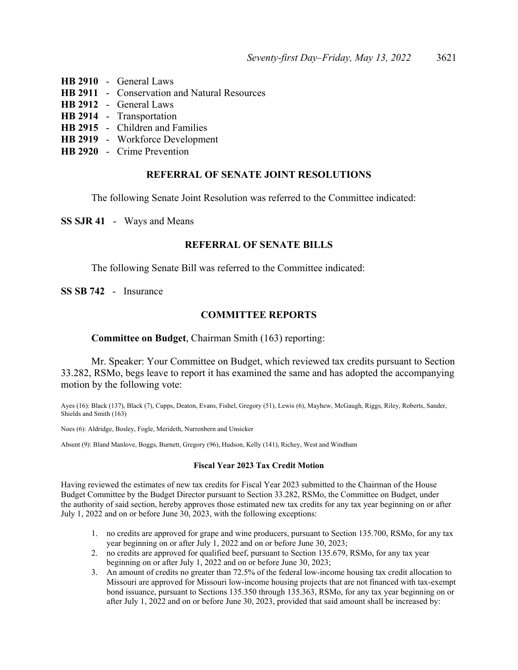- **HB 2910** General Laws
- **HB 2911** Conservation and Natural Resources
- **HB 2912** General Laws
- **HB 2914** Transportation
- **HB 2915** Children and Families
- **HB 2919** Workforce Development
- **HB 2920** Crime Prevention

### **REFERRAL OF SENATE JOINT RESOLUTIONS**

The following Senate Joint Resolution was referred to the Committee indicated:

**SS SJR 41** - Ways and Means

### **REFERRAL OF SENATE BILLS**

The following Senate Bill was referred to the Committee indicated:

**SS SB 742** - Insurance

### **COMMITTEE REPORTS**

### **Committee on Budget**, Chairman Smith (163) reporting:

 Mr. Speaker: Your Committee on Budget, which reviewed tax credits pursuant to Section 33.282, RSMo, begs leave to report it has examined the same and has adopted the accompanying motion by the following vote:

Ayes (16): Black (137), Black (7), Cupps, Deaton, Evans, Fishel, Gregory (51), Lewis (6), Mayhew, McGaugh, Riggs, Riley, Roberts, Sander, Shields and Smith (163)

Noes (6): Aldridge, Bosley, Fogle, Merideth, Nurrenbern and Unsicker

Absent (9): Bland Manlove, Boggs, Burnett, Gregory (96), Hudson, Kelly (141), Richey, West and Windham

#### **Fiscal Year 2023 Tax Credit Motion**

Having reviewed the estimates of new tax credits for Fiscal Year 2023 submitted to the Chairman of the House Budget Committee by the Budget Director pursuant to Section 33.282, RSMo, the Committee on Budget, under the authority of said section, hereby approves those estimated new tax credits for any tax year beginning on or after July 1, 2022 and on or before June 30, 2023, with the following exceptions:

- 1. no credits are approved for grape and wine producers, pursuant to Section 135.700, RSMo, for any tax year beginning on or after July 1, 2022 and on or before June 30, 2023;
- 2. no credits are approved for qualified beef, pursuant to Section 135.679, RSMo, for any tax year beginning on or after July 1, 2022 and on or before June 30, 2023;
- 3. An amount of credits no greater than 72.5% of the federal low-income housing tax credit allocation to Missouri are approved for Missouri low-income housing projects that are not financed with tax-exempt bond issuance, pursuant to Sections 135.350 through 135.363, RSMo, for any tax year beginning on or after July 1, 2022 and on or before June 30, 2023, provided that said amount shall be increased by: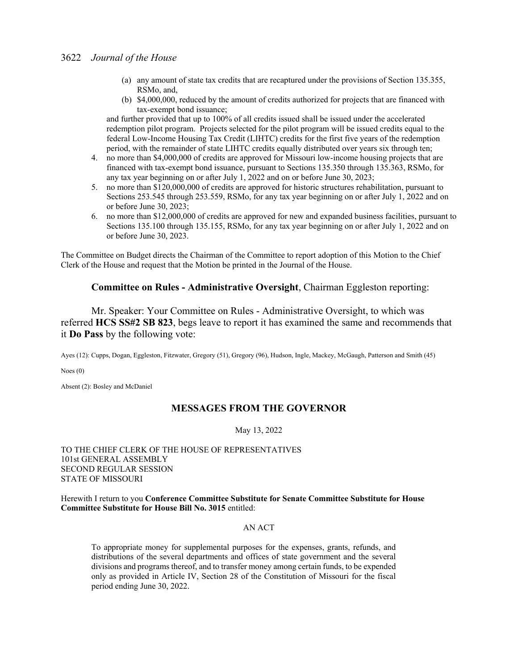- (a) any amount of state tax credits that are recaptured under the provisions of Section 135.355, RSMo, and,
- (b) \$4,000,000, reduced by the amount of credits authorized for projects that are financed with tax-exempt bond issuance;

and further provided that up to 100% of all credits issued shall be issued under the accelerated redemption pilot program. Projects selected for the pilot program will be issued credits equal to the federal Low-Income Housing Tax Credit (LIHTC) credits for the first five years of the redemption period, with the remainder of state LIHTC credits equally distributed over years six through ten;

- 4. no more than \$4,000,000 of credits are approved for Missouri low-income housing projects that are financed with tax-exempt bond issuance, pursuant to Sections 135.350 through 135.363, RSMo, for any tax year beginning on or after July 1, 2022 and on or before June 30, 2023;
- 5. no more than \$120,000,000 of credits are approved for historic structures rehabilitation, pursuant to Sections 253.545 through 253.559, RSMo, for any tax year beginning on or after July 1, 2022 and on or before June 30, 2023;
- 6. no more than \$12,000,000 of credits are approved for new and expanded business facilities, pursuant to Sections 135.100 through 135.155, RSMo, for any tax year beginning on or after July 1, 2022 and on or before June 30, 2023.

The Committee on Budget directs the Chairman of the Committee to report adoption of this Motion to the Chief Clerk of the House and request that the Motion be printed in the Journal of the House.

### **Committee on Rules - Administrative Oversight**, Chairman Eggleston reporting:

 Mr. Speaker: Your Committee on Rules - Administrative Oversight, to which was referred **HCS SS#2 SB 823**, begs leave to report it has examined the same and recommends that it **Do Pass** by the following vote:

Ayes (12): Cupps, Dogan, Eggleston, Fitzwater, Gregory (51), Gregory (96), Hudson, Ingle, Mackey, McGaugh, Patterson and Smith (45)

Noes (0)

Absent (2): Bosley and McDaniel

### **MESSAGES FROM THE GOVERNOR**

May 13, 2022

### TO THE CHIEF CLERK OF THE HOUSE OF REPRESENTATIVES 101st GENERAL ASSEMBLY SECOND REGULAR SESSION STATE OF MISSOURI

Herewith I return to you **Conference Committee Substitute for Senate Committee Substitute for House Committee Substitute for House Bill No. 3015** entitled:

#### AN ACT

To appropriate money for supplemental purposes for the expenses, grants, refunds, and distributions of the several departments and offices of state government and the several divisions and programs thereof, and to transfer money among certain funds, to be expended only as provided in Article IV, Section 28 of the Constitution of Missouri for the fiscal period ending June 30, 2022.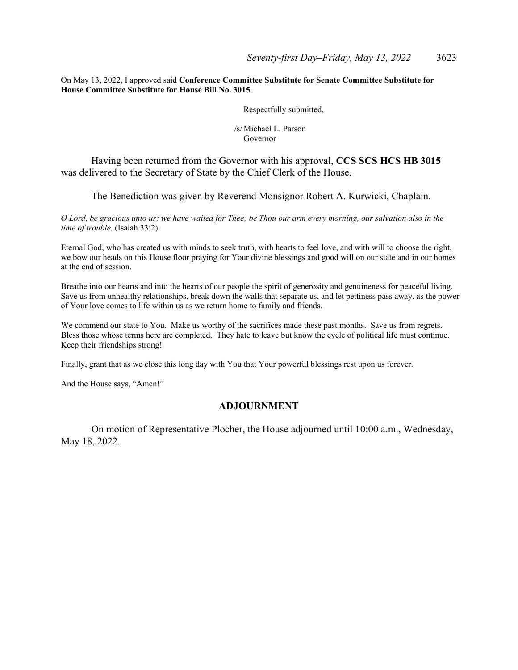On May 13, 2022, I approved said **Conference Committee Substitute for Senate Committee Substitute for House Committee Substitute for House Bill No. 3015**.

Respectfully submitted,

 /s/ Michael L. Parson Governor

 Having been returned from the Governor with his approval, **CCS SCS HCS HB 3015** was delivered to the Secretary of State by the Chief Clerk of the House.

The Benediction was given by Reverend Monsignor Robert A. Kurwicki, Chaplain.

*O Lord, be gracious unto us; we have waited for Thee; be Thou our arm every morning, our salvation also in the time of trouble.* (Isaiah 33:2)

Eternal God, who has created us with minds to seek truth, with hearts to feel love, and with will to choose the right, we bow our heads on this House floor praying for Your divine blessings and good will on our state and in our homes at the end of session.

Breathe into our hearts and into the hearts of our people the spirit of generosity and genuineness for peaceful living. Save us from unhealthy relationships, break down the walls that separate us, and let pettiness pass away, as the power of Your love comes to life within us as we return home to family and friends.

We commend our state to You. Make us worthy of the sacrifices made these past months. Save us from regrets. Bless those whose terms here are completed. They hate to leave but know the cycle of political life must continue. Keep their friendships strong!

Finally, grant that as we close this long day with You that Your powerful blessings rest upon us forever.

And the House says, "Amen!"

### **ADJOURNMENT**

 On motion of Representative Plocher, the House adjourned until 10:00 a.m., Wednesday, May 18, 2022.